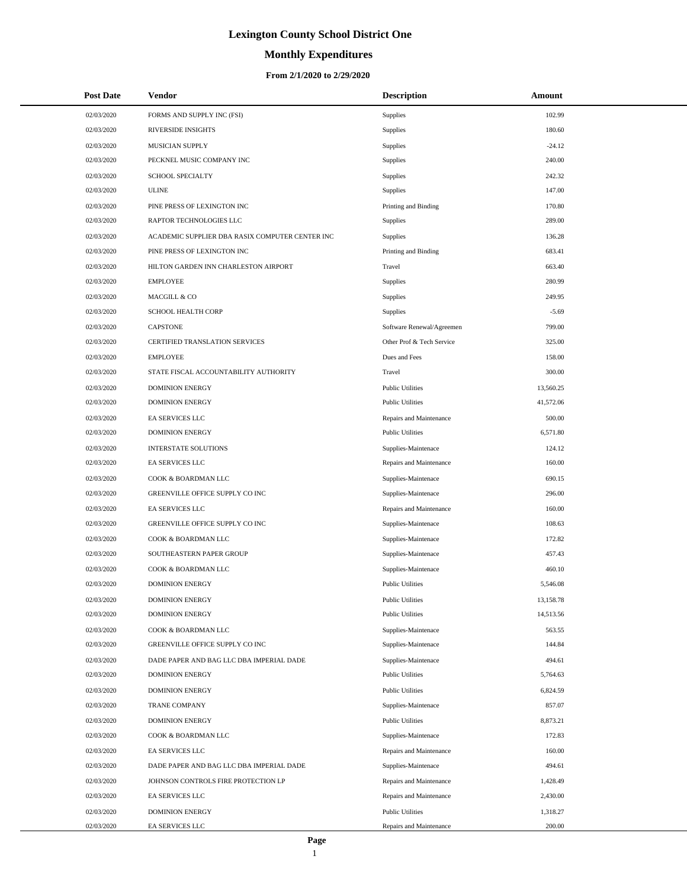# **Monthly Expenditures**

#### **From 2/1/2020 to 2/29/2020**

| <b>Post Date</b> | Vendor                                          | <b>Description</b>        | Amount    |
|------------------|-------------------------------------------------|---------------------------|-----------|
| 02/03/2020       | FORMS AND SUPPLY INC (FSI)                      | Supplies                  | 102.99    |
| 02/03/2020       | RIVERSIDE INSIGHTS                              | Supplies                  | 180.60    |
| 02/03/2020       | <b>MUSICIAN SUPPLY</b>                          | Supplies                  | $-24.12$  |
| 02/03/2020       | PECKNEL MUSIC COMPANY INC                       | <b>Supplies</b>           | 240.00    |
| 02/03/2020       | SCHOOL SPECIALTY                                | Supplies                  | 242.32    |
| 02/03/2020       | <b>ULINE</b>                                    | Supplies                  | 147.00    |
| 02/03/2020       | PINE PRESS OF LEXINGTON INC                     | Printing and Binding      | 170.80    |
| 02/03/2020       | RAPTOR TECHNOLOGIES LLC                         | <b>Supplies</b>           | 289.00    |
| 02/03/2020       | ACADEMIC SUPPLIER DBA RASIX COMPUTER CENTER INC | Supplies                  | 136.28    |
| 02/03/2020       | PINE PRESS OF LEXINGTON INC                     | Printing and Binding      | 683.41    |
| 02/03/2020       | HILTON GARDEN INN CHARLESTON AIRPORT            | Travel                    | 663.40    |
| 02/03/2020       | <b>EMPLOYEE</b>                                 | Supplies                  | 280.99    |
| 02/03/2020       | MACGILL & CO                                    | Supplies                  | 249.95    |
| 02/03/2020       | SCHOOL HEALTH CORP                              | Supplies                  | $-5.69$   |
| 02/03/2020       | <b>CAPSTONE</b>                                 | Software Renewal/Agreemen | 799.00    |
| 02/03/2020       | CERTIFIED TRANSLATION SERVICES                  | Other Prof & Tech Service | 325.00    |
| 02/03/2020       | <b>EMPLOYEE</b>                                 | Dues and Fees             | 158.00    |
| 02/03/2020       | STATE FISCAL ACCOUNTABILITY AUTHORITY           | Travel                    | 300.00    |
| 02/03/2020       | <b>DOMINION ENERGY</b>                          | <b>Public Utilities</b>   | 13,560.25 |
| 02/03/2020       | <b>DOMINION ENERGY</b>                          | <b>Public Utilities</b>   | 41,572.06 |
| 02/03/2020       | EA SERVICES LLC                                 | Repairs and Maintenance   | 500.00    |
| 02/03/2020       | <b>DOMINION ENERGY</b>                          | <b>Public Utilities</b>   | 6,571.80  |
| 02/03/2020       | <b>INTERSTATE SOLUTIONS</b>                     | Supplies-Maintenace       | 124.12    |
| 02/03/2020       | EA SERVICES LLC                                 | Repairs and Maintenance   | 160.00    |
| 02/03/2020       | COOK & BOARDMAN LLC                             | Supplies-Maintenace       | 690.15    |
| 02/03/2020       | GREENVILLE OFFICE SUPPLY CO INC                 | Supplies-Maintenace       | 296.00    |
| 02/03/2020       | EA SERVICES LLC                                 | Repairs and Maintenance   | 160.00    |
| 02/03/2020       | GREENVILLE OFFICE SUPPLY CO INC                 | Supplies-Maintenace       | 108.63    |
| 02/03/2020       | COOK & BOARDMAN LLC                             | Supplies-Maintenace       | 172.82    |
| 02/03/2020       | SOUTHEASTERN PAPER GROUP                        | Supplies-Maintenace       | 457.43    |
| 02/03/2020       | COOK & BOARDMAN LLC                             | Supplies-Maintenace       | 460.10    |
| 02/03/2020       | <b>DOMINION ENERGY</b>                          | <b>Public Utilities</b>   | 5,546.08  |
| 02/03/2020       | <b>DOMINION ENERGY</b>                          | <b>Public Utilities</b>   | 13,158.78 |
| 02/03/2020       | <b>DOMINION ENERGY</b>                          | <b>Public Utilities</b>   | 14,513.56 |
| 02/03/2020       | COOK & BOARDMAN LLC                             | Supplies-Maintenace       | 563.55    |
| 02/03/2020       | GREENVILLE OFFICE SUPPLY CO INC                 | Supplies-Maintenace       | 144.84    |
| 02/03/2020       | DADE PAPER AND BAG LLC DBA IMPERIAL DADE        | Supplies-Maintenace       | 494.61    |
| 02/03/2020       | <b>DOMINION ENERGY</b>                          | <b>Public Utilities</b>   | 5,764.63  |
| 02/03/2020       | <b>DOMINION ENERGY</b>                          | <b>Public Utilities</b>   | 6,824.59  |
| 02/03/2020       | TRANE COMPANY                                   | Supplies-Maintenace       | 857.07    |
| 02/03/2020       | <b>DOMINION ENERGY</b>                          | <b>Public Utilities</b>   | 8,873.21  |
| 02/03/2020       | COOK & BOARDMAN LLC                             | Supplies-Maintenace       | 172.83    |
| 02/03/2020       | EA SERVICES LLC                                 | Repairs and Maintenance   | 160.00    |
| 02/03/2020       | DADE PAPER AND BAG LLC DBA IMPERIAL DADE        | Supplies-Maintenace       | 494.61    |
| 02/03/2020       | JOHNSON CONTROLS FIRE PROTECTION LP             | Repairs and Maintenance   | 1,428.49  |
| 02/03/2020       | EA SERVICES LLC                                 | Repairs and Maintenance   | 2,430.00  |
| 02/03/2020       | <b>DOMINION ENERGY</b>                          | <b>Public Utilities</b>   | 1,318.27  |
| 02/03/2020       | EA SERVICES LLC                                 | Repairs and Maintenance   | 200.00    |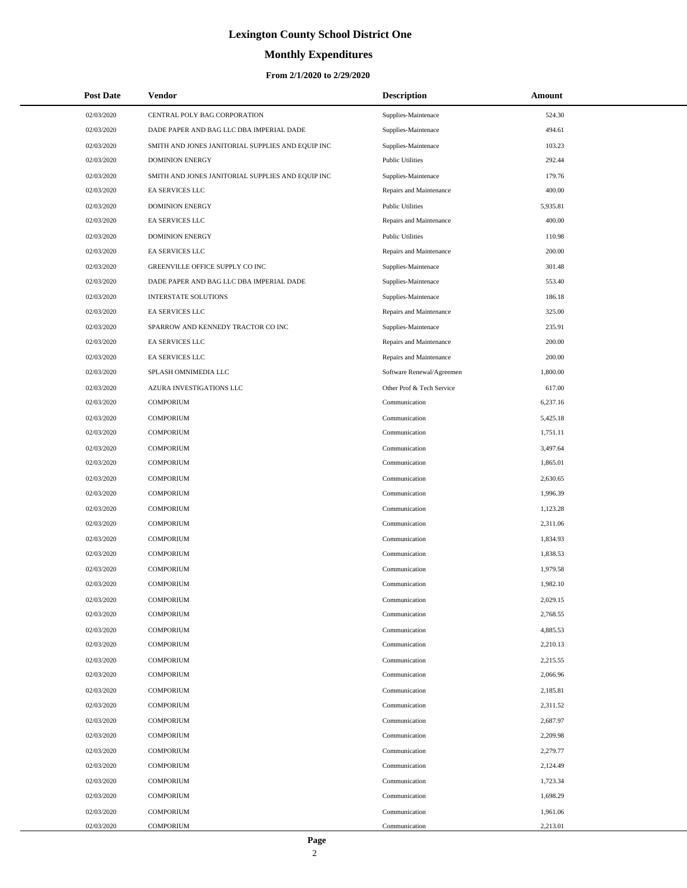# **Monthly Expenditures**

#### **From 2/1/2020 to 2/29/2020**

| 02/03/2020<br>CENTRAL POLY BAG CORPORATION<br>Supplies-Maintenace<br>524.30<br>02/03/2020<br>DADE PAPER AND BAG LLC DBA IMPERIAL DADE<br>494.61<br>Supplies-Maintenace<br>02/03/2020<br>SMITH AND JONES JANITORIAL SUPPLIES AND EQUIP INC<br>Supplies-Maintenace<br>103.23<br><b>DOMINION ENERGY</b><br>292.44<br>02/03/2020<br><b>Public Utilities</b><br>02/03/2020<br>SMITH AND JONES JANITORIAL SUPPLIES AND EQUIP INC<br>Supplies-Maintenace<br>179.76<br>400.00<br>02/03/2020<br>EA SERVICES LLC<br>Repairs and Maintenance<br>02/03/2020<br><b>Public Utilities</b><br>5,935.81<br><b>DOMINION ENERGY</b><br>400.00<br>02/03/2020<br>EA SERVICES LLC<br>Repairs and Maintenance<br>02/03/2020<br><b>DOMINION ENERGY</b><br><b>Public Utilities</b><br>110.98<br>200.00<br>02/03/2020<br>EA SERVICES LLC<br>Repairs and Maintenance<br>02/03/2020<br>GREENVILLE OFFICE SUPPLY CO INC<br>Supplies-Maintenace<br>301.48<br>02/03/2020<br>DADE PAPER AND BAG LLC DBA IMPERIAL DADE<br>553.40<br>Supplies-Maintenace<br>02/03/2020<br><b>INTERSTATE SOLUTIONS</b><br>186.18<br>Supplies-Maintenace<br>02/03/2020<br>EA SERVICES LLC<br>Repairs and Maintenance<br>325.00<br>02/03/2020<br>SPARROW AND KENNEDY TRACTOR CO INC<br>Supplies-Maintenace<br>235.91<br>02/03/2020<br>EA SERVICES LLC<br>Repairs and Maintenance<br>200.00<br>02/03/2020<br>EA SERVICES LLC<br>Repairs and Maintenance<br>200.00<br>02/03/2020<br>SPLASH OMNIMEDIA LLC<br>Software Renewal/Agreemen<br>1,800.00<br>02/03/2020<br>AZURA INVESTIGATIONS LLC<br>Other Prof & Tech Service<br>617.00<br><b>COMPORIUM</b><br>02/03/2020<br>Communication<br>6,237.16<br>02/03/2020<br><b>COMPORIUM</b><br>Communication<br>5,425.18<br>02/03/2020<br><b>COMPORIUM</b><br>Communication<br>1,751.11<br>3,497.64<br>02/03/2020<br><b>COMPORIUM</b><br>Communication<br>02/03/2020<br><b>COMPORIUM</b><br>Communication<br>1,865.01<br>02/03/2020<br><b>COMPORIUM</b><br>Communication<br>2,630.65<br>02/03/2020<br>1,996.39<br><b>COMPORIUM</b><br>Communication<br>02/03/2020<br><b>COMPORIUM</b><br>1,123.28<br>Communication<br>02/03/2020<br><b>COMPORIUM</b><br>Communication<br>2,311.06<br>02/03/2020<br><b>COMPORIUM</b><br>1,834.93<br>Communication<br>02/03/2020<br><b>COMPORIUM</b><br>Communication<br>1,838.53<br>02/03/2020<br>1,979.58<br><b>COMPORIUM</b><br>Communication<br>02/03/2020<br><b>COMPORIUM</b><br>1,982.10<br>Communication<br>02/03/2020<br>2,029.15<br><b>COMPORIUM</b><br>Communication<br>02/03/2020<br><b>COMPORIUM</b><br>Communication<br>2,768.55<br>02/03/2020<br>4,885.53<br><b>COMPORIUM</b><br>Communication<br>02/03/2020<br><b>COMPORIUM</b><br>Communication<br>2,210.13<br>02/03/2020<br><b>COMPORIUM</b><br>Communication<br>2,215.55<br>02/03/2020<br><b>COMPORIUM</b><br>Communication<br>2,066.96<br>02/03/2020<br><b>COMPORIUM</b><br>2,185.81<br>Communication<br>02/03/2020<br><b>COMPORIUM</b><br>2,311.52<br>Communication<br>02/03/2020<br><b>COMPORIUM</b><br>2,687.97<br>Communication<br>02/03/2020<br><b>COMPORIUM</b><br>Communication<br>2,209.98<br>02/03/2020<br><b>COMPORIUM</b><br>2,279.77<br>Communication<br>02/03/2020<br><b>COMPORIUM</b><br>Communication<br>2,124.49<br>02/03/2020<br><b>COMPORIUM</b><br>1,723.34<br>Communication<br>02/03/2020<br><b>COMPORIUM</b><br>Communication<br>1,698.29<br>02/03/2020<br><b>COMPORIUM</b><br>1,961.06<br>Communication<br>02/03/2020<br><b>COMPORIUM</b><br>2,213.01<br>Communication | <b>Post Date</b> | Vendor | <b>Description</b> | Amount |
|--------------------------------------------------------------------------------------------------------------------------------------------------------------------------------------------------------------------------------------------------------------------------------------------------------------------------------------------------------------------------------------------------------------------------------------------------------------------------------------------------------------------------------------------------------------------------------------------------------------------------------------------------------------------------------------------------------------------------------------------------------------------------------------------------------------------------------------------------------------------------------------------------------------------------------------------------------------------------------------------------------------------------------------------------------------------------------------------------------------------------------------------------------------------------------------------------------------------------------------------------------------------------------------------------------------------------------------------------------------------------------------------------------------------------------------------------------------------------------------------------------------------------------------------------------------------------------------------------------------------------------------------------------------------------------------------------------------------------------------------------------------------------------------------------------------------------------------------------------------------------------------------------------------------------------------------------------------------------------------------------------------------------------------------------------------------------------------------------------------------------------------------------------------------------------------------------------------------------------------------------------------------------------------------------------------------------------------------------------------------------------------------------------------------------------------------------------------------------------------------------------------------------------------------------------------------------------------------------------------------------------------------------------------------------------------------------------------------------------------------------------------------------------------------------------------------------------------------------------------------------------------------------------------------------------------------------------------------------------------------------------------------------------------------------------------------------------------------------------------------------------------------------------------------------------------------------------------------------------------------------------------------------------------------------------------------------------------------------------------------------------------------------------------------------------------------------------------------------------|------------------|--------|--------------------|--------|
|                                                                                                                                                                                                                                                                                                                                                                                                                                                                                                                                                                                                                                                                                                                                                                                                                                                                                                                                                                                                                                                                                                                                                                                                                                                                                                                                                                                                                                                                                                                                                                                                                                                                                                                                                                                                                                                                                                                                                                                                                                                                                                                                                                                                                                                                                                                                                                                                                                                                                                                                                                                                                                                                                                                                                                                                                                                                                                                                                                                                                                                                                                                                                                                                                                                                                                                                                                                                                                                                                |                  |        |                    |        |
|                                                                                                                                                                                                                                                                                                                                                                                                                                                                                                                                                                                                                                                                                                                                                                                                                                                                                                                                                                                                                                                                                                                                                                                                                                                                                                                                                                                                                                                                                                                                                                                                                                                                                                                                                                                                                                                                                                                                                                                                                                                                                                                                                                                                                                                                                                                                                                                                                                                                                                                                                                                                                                                                                                                                                                                                                                                                                                                                                                                                                                                                                                                                                                                                                                                                                                                                                                                                                                                                                |                  |        |                    |        |
|                                                                                                                                                                                                                                                                                                                                                                                                                                                                                                                                                                                                                                                                                                                                                                                                                                                                                                                                                                                                                                                                                                                                                                                                                                                                                                                                                                                                                                                                                                                                                                                                                                                                                                                                                                                                                                                                                                                                                                                                                                                                                                                                                                                                                                                                                                                                                                                                                                                                                                                                                                                                                                                                                                                                                                                                                                                                                                                                                                                                                                                                                                                                                                                                                                                                                                                                                                                                                                                                                |                  |        |                    |        |
|                                                                                                                                                                                                                                                                                                                                                                                                                                                                                                                                                                                                                                                                                                                                                                                                                                                                                                                                                                                                                                                                                                                                                                                                                                                                                                                                                                                                                                                                                                                                                                                                                                                                                                                                                                                                                                                                                                                                                                                                                                                                                                                                                                                                                                                                                                                                                                                                                                                                                                                                                                                                                                                                                                                                                                                                                                                                                                                                                                                                                                                                                                                                                                                                                                                                                                                                                                                                                                                                                |                  |        |                    |        |
|                                                                                                                                                                                                                                                                                                                                                                                                                                                                                                                                                                                                                                                                                                                                                                                                                                                                                                                                                                                                                                                                                                                                                                                                                                                                                                                                                                                                                                                                                                                                                                                                                                                                                                                                                                                                                                                                                                                                                                                                                                                                                                                                                                                                                                                                                                                                                                                                                                                                                                                                                                                                                                                                                                                                                                                                                                                                                                                                                                                                                                                                                                                                                                                                                                                                                                                                                                                                                                                                                |                  |        |                    |        |
|                                                                                                                                                                                                                                                                                                                                                                                                                                                                                                                                                                                                                                                                                                                                                                                                                                                                                                                                                                                                                                                                                                                                                                                                                                                                                                                                                                                                                                                                                                                                                                                                                                                                                                                                                                                                                                                                                                                                                                                                                                                                                                                                                                                                                                                                                                                                                                                                                                                                                                                                                                                                                                                                                                                                                                                                                                                                                                                                                                                                                                                                                                                                                                                                                                                                                                                                                                                                                                                                                |                  |        |                    |        |
|                                                                                                                                                                                                                                                                                                                                                                                                                                                                                                                                                                                                                                                                                                                                                                                                                                                                                                                                                                                                                                                                                                                                                                                                                                                                                                                                                                                                                                                                                                                                                                                                                                                                                                                                                                                                                                                                                                                                                                                                                                                                                                                                                                                                                                                                                                                                                                                                                                                                                                                                                                                                                                                                                                                                                                                                                                                                                                                                                                                                                                                                                                                                                                                                                                                                                                                                                                                                                                                                                |                  |        |                    |        |
|                                                                                                                                                                                                                                                                                                                                                                                                                                                                                                                                                                                                                                                                                                                                                                                                                                                                                                                                                                                                                                                                                                                                                                                                                                                                                                                                                                                                                                                                                                                                                                                                                                                                                                                                                                                                                                                                                                                                                                                                                                                                                                                                                                                                                                                                                                                                                                                                                                                                                                                                                                                                                                                                                                                                                                                                                                                                                                                                                                                                                                                                                                                                                                                                                                                                                                                                                                                                                                                                                |                  |        |                    |        |
|                                                                                                                                                                                                                                                                                                                                                                                                                                                                                                                                                                                                                                                                                                                                                                                                                                                                                                                                                                                                                                                                                                                                                                                                                                                                                                                                                                                                                                                                                                                                                                                                                                                                                                                                                                                                                                                                                                                                                                                                                                                                                                                                                                                                                                                                                                                                                                                                                                                                                                                                                                                                                                                                                                                                                                                                                                                                                                                                                                                                                                                                                                                                                                                                                                                                                                                                                                                                                                                                                |                  |        |                    |        |
|                                                                                                                                                                                                                                                                                                                                                                                                                                                                                                                                                                                                                                                                                                                                                                                                                                                                                                                                                                                                                                                                                                                                                                                                                                                                                                                                                                                                                                                                                                                                                                                                                                                                                                                                                                                                                                                                                                                                                                                                                                                                                                                                                                                                                                                                                                                                                                                                                                                                                                                                                                                                                                                                                                                                                                                                                                                                                                                                                                                                                                                                                                                                                                                                                                                                                                                                                                                                                                                                                |                  |        |                    |        |
|                                                                                                                                                                                                                                                                                                                                                                                                                                                                                                                                                                                                                                                                                                                                                                                                                                                                                                                                                                                                                                                                                                                                                                                                                                                                                                                                                                                                                                                                                                                                                                                                                                                                                                                                                                                                                                                                                                                                                                                                                                                                                                                                                                                                                                                                                                                                                                                                                                                                                                                                                                                                                                                                                                                                                                                                                                                                                                                                                                                                                                                                                                                                                                                                                                                                                                                                                                                                                                                                                |                  |        |                    |        |
|                                                                                                                                                                                                                                                                                                                                                                                                                                                                                                                                                                                                                                                                                                                                                                                                                                                                                                                                                                                                                                                                                                                                                                                                                                                                                                                                                                                                                                                                                                                                                                                                                                                                                                                                                                                                                                                                                                                                                                                                                                                                                                                                                                                                                                                                                                                                                                                                                                                                                                                                                                                                                                                                                                                                                                                                                                                                                                                                                                                                                                                                                                                                                                                                                                                                                                                                                                                                                                                                                |                  |        |                    |        |
|                                                                                                                                                                                                                                                                                                                                                                                                                                                                                                                                                                                                                                                                                                                                                                                                                                                                                                                                                                                                                                                                                                                                                                                                                                                                                                                                                                                                                                                                                                                                                                                                                                                                                                                                                                                                                                                                                                                                                                                                                                                                                                                                                                                                                                                                                                                                                                                                                                                                                                                                                                                                                                                                                                                                                                                                                                                                                                                                                                                                                                                                                                                                                                                                                                                                                                                                                                                                                                                                                |                  |        |                    |        |
|                                                                                                                                                                                                                                                                                                                                                                                                                                                                                                                                                                                                                                                                                                                                                                                                                                                                                                                                                                                                                                                                                                                                                                                                                                                                                                                                                                                                                                                                                                                                                                                                                                                                                                                                                                                                                                                                                                                                                                                                                                                                                                                                                                                                                                                                                                                                                                                                                                                                                                                                                                                                                                                                                                                                                                                                                                                                                                                                                                                                                                                                                                                                                                                                                                                                                                                                                                                                                                                                                |                  |        |                    |        |
|                                                                                                                                                                                                                                                                                                                                                                                                                                                                                                                                                                                                                                                                                                                                                                                                                                                                                                                                                                                                                                                                                                                                                                                                                                                                                                                                                                                                                                                                                                                                                                                                                                                                                                                                                                                                                                                                                                                                                                                                                                                                                                                                                                                                                                                                                                                                                                                                                                                                                                                                                                                                                                                                                                                                                                                                                                                                                                                                                                                                                                                                                                                                                                                                                                                                                                                                                                                                                                                                                |                  |        |                    |        |
|                                                                                                                                                                                                                                                                                                                                                                                                                                                                                                                                                                                                                                                                                                                                                                                                                                                                                                                                                                                                                                                                                                                                                                                                                                                                                                                                                                                                                                                                                                                                                                                                                                                                                                                                                                                                                                                                                                                                                                                                                                                                                                                                                                                                                                                                                                                                                                                                                                                                                                                                                                                                                                                                                                                                                                                                                                                                                                                                                                                                                                                                                                                                                                                                                                                                                                                                                                                                                                                                                |                  |        |                    |        |
|                                                                                                                                                                                                                                                                                                                                                                                                                                                                                                                                                                                                                                                                                                                                                                                                                                                                                                                                                                                                                                                                                                                                                                                                                                                                                                                                                                                                                                                                                                                                                                                                                                                                                                                                                                                                                                                                                                                                                                                                                                                                                                                                                                                                                                                                                                                                                                                                                                                                                                                                                                                                                                                                                                                                                                                                                                                                                                                                                                                                                                                                                                                                                                                                                                                                                                                                                                                                                                                                                |                  |        |                    |        |
|                                                                                                                                                                                                                                                                                                                                                                                                                                                                                                                                                                                                                                                                                                                                                                                                                                                                                                                                                                                                                                                                                                                                                                                                                                                                                                                                                                                                                                                                                                                                                                                                                                                                                                                                                                                                                                                                                                                                                                                                                                                                                                                                                                                                                                                                                                                                                                                                                                                                                                                                                                                                                                                                                                                                                                                                                                                                                                                                                                                                                                                                                                                                                                                                                                                                                                                                                                                                                                                                                |                  |        |                    |        |
|                                                                                                                                                                                                                                                                                                                                                                                                                                                                                                                                                                                                                                                                                                                                                                                                                                                                                                                                                                                                                                                                                                                                                                                                                                                                                                                                                                                                                                                                                                                                                                                                                                                                                                                                                                                                                                                                                                                                                                                                                                                                                                                                                                                                                                                                                                                                                                                                                                                                                                                                                                                                                                                                                                                                                                                                                                                                                                                                                                                                                                                                                                                                                                                                                                                                                                                                                                                                                                                                                |                  |        |                    |        |
|                                                                                                                                                                                                                                                                                                                                                                                                                                                                                                                                                                                                                                                                                                                                                                                                                                                                                                                                                                                                                                                                                                                                                                                                                                                                                                                                                                                                                                                                                                                                                                                                                                                                                                                                                                                                                                                                                                                                                                                                                                                                                                                                                                                                                                                                                                                                                                                                                                                                                                                                                                                                                                                                                                                                                                                                                                                                                                                                                                                                                                                                                                                                                                                                                                                                                                                                                                                                                                                                                |                  |        |                    |        |
|                                                                                                                                                                                                                                                                                                                                                                                                                                                                                                                                                                                                                                                                                                                                                                                                                                                                                                                                                                                                                                                                                                                                                                                                                                                                                                                                                                                                                                                                                                                                                                                                                                                                                                                                                                                                                                                                                                                                                                                                                                                                                                                                                                                                                                                                                                                                                                                                                                                                                                                                                                                                                                                                                                                                                                                                                                                                                                                                                                                                                                                                                                                                                                                                                                                                                                                                                                                                                                                                                |                  |        |                    |        |
|                                                                                                                                                                                                                                                                                                                                                                                                                                                                                                                                                                                                                                                                                                                                                                                                                                                                                                                                                                                                                                                                                                                                                                                                                                                                                                                                                                                                                                                                                                                                                                                                                                                                                                                                                                                                                                                                                                                                                                                                                                                                                                                                                                                                                                                                                                                                                                                                                                                                                                                                                                                                                                                                                                                                                                                                                                                                                                                                                                                                                                                                                                                                                                                                                                                                                                                                                                                                                                                                                |                  |        |                    |        |
|                                                                                                                                                                                                                                                                                                                                                                                                                                                                                                                                                                                                                                                                                                                                                                                                                                                                                                                                                                                                                                                                                                                                                                                                                                                                                                                                                                                                                                                                                                                                                                                                                                                                                                                                                                                                                                                                                                                                                                                                                                                                                                                                                                                                                                                                                                                                                                                                                                                                                                                                                                                                                                                                                                                                                                                                                                                                                                                                                                                                                                                                                                                                                                                                                                                                                                                                                                                                                                                                                |                  |        |                    |        |
|                                                                                                                                                                                                                                                                                                                                                                                                                                                                                                                                                                                                                                                                                                                                                                                                                                                                                                                                                                                                                                                                                                                                                                                                                                                                                                                                                                                                                                                                                                                                                                                                                                                                                                                                                                                                                                                                                                                                                                                                                                                                                                                                                                                                                                                                                                                                                                                                                                                                                                                                                                                                                                                                                                                                                                                                                                                                                                                                                                                                                                                                                                                                                                                                                                                                                                                                                                                                                                                                                |                  |        |                    |        |
|                                                                                                                                                                                                                                                                                                                                                                                                                                                                                                                                                                                                                                                                                                                                                                                                                                                                                                                                                                                                                                                                                                                                                                                                                                                                                                                                                                                                                                                                                                                                                                                                                                                                                                                                                                                                                                                                                                                                                                                                                                                                                                                                                                                                                                                                                                                                                                                                                                                                                                                                                                                                                                                                                                                                                                                                                                                                                                                                                                                                                                                                                                                                                                                                                                                                                                                                                                                                                                                                                |                  |        |                    |        |
|                                                                                                                                                                                                                                                                                                                                                                                                                                                                                                                                                                                                                                                                                                                                                                                                                                                                                                                                                                                                                                                                                                                                                                                                                                                                                                                                                                                                                                                                                                                                                                                                                                                                                                                                                                                                                                                                                                                                                                                                                                                                                                                                                                                                                                                                                                                                                                                                                                                                                                                                                                                                                                                                                                                                                                                                                                                                                                                                                                                                                                                                                                                                                                                                                                                                                                                                                                                                                                                                                |                  |        |                    |        |
|                                                                                                                                                                                                                                                                                                                                                                                                                                                                                                                                                                                                                                                                                                                                                                                                                                                                                                                                                                                                                                                                                                                                                                                                                                                                                                                                                                                                                                                                                                                                                                                                                                                                                                                                                                                                                                                                                                                                                                                                                                                                                                                                                                                                                                                                                                                                                                                                                                                                                                                                                                                                                                                                                                                                                                                                                                                                                                                                                                                                                                                                                                                                                                                                                                                                                                                                                                                                                                                                                |                  |        |                    |        |
|                                                                                                                                                                                                                                                                                                                                                                                                                                                                                                                                                                                                                                                                                                                                                                                                                                                                                                                                                                                                                                                                                                                                                                                                                                                                                                                                                                                                                                                                                                                                                                                                                                                                                                                                                                                                                                                                                                                                                                                                                                                                                                                                                                                                                                                                                                                                                                                                                                                                                                                                                                                                                                                                                                                                                                                                                                                                                                                                                                                                                                                                                                                                                                                                                                                                                                                                                                                                                                                                                |                  |        |                    |        |
|                                                                                                                                                                                                                                                                                                                                                                                                                                                                                                                                                                                                                                                                                                                                                                                                                                                                                                                                                                                                                                                                                                                                                                                                                                                                                                                                                                                                                                                                                                                                                                                                                                                                                                                                                                                                                                                                                                                                                                                                                                                                                                                                                                                                                                                                                                                                                                                                                                                                                                                                                                                                                                                                                                                                                                                                                                                                                                                                                                                                                                                                                                                                                                                                                                                                                                                                                                                                                                                                                |                  |        |                    |        |
|                                                                                                                                                                                                                                                                                                                                                                                                                                                                                                                                                                                                                                                                                                                                                                                                                                                                                                                                                                                                                                                                                                                                                                                                                                                                                                                                                                                                                                                                                                                                                                                                                                                                                                                                                                                                                                                                                                                                                                                                                                                                                                                                                                                                                                                                                                                                                                                                                                                                                                                                                                                                                                                                                                                                                                                                                                                                                                                                                                                                                                                                                                                                                                                                                                                                                                                                                                                                                                                                                |                  |        |                    |        |
|                                                                                                                                                                                                                                                                                                                                                                                                                                                                                                                                                                                                                                                                                                                                                                                                                                                                                                                                                                                                                                                                                                                                                                                                                                                                                                                                                                                                                                                                                                                                                                                                                                                                                                                                                                                                                                                                                                                                                                                                                                                                                                                                                                                                                                                                                                                                                                                                                                                                                                                                                                                                                                                                                                                                                                                                                                                                                                                                                                                                                                                                                                                                                                                                                                                                                                                                                                                                                                                                                |                  |        |                    |        |
|                                                                                                                                                                                                                                                                                                                                                                                                                                                                                                                                                                                                                                                                                                                                                                                                                                                                                                                                                                                                                                                                                                                                                                                                                                                                                                                                                                                                                                                                                                                                                                                                                                                                                                                                                                                                                                                                                                                                                                                                                                                                                                                                                                                                                                                                                                                                                                                                                                                                                                                                                                                                                                                                                                                                                                                                                                                                                                                                                                                                                                                                                                                                                                                                                                                                                                                                                                                                                                                                                |                  |        |                    |        |
|                                                                                                                                                                                                                                                                                                                                                                                                                                                                                                                                                                                                                                                                                                                                                                                                                                                                                                                                                                                                                                                                                                                                                                                                                                                                                                                                                                                                                                                                                                                                                                                                                                                                                                                                                                                                                                                                                                                                                                                                                                                                                                                                                                                                                                                                                                                                                                                                                                                                                                                                                                                                                                                                                                                                                                                                                                                                                                                                                                                                                                                                                                                                                                                                                                                                                                                                                                                                                                                                                |                  |        |                    |        |
|                                                                                                                                                                                                                                                                                                                                                                                                                                                                                                                                                                                                                                                                                                                                                                                                                                                                                                                                                                                                                                                                                                                                                                                                                                                                                                                                                                                                                                                                                                                                                                                                                                                                                                                                                                                                                                                                                                                                                                                                                                                                                                                                                                                                                                                                                                                                                                                                                                                                                                                                                                                                                                                                                                                                                                                                                                                                                                                                                                                                                                                                                                                                                                                                                                                                                                                                                                                                                                                                                |                  |        |                    |        |
|                                                                                                                                                                                                                                                                                                                                                                                                                                                                                                                                                                                                                                                                                                                                                                                                                                                                                                                                                                                                                                                                                                                                                                                                                                                                                                                                                                                                                                                                                                                                                                                                                                                                                                                                                                                                                                                                                                                                                                                                                                                                                                                                                                                                                                                                                                                                                                                                                                                                                                                                                                                                                                                                                                                                                                                                                                                                                                                                                                                                                                                                                                                                                                                                                                                                                                                                                                                                                                                                                |                  |        |                    |        |
|                                                                                                                                                                                                                                                                                                                                                                                                                                                                                                                                                                                                                                                                                                                                                                                                                                                                                                                                                                                                                                                                                                                                                                                                                                                                                                                                                                                                                                                                                                                                                                                                                                                                                                                                                                                                                                                                                                                                                                                                                                                                                                                                                                                                                                                                                                                                                                                                                                                                                                                                                                                                                                                                                                                                                                                                                                                                                                                                                                                                                                                                                                                                                                                                                                                                                                                                                                                                                                                                                |                  |        |                    |        |
|                                                                                                                                                                                                                                                                                                                                                                                                                                                                                                                                                                                                                                                                                                                                                                                                                                                                                                                                                                                                                                                                                                                                                                                                                                                                                                                                                                                                                                                                                                                                                                                                                                                                                                                                                                                                                                                                                                                                                                                                                                                                                                                                                                                                                                                                                                                                                                                                                                                                                                                                                                                                                                                                                                                                                                                                                                                                                                                                                                                                                                                                                                                                                                                                                                                                                                                                                                                                                                                                                |                  |        |                    |        |
|                                                                                                                                                                                                                                                                                                                                                                                                                                                                                                                                                                                                                                                                                                                                                                                                                                                                                                                                                                                                                                                                                                                                                                                                                                                                                                                                                                                                                                                                                                                                                                                                                                                                                                                                                                                                                                                                                                                                                                                                                                                                                                                                                                                                                                                                                                                                                                                                                                                                                                                                                                                                                                                                                                                                                                                                                                                                                                                                                                                                                                                                                                                                                                                                                                                                                                                                                                                                                                                                                |                  |        |                    |        |
|                                                                                                                                                                                                                                                                                                                                                                                                                                                                                                                                                                                                                                                                                                                                                                                                                                                                                                                                                                                                                                                                                                                                                                                                                                                                                                                                                                                                                                                                                                                                                                                                                                                                                                                                                                                                                                                                                                                                                                                                                                                                                                                                                                                                                                                                                                                                                                                                                                                                                                                                                                                                                                                                                                                                                                                                                                                                                                                                                                                                                                                                                                                                                                                                                                                                                                                                                                                                                                                                                |                  |        |                    |        |
|                                                                                                                                                                                                                                                                                                                                                                                                                                                                                                                                                                                                                                                                                                                                                                                                                                                                                                                                                                                                                                                                                                                                                                                                                                                                                                                                                                                                                                                                                                                                                                                                                                                                                                                                                                                                                                                                                                                                                                                                                                                                                                                                                                                                                                                                                                                                                                                                                                                                                                                                                                                                                                                                                                                                                                                                                                                                                                                                                                                                                                                                                                                                                                                                                                                                                                                                                                                                                                                                                |                  |        |                    |        |
|                                                                                                                                                                                                                                                                                                                                                                                                                                                                                                                                                                                                                                                                                                                                                                                                                                                                                                                                                                                                                                                                                                                                                                                                                                                                                                                                                                                                                                                                                                                                                                                                                                                                                                                                                                                                                                                                                                                                                                                                                                                                                                                                                                                                                                                                                                                                                                                                                                                                                                                                                                                                                                                                                                                                                                                                                                                                                                                                                                                                                                                                                                                                                                                                                                                                                                                                                                                                                                                                                |                  |        |                    |        |
|                                                                                                                                                                                                                                                                                                                                                                                                                                                                                                                                                                                                                                                                                                                                                                                                                                                                                                                                                                                                                                                                                                                                                                                                                                                                                                                                                                                                                                                                                                                                                                                                                                                                                                                                                                                                                                                                                                                                                                                                                                                                                                                                                                                                                                                                                                                                                                                                                                                                                                                                                                                                                                                                                                                                                                                                                                                                                                                                                                                                                                                                                                                                                                                                                                                                                                                                                                                                                                                                                |                  |        |                    |        |
|                                                                                                                                                                                                                                                                                                                                                                                                                                                                                                                                                                                                                                                                                                                                                                                                                                                                                                                                                                                                                                                                                                                                                                                                                                                                                                                                                                                                                                                                                                                                                                                                                                                                                                                                                                                                                                                                                                                                                                                                                                                                                                                                                                                                                                                                                                                                                                                                                                                                                                                                                                                                                                                                                                                                                                                                                                                                                                                                                                                                                                                                                                                                                                                                                                                                                                                                                                                                                                                                                |                  |        |                    |        |
|                                                                                                                                                                                                                                                                                                                                                                                                                                                                                                                                                                                                                                                                                                                                                                                                                                                                                                                                                                                                                                                                                                                                                                                                                                                                                                                                                                                                                                                                                                                                                                                                                                                                                                                                                                                                                                                                                                                                                                                                                                                                                                                                                                                                                                                                                                                                                                                                                                                                                                                                                                                                                                                                                                                                                                                                                                                                                                                                                                                                                                                                                                                                                                                                                                                                                                                                                                                                                                                                                |                  |        |                    |        |
|                                                                                                                                                                                                                                                                                                                                                                                                                                                                                                                                                                                                                                                                                                                                                                                                                                                                                                                                                                                                                                                                                                                                                                                                                                                                                                                                                                                                                                                                                                                                                                                                                                                                                                                                                                                                                                                                                                                                                                                                                                                                                                                                                                                                                                                                                                                                                                                                                                                                                                                                                                                                                                                                                                                                                                                                                                                                                                                                                                                                                                                                                                                                                                                                                                                                                                                                                                                                                                                                                |                  |        |                    |        |
|                                                                                                                                                                                                                                                                                                                                                                                                                                                                                                                                                                                                                                                                                                                                                                                                                                                                                                                                                                                                                                                                                                                                                                                                                                                                                                                                                                                                                                                                                                                                                                                                                                                                                                                                                                                                                                                                                                                                                                                                                                                                                                                                                                                                                                                                                                                                                                                                                                                                                                                                                                                                                                                                                                                                                                                                                                                                                                                                                                                                                                                                                                                                                                                                                                                                                                                                                                                                                                                                                |                  |        |                    |        |
|                                                                                                                                                                                                                                                                                                                                                                                                                                                                                                                                                                                                                                                                                                                                                                                                                                                                                                                                                                                                                                                                                                                                                                                                                                                                                                                                                                                                                                                                                                                                                                                                                                                                                                                                                                                                                                                                                                                                                                                                                                                                                                                                                                                                                                                                                                                                                                                                                                                                                                                                                                                                                                                                                                                                                                                                                                                                                                                                                                                                                                                                                                                                                                                                                                                                                                                                                                                                                                                                                |                  |        |                    |        |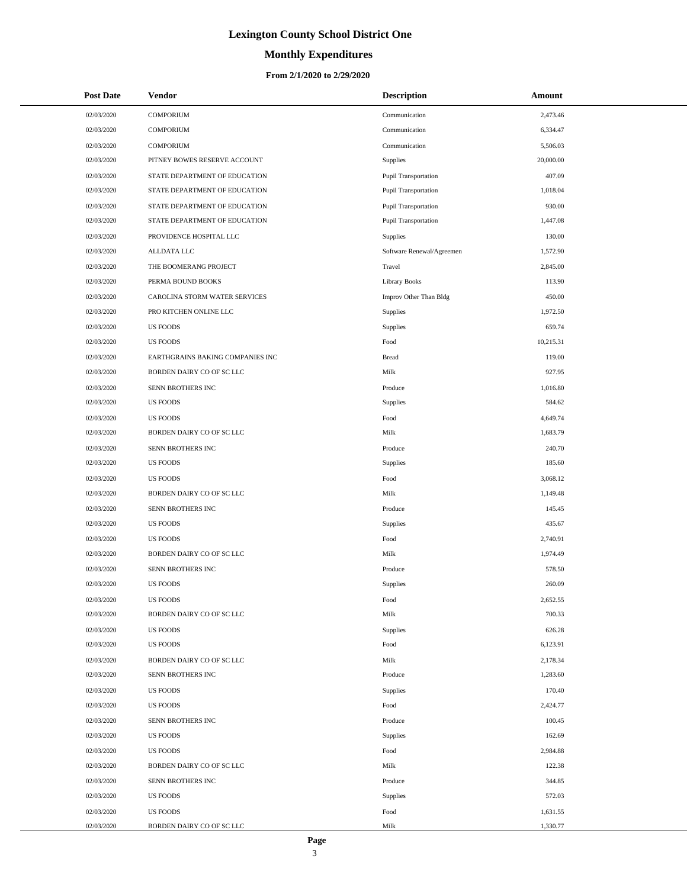# **Monthly Expenditures**

#### **From 2/1/2020 to 2/29/2020**

| <b>Post Date</b> | <b>Vendor</b>                    | <b>Description</b>          | Amount    |
|------------------|----------------------------------|-----------------------------|-----------|
| 02/03/2020       | <b>COMPORIUM</b>                 | Communication               | 2,473.46  |
| 02/03/2020       | <b>COMPORIUM</b>                 | Communication               | 6,334.47  |
| 02/03/2020       | <b>COMPORIUM</b>                 | Communication               | 5,506.03  |
| 02/03/2020       | PITNEY BOWES RESERVE ACCOUNT     | Supplies                    | 20,000.00 |
| 02/03/2020       | STATE DEPARTMENT OF EDUCATION    | Pupil Transportation        | 407.09    |
| 02/03/2020       | STATE DEPARTMENT OF EDUCATION    | <b>Pupil Transportation</b> | 1,018.04  |
| 02/03/2020       | STATE DEPARTMENT OF EDUCATION    | <b>Pupil Transportation</b> | 930.00    |
| 02/03/2020       | STATE DEPARTMENT OF EDUCATION    | Pupil Transportation        | 1,447.08  |
| 02/03/2020       | PROVIDENCE HOSPITAL LLC          | Supplies                    | 130.00    |
| 02/03/2020       | ALLDATA LLC                      | Software Renewal/Agreemen   | 1,572.90  |
| 02/03/2020       | THE BOOMERANG PROJECT            | Travel                      | 2,845.00  |
| 02/03/2020       | PERMA BOUND BOOKS                | <b>Library Books</b>        | 113.90    |
| 02/03/2020       | CAROLINA STORM WATER SERVICES    | Improv Other Than Bldg      | 450.00    |
| 02/03/2020       | PRO KITCHEN ONLINE LLC           | Supplies                    | 1,972.50  |
| 02/03/2020       | <b>US FOODS</b>                  | Supplies                    | 659.74    |
| 02/03/2020       | <b>US FOODS</b>                  | Food                        | 10,215.31 |
| 02/03/2020       | EARTHGRAINS BAKING COMPANIES INC | <b>Bread</b>                | 119.00    |
| 02/03/2020       | BORDEN DAIRY CO OF SC LLC        | Milk                        | 927.95    |
| 02/03/2020       | SENN BROTHERS INC                | Produce                     | 1,016.80  |
| 02/03/2020       | <b>US FOODS</b>                  | Supplies                    | 584.62    |
| 02/03/2020       | <b>US FOODS</b>                  | Food                        | 4,649.74  |
| 02/03/2020       | BORDEN DAIRY CO OF SC LLC        | Milk                        | 1,683.79  |
| 02/03/2020       | SENN BROTHERS INC                | Produce                     | 240.70    |
| 02/03/2020       | <b>US FOODS</b>                  | Supplies                    | 185.60    |
| 02/03/2020       | <b>US FOODS</b>                  | Food                        | 3,068.12  |
| 02/03/2020       | BORDEN DAIRY CO OF SC LLC        | Milk                        | 1,149.48  |
| 02/03/2020       | SENN BROTHERS INC                | Produce                     | 145.45    |
| 02/03/2020       | <b>US FOODS</b>                  | Supplies                    | 435.67    |
| 02/03/2020       | <b>US FOODS</b>                  | Food                        | 2,740.91  |
| 02/03/2020       | BORDEN DAIRY CO OF SC LLC        | Milk                        | 1,974.49  |
| 02/03/2020       | SENN BROTHERS INC                | Produce                     | 578.50    |
| 02/03/2020       | <b>US FOODS</b>                  | Supplies                    | 260.09    |
| 02/03/2020       | US FOODS                         | Food                        | 2,652.55  |
| 02/03/2020       | BORDEN DAIRY CO OF SC LLC        | Milk                        | 700.33    |
| 02/03/2020       | <b>US FOODS</b>                  | Supplies                    | 626.28    |
| 02/03/2020       | <b>US FOODS</b>                  | Food                        | 6,123.91  |
| 02/03/2020       | BORDEN DAIRY CO OF SC LLC        | Milk                        | 2,178.34  |
| 02/03/2020       | SENN BROTHERS INC                | Produce                     | 1,283.60  |
| 02/03/2020       | <b>US FOODS</b>                  | Supplies                    | 170.40    |
| 02/03/2020       | <b>US FOODS</b>                  | Food                        | 2,424.77  |
| 02/03/2020       | SENN BROTHERS INC                | Produce                     | 100.45    |
| 02/03/2020       | <b>US FOODS</b>                  | Supplies                    | 162.69    |
| 02/03/2020       | <b>US FOODS</b>                  | Food                        | 2,984.88  |
| 02/03/2020       | BORDEN DAIRY CO OF SC LLC        | Milk                        | 122.38    |
| 02/03/2020       | SENN BROTHERS INC                | Produce                     | 344.85    |
| 02/03/2020       | <b>US FOODS</b>                  | Supplies                    | 572.03    |
| 02/03/2020       | <b>US FOODS</b>                  | Food                        | 1,631.55  |
| 02/03/2020       | BORDEN DAIRY CO OF SC LLC        | Milk                        | 1,330.77  |

 $\overline{a}$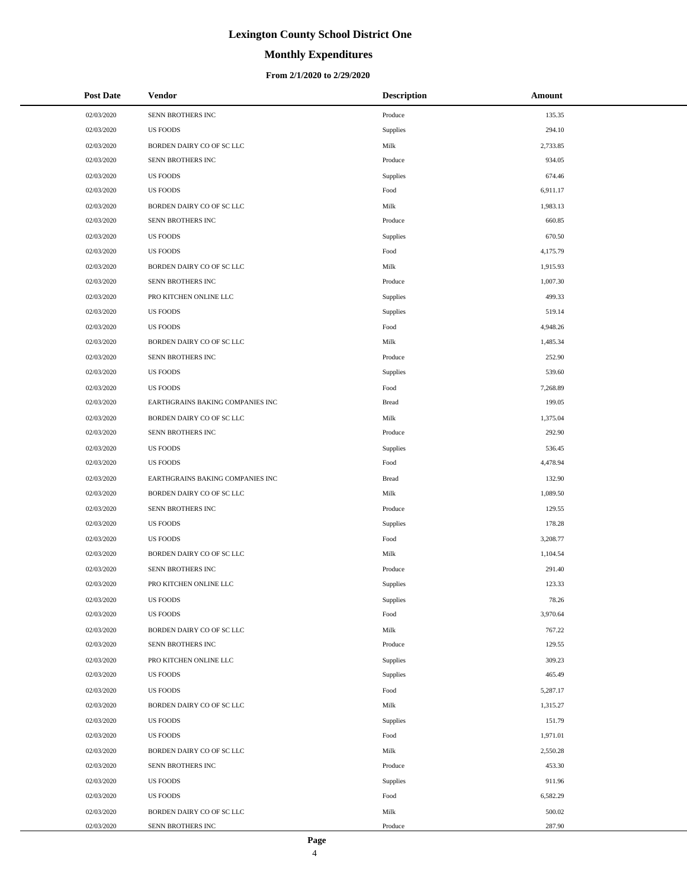#### **Monthly Expenditures**

#### **From 2/1/2020 to 2/29/2020**

| <b>Post Date</b> | <b>Vendor</b>                    | <b>Description</b> | Amount   |
|------------------|----------------------------------|--------------------|----------|
| 02/03/2020       | SENN BROTHERS INC                | Produce            | 135.35   |
| 02/03/2020       | <b>US FOODS</b>                  | Supplies           | 294.10   |
| 02/03/2020       | BORDEN DAIRY CO OF SC LLC        | Milk               | 2,733.85 |
| 02/03/2020       | SENN BROTHERS INC                | Produce            | 934.05   |
| 02/03/2020       | <b>US FOODS</b>                  | <b>Supplies</b>    | 674.46   |
| 02/03/2020       | <b>US FOODS</b>                  | Food               | 6,911.17 |
| 02/03/2020       | BORDEN DAIRY CO OF SC LLC        | Milk               | 1,983.13 |
| 02/03/2020       | SENN BROTHERS INC                | Produce            | 660.85   |
| 02/03/2020       | <b>US FOODS</b>                  | Supplies           | 670.50   |
| 02/03/2020       | <b>US FOODS</b>                  | Food               | 4,175.79 |
| 02/03/2020       | BORDEN DAIRY CO OF SC LLC        | Milk               | 1,915.93 |
| 02/03/2020       | SENN BROTHERS INC                | Produce            | 1,007.30 |
| 02/03/2020       | PRO KITCHEN ONLINE LLC           | <b>Supplies</b>    | 499.33   |
| 02/03/2020       | <b>US FOODS</b>                  | Supplies           | 519.14   |
| 02/03/2020       | <b>US FOODS</b>                  | Food               | 4,948.26 |
| 02/03/2020       | BORDEN DAIRY CO OF SC LLC        | Milk               | 1,485.34 |
| 02/03/2020       | SENN BROTHERS INC                | Produce            | 252.90   |
| 02/03/2020       | <b>US FOODS</b>                  | Supplies           | 539.60   |
| 02/03/2020       | <b>US FOODS</b>                  | Food               | 7,268.89 |
| 02/03/2020       | EARTHGRAINS BAKING COMPANIES INC | <b>Bread</b>       | 199.05   |
| 02/03/2020       | BORDEN DAIRY CO OF SC LLC        | Milk               | 1,375.04 |
| 02/03/2020       | SENN BROTHERS INC                | Produce            | 292.90   |
| 02/03/2020       | <b>US FOODS</b>                  | Supplies           | 536.45   |
| 02/03/2020       | <b>US FOODS</b>                  | Food               | 4,478.94 |
| 02/03/2020       | EARTHGRAINS BAKING COMPANIES INC | <b>Bread</b>       | 132.90   |
| 02/03/2020       | BORDEN DAIRY CO OF SC LLC        | Milk               | 1,089.50 |
| 02/03/2020       | SENN BROTHERS INC                | Produce            | 129.55   |
| 02/03/2020       | <b>US FOODS</b>                  | Supplies           | 178.28   |
| 02/03/2020       | <b>US FOODS</b>                  | Food               | 3,208.77 |
| 02/03/2020       | BORDEN DAIRY CO OF SC LLC        | Milk               | 1,104.54 |
| 02/03/2020       | SENN BROTHERS INC                | Produce            | 291.40   |
| 02/03/2020       | PRO KITCHEN ONLINE LLC           | Supplies           | 123.33   |
| 02/03/2020       | <b>US FOODS</b>                  | Supplies           | 78.26    |
| 02/03/2020       | <b>US FOODS</b>                  | Food               | 3,970.64 |
| 02/03/2020       | BORDEN DAIRY CO OF SC LLC        | Milk               | 767.22   |
| 02/03/2020       | SENN BROTHERS INC                | Produce            | 129.55   |
| 02/03/2020       | PRO KITCHEN ONLINE LLC           | Supplies           | 309.23   |
| 02/03/2020       | <b>US FOODS</b>                  | Supplies           | 465.49   |
| 02/03/2020       | <b>US FOODS</b>                  | Food               | 5,287.17 |
| 02/03/2020       | BORDEN DAIRY CO OF SC LLC        | Milk               | 1,315.27 |
| 02/03/2020       | <b>US FOODS</b>                  | Supplies           | 151.79   |
| 02/03/2020       | <b>US FOODS</b>                  | Food               | 1,971.01 |
| 02/03/2020       | BORDEN DAIRY CO OF SC LLC        | Milk               | 2,550.28 |
| 02/03/2020       | SENN BROTHERS INC                | Produce            | 453.30   |
| 02/03/2020       | <b>US FOODS</b>                  | Supplies           | 911.96   |
| 02/03/2020       | <b>US FOODS</b>                  | Food               | 6,582.29 |
| 02/03/2020       | BORDEN DAIRY CO OF SC LLC        | Milk               | 500.02   |
| 02/03/2020       | SENN BROTHERS INC                | Produce            | 287.90   |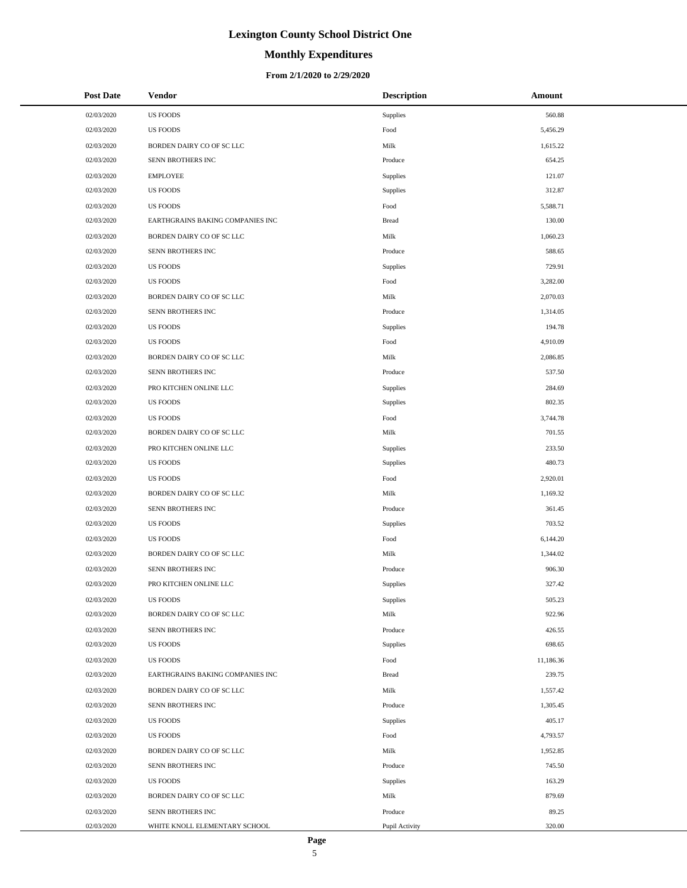# **Monthly Expenditures**

| <b>Post Date</b> | Vendor                           | <b>Description</b> | Amount    |  |
|------------------|----------------------------------|--------------------|-----------|--|
| 02/03/2020       | <b>US FOODS</b>                  | <b>Supplies</b>    | 560.88    |  |
| 02/03/2020       | <b>US FOODS</b>                  | Food               | 5,456.29  |  |
| 02/03/2020       | BORDEN DAIRY CO OF SC LLC        | Milk               | 1,615.22  |  |
| 02/03/2020       | SENN BROTHERS INC                | Produce            | 654.25    |  |
| 02/03/2020       | <b>EMPLOYEE</b>                  | Supplies           | 121.07    |  |
| 02/03/2020       | <b>US FOODS</b>                  | Supplies           | 312.87    |  |
| 02/03/2020       | <b>US FOODS</b>                  | Food               | 5,588.71  |  |
| 02/03/2020       | EARTHGRAINS BAKING COMPANIES INC | <b>Bread</b>       | 130.00    |  |
| 02/03/2020       | BORDEN DAIRY CO OF SC LLC        | Milk               | 1,060.23  |  |
| 02/03/2020       | SENN BROTHERS INC                | Produce            | 588.65    |  |
| 02/03/2020       | <b>US FOODS</b>                  | Supplies           | 729.91    |  |
| 02/03/2020       | <b>US FOODS</b>                  | Food               | 3,282.00  |  |
| 02/03/2020       | BORDEN DAIRY CO OF SC LLC        | Milk               | 2,070.03  |  |
| 02/03/2020       | SENN BROTHERS INC                | Produce            | 1,314.05  |  |
| 02/03/2020       | <b>US FOODS</b>                  | Supplies           | 194.78    |  |
| 02/03/2020       | <b>US FOODS</b>                  | Food               | 4,910.09  |  |
| 02/03/2020       | BORDEN DAIRY CO OF SC LLC        | Milk               | 2,086.85  |  |
| 02/03/2020       | SENN BROTHERS INC                | Produce            | 537.50    |  |
| 02/03/2020       | PRO KITCHEN ONLINE LLC           | Supplies           | 284.69    |  |
| 02/03/2020       | <b>US FOODS</b>                  | Supplies           | 802.35    |  |
| 02/03/2020       | <b>US FOODS</b>                  | Food               | 3,744.78  |  |
| 02/03/2020       | BORDEN DAIRY CO OF SC LLC        | Milk               | 701.55    |  |
| 02/03/2020       | PRO KITCHEN ONLINE LLC           | Supplies           | 233.50    |  |
| 02/03/2020       | <b>US FOODS</b>                  | Supplies           | 480.73    |  |
| 02/03/2020       | <b>US FOODS</b>                  | Food               | 2,920.01  |  |
| 02/03/2020       | BORDEN DAIRY CO OF SC LLC        | Milk               | 1,169.32  |  |
| 02/03/2020       | SENN BROTHERS INC                | Produce            | 361.45    |  |
| 02/03/2020       | <b>US FOODS</b>                  | Supplies           | 703.52    |  |
| 02/03/2020       | <b>US FOODS</b>                  | Food               | 6,144.20  |  |
| 02/03/2020       | BORDEN DAIRY CO OF SC LLC        | Milk               | 1,344.02  |  |
| 02/03/2020       | SENN BROTHERS INC                | Produce            | 906.30    |  |
| 02/03/2020       | PRO KITCHEN ONLINE LLC           | <b>Supplies</b>    | 327.42    |  |
| 02/03/2020       | <b>US FOODS</b>                  | Supplies           | 505.23    |  |
| 02/03/2020       | BORDEN DAIRY CO OF SC LLC        | Milk               | 922.96    |  |
| 02/03/2020       | SENN BROTHERS INC                | Produce            | 426.55    |  |
| 02/03/2020       | <b>US FOODS</b>                  | <b>Supplies</b>    | 698.65    |  |
| 02/03/2020       | <b>US FOODS</b>                  | Food               | 11,186.36 |  |
| 02/03/2020       | EARTHGRAINS BAKING COMPANIES INC | <b>Bread</b>       | 239.75    |  |
| 02/03/2020       | BORDEN DAIRY CO OF SC LLC        | Milk               | 1,557.42  |  |
| 02/03/2020       | SENN BROTHERS INC                | Produce            | 1,305.45  |  |
| 02/03/2020       | <b>US FOODS</b>                  | <b>Supplies</b>    | 405.17    |  |
| 02/03/2020       | <b>US FOODS</b>                  | Food               | 4,793.57  |  |
| 02/03/2020       | BORDEN DAIRY CO OF SC LLC        | Milk               | 1,952.85  |  |
| 02/03/2020       | SENN BROTHERS INC                | Produce            | 745.50    |  |
| 02/03/2020       | <b>US FOODS</b>                  | <b>Supplies</b>    | 163.29    |  |
| 02/03/2020       | BORDEN DAIRY CO OF SC LLC        | Milk               | 879.69    |  |
| 02/03/2020       | SENN BROTHERS INC                | Produce            | 89.25     |  |
| 02/03/2020       | WHITE KNOLL ELEMENTARY SCHOOL    | Pupil Activity     | 320.00    |  |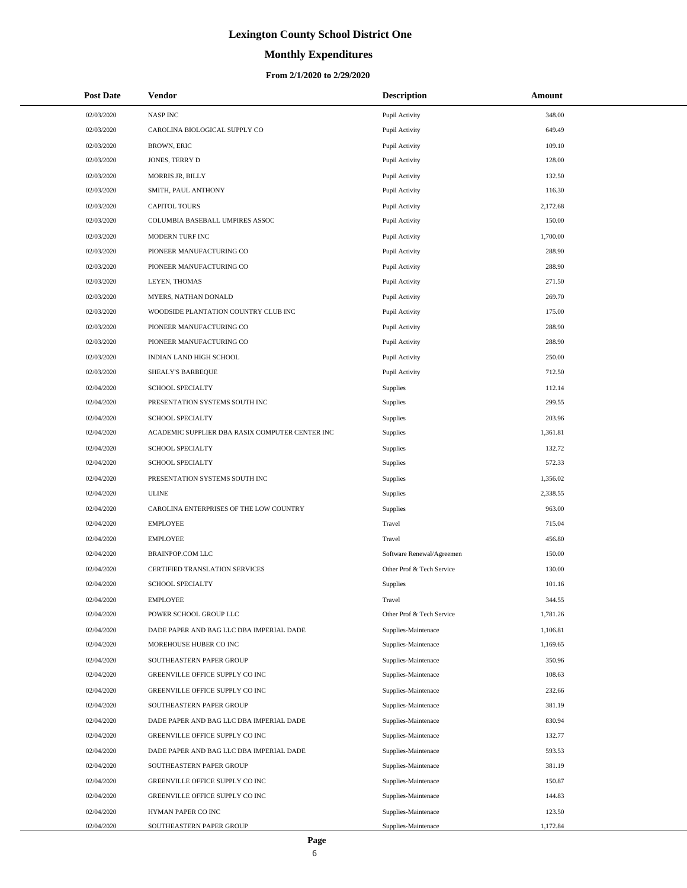# **Monthly Expenditures**

#### **From 2/1/2020 to 2/29/2020**

| <b>Post Date</b> | <b>Vendor</b>                                   | <b>Description</b>        | Amount   |  |
|------------------|-------------------------------------------------|---------------------------|----------|--|
| 02/03/2020       | <b>NASPINC</b>                                  | Pupil Activity            | 348.00   |  |
| 02/03/2020       | CAROLINA BIOLOGICAL SUPPLY CO                   | Pupil Activity            | 649.49   |  |
| 02/03/2020       | <b>BROWN, ERIC</b>                              | Pupil Activity            | 109.10   |  |
| 02/03/2020       | JONES, TERRY D                                  | Pupil Activity            | 128.00   |  |
| 02/03/2020       | MORRIS JR, BILLY                                | Pupil Activity            | 132.50   |  |
| 02/03/2020       | SMITH, PAUL ANTHONY                             | Pupil Activity            | 116.30   |  |
| 02/03/2020       | <b>CAPITOL TOURS</b>                            | Pupil Activity            | 2,172.68 |  |
| 02/03/2020       | COLUMBIA BASEBALL UMPIRES ASSOC                 | Pupil Activity            | 150.00   |  |
| 02/03/2020       | MODERN TURF INC                                 | Pupil Activity            | 1,700.00 |  |
| 02/03/2020       | PIONEER MANUFACTURING CO                        | Pupil Activity            | 288.90   |  |
| 02/03/2020       | PIONEER MANUFACTURING CO                        | Pupil Activity            | 288.90   |  |
| 02/03/2020       | LEYEN, THOMAS                                   | Pupil Activity            | 271.50   |  |
| 02/03/2020       | MYERS, NATHAN DONALD                            | Pupil Activity            | 269.70   |  |
| 02/03/2020       | WOODSIDE PLANTATION COUNTRY CLUB INC            | Pupil Activity            | 175.00   |  |
| 02/03/2020       | PIONEER MANUFACTURING CO                        | Pupil Activity            | 288.90   |  |
| 02/03/2020       | PIONEER MANUFACTURING CO                        | Pupil Activity            | 288.90   |  |
| 02/03/2020       | INDIAN LAND HIGH SCHOOL                         | Pupil Activity            | 250.00   |  |
| 02/03/2020       | SHEALY'S BARBEQUE                               | Pupil Activity            | 712.50   |  |
| 02/04/2020       | <b>SCHOOL SPECIALTY</b>                         | Supplies                  | 112.14   |  |
| 02/04/2020       | PRESENTATION SYSTEMS SOUTH INC                  | Supplies                  | 299.55   |  |
| 02/04/2020       | SCHOOL SPECIALTY                                | Supplies                  | 203.96   |  |
| 02/04/2020       | ACADEMIC SUPPLIER DBA RASIX COMPUTER CENTER INC | Supplies                  | 1,361.81 |  |
| 02/04/2020       | SCHOOL SPECIALTY                                | Supplies                  | 132.72   |  |
| 02/04/2020       | SCHOOL SPECIALTY                                | Supplies                  | 572.33   |  |
| 02/04/2020       | PRESENTATION SYSTEMS SOUTH INC                  | Supplies                  | 1,356.02 |  |
| 02/04/2020       | <b>ULINE</b>                                    | Supplies                  | 2,338.55 |  |
| 02/04/2020       | CAROLINA ENTERPRISES OF THE LOW COUNTRY         | Supplies                  | 963.00   |  |
| 02/04/2020       | <b>EMPLOYEE</b>                                 | Travel                    | 715.04   |  |
| 02/04/2020       | <b>EMPLOYEE</b>                                 | Travel                    | 456.80   |  |
| 02/04/2020       | <b>BRAINPOP.COM LLC</b>                         | Software Renewal/Agreemen | 150.00   |  |
| 02/04/2020       | CERTIFIED TRANSLATION SERVICES                  | Other Prof & Tech Service | 130.00   |  |
| 02/04/2020       | <b>SCHOOL SPECIALTY</b>                         | Supplies                  | 101.16   |  |
| 02/04/2020       | <b>EMPLOYEE</b>                                 | Travel                    | 344.55   |  |
| 02/04/2020       | POWER SCHOOL GROUP LLC                          | Other Prof & Tech Service | 1,781.26 |  |
| 02/04/2020       | DADE PAPER AND BAG LLC DBA IMPERIAL DADE        | Supplies-Maintenace       | 1,106.81 |  |
| 02/04/2020       | MOREHOUSE HUBER CO INC                          | Supplies-Maintenace       | 1,169.65 |  |
| 02/04/2020       | SOUTHEASTERN PAPER GROUP                        | Supplies-Maintenace       | 350.96   |  |
| 02/04/2020       | GREENVILLE OFFICE SUPPLY CO INC                 | Supplies-Maintenace       | 108.63   |  |
| 02/04/2020       | GREENVILLE OFFICE SUPPLY CO INC                 | Supplies-Maintenace       | 232.66   |  |
| 02/04/2020       | SOUTHEASTERN PAPER GROUP                        | Supplies-Maintenace       | 381.19   |  |
| 02/04/2020       | DADE PAPER AND BAG LLC DBA IMPERIAL DADE        | Supplies-Maintenace       | 830.94   |  |
| 02/04/2020       | GREENVILLE OFFICE SUPPLY CO INC                 | Supplies-Maintenace       | 132.77   |  |
| 02/04/2020       | DADE PAPER AND BAG LLC DBA IMPERIAL DADE        | Supplies-Maintenace       | 593.53   |  |
| 02/04/2020       | SOUTHEASTERN PAPER GROUP                        | Supplies-Maintenace       | 381.19   |  |
| 02/04/2020       | GREENVILLE OFFICE SUPPLY CO INC                 | Supplies-Maintenace       | 150.87   |  |
| 02/04/2020       | GREENVILLE OFFICE SUPPLY CO INC                 | Supplies-Maintenace       | 144.83   |  |
| 02/04/2020       | HYMAN PAPER CO INC                              | Supplies-Maintenace       | 123.50   |  |
| 02/04/2020       | SOUTHEASTERN PAPER GROUP                        | Supplies-Maintenace       | 1,172.84 |  |

 $\overline{a}$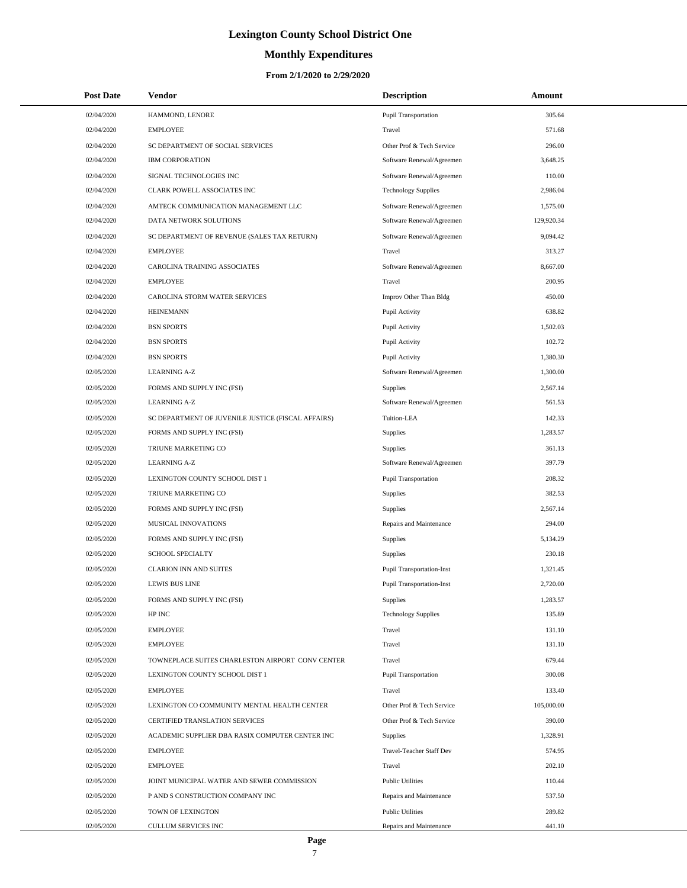# **Monthly Expenditures**

| <b>Post Date</b> | Vendor                                             | <b>Description</b>               | Amount     |  |
|------------------|----------------------------------------------------|----------------------------------|------------|--|
| 02/04/2020       | HAMMOND, LENORE                                    | <b>Pupil Transportation</b>      | 305.64     |  |
| 02/04/2020       | <b>EMPLOYEE</b>                                    | Travel                           | 571.68     |  |
| 02/04/2020       | SC DEPARTMENT OF SOCIAL SERVICES                   | Other Prof & Tech Service        | 296.00     |  |
| 02/04/2020       | <b>IBM CORPORATION</b>                             | Software Renewal/Agreemen        | 3,648.25   |  |
| 02/04/2020       | SIGNAL TECHNOLOGIES INC                            | Software Renewal/Agreemen        | 110.00     |  |
| 02/04/2020       | CLARK POWELL ASSOCIATES INC                        | <b>Technology Supplies</b>       | 2,986.04   |  |
| 02/04/2020       | AMTECK COMMUNICATION MANAGEMENT LLC                | Software Renewal/Agreemen        | 1,575.00   |  |
| 02/04/2020       | DATA NETWORK SOLUTIONS                             | Software Renewal/Agreemen        | 129,920.34 |  |
| 02/04/2020       | SC DEPARTMENT OF REVENUE (SALES TAX RETURN)        | Software Renewal/Agreemen        | 9,094.42   |  |
| 02/04/2020       | <b>EMPLOYEE</b>                                    | Travel                           | 313.27     |  |
| 02/04/2020       | CAROLINA TRAINING ASSOCIATES                       | Software Renewal/Agreemen        | 8,667.00   |  |
| 02/04/2020       | <b>EMPLOYEE</b>                                    | Travel                           | 200.95     |  |
| 02/04/2020       | CAROLINA STORM WATER SERVICES                      | Improv Other Than Bldg           | 450.00     |  |
| 02/04/2020       | <b>HEINEMANN</b>                                   | Pupil Activity                   | 638.82     |  |
| 02/04/2020       | <b>BSN SPORTS</b>                                  | Pupil Activity                   | 1,502.03   |  |
| 02/04/2020       | <b>BSN SPORTS</b>                                  | Pupil Activity                   | 102.72     |  |
| 02/04/2020       | <b>BSN SPORTS</b>                                  | Pupil Activity                   | 1,380.30   |  |
| 02/05/2020       | <b>LEARNING A-Z</b>                                | Software Renewal/Agreemen        | 1,300.00   |  |
| 02/05/2020       | FORMS AND SUPPLY INC (FSI)                         | Supplies                         | 2,567.14   |  |
| 02/05/2020       | <b>LEARNING A-Z</b>                                | Software Renewal/Agreemen        | 561.53     |  |
| 02/05/2020       | SC DEPARTMENT OF JUVENILE JUSTICE (FISCAL AFFAIRS) | Tuition-LEA                      | 142.33     |  |
| 02/05/2020       | FORMS AND SUPPLY INC (FSI)                         | Supplies                         | 1,283.57   |  |
| 02/05/2020       | TRIUNE MARKETING CO                                | Supplies                         | 361.13     |  |
| 02/05/2020       | <b>LEARNING A-Z</b>                                | Software Renewal/Agreemen        | 397.79     |  |
| 02/05/2020       | LEXINGTON COUNTY SCHOOL DIST 1                     | <b>Pupil Transportation</b>      | 208.32     |  |
| 02/05/2020       | TRIUNE MARKETING CO                                | Supplies                         | 382.53     |  |
| 02/05/2020       | FORMS AND SUPPLY INC (FSI)                         | Supplies                         | 2,567.14   |  |
| 02/05/2020       | MUSICAL INNOVATIONS                                | Repairs and Maintenance          | 294.00     |  |
| 02/05/2020       | FORMS AND SUPPLY INC (FSI)                         | Supplies                         | 5,134.29   |  |
| 02/05/2020       | <b>SCHOOL SPECIALTY</b>                            | Supplies                         | 230.18     |  |
| 02/05/2020       | <b>CLARION INN AND SUITES</b>                      | <b>Pupil Transportation-Inst</b> | 1,321.45   |  |
| 02/05/2020       | <b>LEWIS BUS LINE</b>                              | <b>Pupil Transportation-Inst</b> | 2,720.00   |  |
| 02/05/2020       | FORMS AND SUPPLY INC (FSI)                         | Supplies                         | 1,283.57   |  |
| 02/05/2020       | HP INC                                             | <b>Technology Supplies</b>       | 135.89     |  |
| 02/05/2020       | <b>EMPLOYEE</b>                                    | Travel                           | 131.10     |  |
| 02/05/2020       | <b>EMPLOYEE</b>                                    | Travel                           | 131.10     |  |
| 02/05/2020       | TOWNEPLACE SUITES CHARLESTON AIRPORT CONV CENTER   | Travel                           | 679.44     |  |
| 02/05/2020       | LEXINGTON COUNTY SCHOOL DIST 1                     | <b>Pupil Transportation</b>      | 300.08     |  |
| 02/05/2020       | <b>EMPLOYEE</b>                                    | Travel                           | 133.40     |  |
| 02/05/2020       | LEXINGTON CO COMMUNITY MENTAL HEALTH CENTER        | Other Prof & Tech Service        | 105,000.00 |  |
| 02/05/2020       | CERTIFIED TRANSLATION SERVICES                     | Other Prof & Tech Service        | 390.00     |  |
| 02/05/2020       | ACADEMIC SUPPLIER DBA RASIX COMPUTER CENTER INC    | <b>Supplies</b>                  | 1,328.91   |  |
| 02/05/2020       | <b>EMPLOYEE</b>                                    | Travel-Teacher Staff Dev         | 574.95     |  |
| 02/05/2020       | <b>EMPLOYEE</b>                                    | Travel                           | 202.10     |  |
| 02/05/2020       | JOINT MUNICIPAL WATER AND SEWER COMMISSION         | <b>Public Utilities</b>          | 110.44     |  |
| 02/05/2020       | P AND S CONSTRUCTION COMPANY INC                   | Repairs and Maintenance          | 537.50     |  |
| 02/05/2020       | TOWN OF LEXINGTON                                  | <b>Public Utilities</b>          | 289.82     |  |
| 02/05/2020       | CULLUM SERVICES INC                                | Repairs and Maintenance          | 441.10     |  |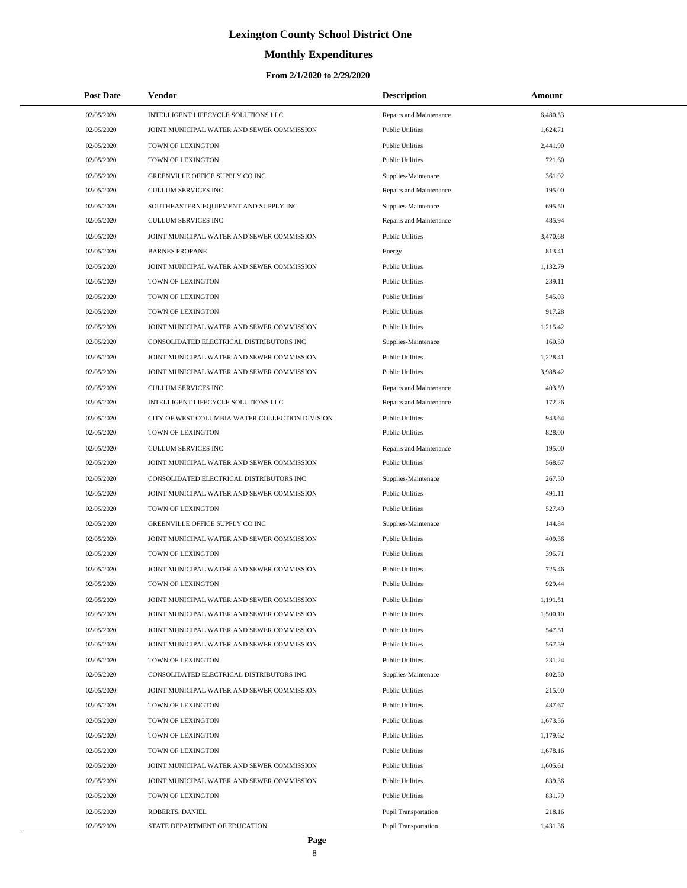# **Monthly Expenditures**

| <b>Post Date</b> | Vendor                                          | <b>Description</b>      | Amount   |
|------------------|-------------------------------------------------|-------------------------|----------|
| 02/05/2020       | INTELLIGENT LIFECYCLE SOLUTIONS LLC             | Repairs and Maintenance | 6,480.53 |
| 02/05/2020       | JOINT MUNICIPAL WATER AND SEWER COMMISSION      | <b>Public Utilities</b> | 1,624.71 |
| 02/05/2020       | TOWN OF LEXINGTON                               | <b>Public Utilities</b> | 2,441.90 |
| 02/05/2020       | TOWN OF LEXINGTON                               | <b>Public Utilities</b> | 721.60   |
| 02/05/2020       | GREENVILLE OFFICE SUPPLY CO INC                 | Supplies-Maintenace     | 361.92   |
| 02/05/2020       | <b>CULLUM SERVICES INC</b>                      | Repairs and Maintenance | 195.00   |
| 02/05/2020       | SOUTHEASTERN EQUIPMENT AND SUPPLY INC           | Supplies-Maintenace     | 695.50   |
| 02/05/2020       | CULLUM SERVICES INC                             | Repairs and Maintenance | 485.94   |
| 02/05/2020       | JOINT MUNICIPAL WATER AND SEWER COMMISSION      | <b>Public Utilities</b> | 3,470.68 |
| 02/05/2020       | <b>BARNES PROPANE</b>                           | Energy                  | 813.41   |
| 02/05/2020       | JOINT MUNICIPAL WATER AND SEWER COMMISSION      | <b>Public Utilities</b> | 1,132.79 |
| 02/05/2020       | TOWN OF LEXINGTON                               | <b>Public Utilities</b> | 239.11   |
| 02/05/2020       | TOWN OF LEXINGTON                               | <b>Public Utilities</b> | 545.03   |
| 02/05/2020       | TOWN OF LEXINGTON                               | <b>Public Utilities</b> | 917.28   |
| 02/05/2020       | JOINT MUNICIPAL WATER AND SEWER COMMISSION      | <b>Public Utilities</b> | 1,215.42 |
| 02/05/2020       | CONSOLIDATED ELECTRICAL DISTRIBUTORS INC        | Supplies-Maintenace     | 160.50   |
| 02/05/2020       | JOINT MUNICIPAL WATER AND SEWER COMMISSION      | <b>Public Utilities</b> | 1,228.41 |
| 02/05/2020       | JOINT MUNICIPAL WATER AND SEWER COMMISSION      | <b>Public Utilities</b> | 3,988.42 |
| 02/05/2020       | CULLUM SERVICES INC                             | Repairs and Maintenance | 403.59   |
| 02/05/2020       | INTELLIGENT LIFECYCLE SOLUTIONS LLC             | Repairs and Maintenance | 172.26   |
| 02/05/2020       | CITY OF WEST COLUMBIA WATER COLLECTION DIVISION | <b>Public Utilities</b> | 943.64   |
| 02/05/2020       | TOWN OF LEXINGTON                               | <b>Public Utilities</b> | 828.00   |
| 02/05/2020       | CULLUM SERVICES INC                             | Repairs and Maintenance | 195.00   |
| 02/05/2020       | JOINT MUNICIPAL WATER AND SEWER COMMISSION      | <b>Public Utilities</b> | 568.67   |
| 02/05/2020       | CONSOLIDATED ELECTRICAL DISTRIBUTORS INC        | Supplies-Maintenace     | 267.50   |
| 02/05/2020       | JOINT MUNICIPAL WATER AND SEWER COMMISSION      | <b>Public Utilities</b> | 491.11   |
| 02/05/2020       | TOWN OF LEXINGTON                               | <b>Public Utilities</b> | 527.49   |
| 02/05/2020       | GREENVILLE OFFICE SUPPLY CO INC                 | Supplies-Maintenace     | 144.84   |
| 02/05/2020       | JOINT MUNICIPAL WATER AND SEWER COMMISSION      | <b>Public Utilities</b> | 409.36   |
| 02/05/2020       | TOWN OF LEXINGTON                               | <b>Public Utilities</b> | 395.71   |
| 02/05/2020       | JOINT MUNICIPAL WATER AND SEWER COMMISSION      | <b>Public Utilities</b> | 725.46   |
| 02/05/2020       | TOWN OF LEXINGTON                               | <b>Public Utilities</b> | 929.44   |
| 02/05/2020       | JOINT MUNICIPAL WATER AND SEWER COMMISSION      | <b>Public Utilities</b> | 1,191.51 |
| 02/05/2020       | JOINT MUNICIPAL WATER AND SEWER COMMISSION      | <b>Public Utilities</b> | 1,500.10 |
| 02/05/2020       | JOINT MUNICIPAL WATER AND SEWER COMMISSION      | <b>Public Utilities</b> | 547.51   |
| 02/05/2020       | JOINT MUNICIPAL WATER AND SEWER COMMISSION      | <b>Public Utilities</b> | 567.59   |
| 02/05/2020       | TOWN OF LEXINGTON                               | <b>Public Utilities</b> | 231.24   |
| 02/05/2020       | CONSOLIDATED ELECTRICAL DISTRIBUTORS INC        | Supplies-Maintenace     | 802.50   |
| 02/05/2020       | JOINT MUNICIPAL WATER AND SEWER COMMISSION      | <b>Public Utilities</b> | 215.00   |
| 02/05/2020       | TOWN OF LEXINGTON                               | <b>Public Utilities</b> | 487.67   |
| 02/05/2020       | TOWN OF LEXINGTON                               | <b>Public Utilities</b> | 1,673.56 |
| 02/05/2020       | TOWN OF LEXINGTON                               | <b>Public Utilities</b> | 1,179.62 |
| 02/05/2020       | TOWN OF LEXINGTON                               | <b>Public Utilities</b> | 1,678.16 |
| 02/05/2020       | JOINT MUNICIPAL WATER AND SEWER COMMISSION      | <b>Public Utilities</b> | 1,605.61 |
| 02/05/2020       | JOINT MUNICIPAL WATER AND SEWER COMMISSION      | <b>Public Utilities</b> | 839.36   |
| 02/05/2020       | TOWN OF LEXINGTON                               | <b>Public Utilities</b> | 831.79   |
| 02/05/2020       | ROBERTS, DANIEL                                 | Pupil Transportation    | 218.16   |
| 02/05/2020       | STATE DEPARTMENT OF EDUCATION                   | Pupil Transportation    | 1,431.36 |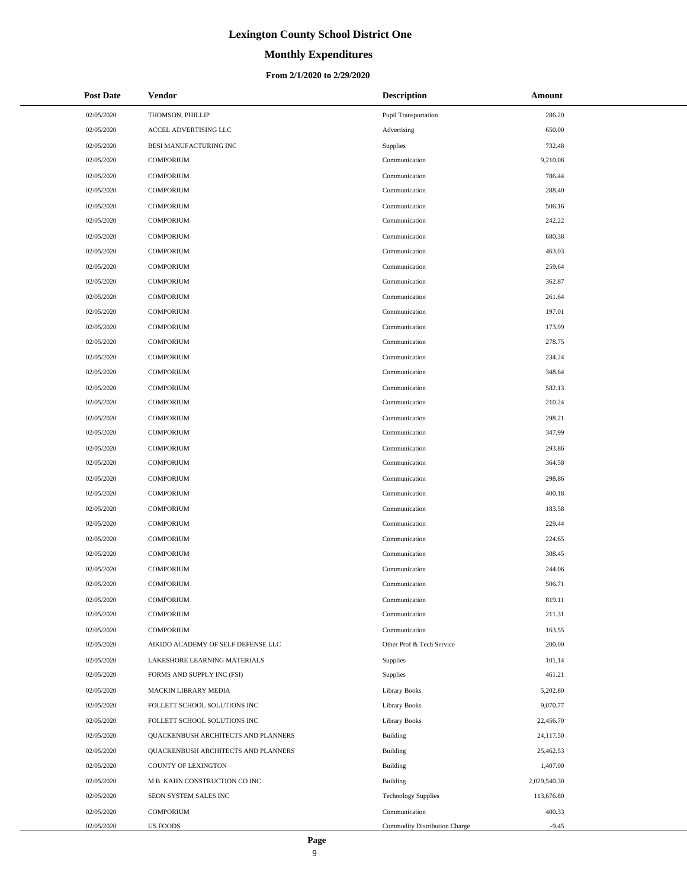#### **Monthly Expenditures**

#### **From 2/1/2020 to 2/29/2020**

| <b>Post Date</b> | Vendor                              | <b>Description</b>            | Amount       |
|------------------|-------------------------------------|-------------------------------|--------------|
| 02/05/2020       | THOMSON, PHILLIP                    | Pupil Transportation          | 286.20       |
| 02/05/2020       | ACCEL ADVERTISING LLC               | Advertising                   | 650.00       |
| 02/05/2020       | BESI MANUFACTURING INC              | Supplies                      | 732.48       |
| 02/05/2020       | <b>COMPORIUM</b>                    | Communication                 | 9,210.08     |
| 02/05/2020       | <b>COMPORIUM</b>                    | Communication                 | 786.44       |
| 02/05/2020       | <b>COMPORIUM</b>                    | Communication                 | 288.40       |
| 02/05/2020       | <b>COMPORIUM</b>                    | Communication                 | 506.16       |
| 02/05/2020       | <b>COMPORIUM</b>                    | Communication                 | 242.22       |
| 02/05/2020       | <b>COMPORIUM</b>                    | Communication                 | 680.38       |
| 02/05/2020       | <b>COMPORIUM</b>                    | Communication                 | 463.03       |
| 02/05/2020       | <b>COMPORIUM</b>                    | Communication                 | 259.64       |
| 02/05/2020       | <b>COMPORIUM</b>                    | Communication                 | 362.87       |
| 02/05/2020       | <b>COMPORIUM</b>                    | Communication                 | 261.64       |
| 02/05/2020       | <b>COMPORIUM</b>                    | Communication                 | 197.01       |
| 02/05/2020       | <b>COMPORIUM</b>                    | Communication                 | 173.99       |
| 02/05/2020       | <b>COMPORIUM</b>                    | Communication                 | 278.75       |
| 02/05/2020       | <b>COMPORIUM</b>                    | Communication                 | 234.24       |
| 02/05/2020       | <b>COMPORIUM</b>                    | Communication                 | 348.64       |
| 02/05/2020       | <b>COMPORIUM</b>                    | Communication                 | 582.13       |
| 02/05/2020       | <b>COMPORIUM</b>                    | Communication                 | 210.24       |
| 02/05/2020       | <b>COMPORIUM</b>                    | Communication                 | 298.21       |
| 02/05/2020       | <b>COMPORIUM</b>                    | Communication                 | 347.99       |
| 02/05/2020       | <b>COMPORIUM</b>                    | Communication                 | 293.86       |
| 02/05/2020       | <b>COMPORIUM</b>                    | Communication                 | 364.58       |
| 02/05/2020       | <b>COMPORIUM</b>                    | Communication                 | 298.86       |
| 02/05/2020       | <b>COMPORIUM</b>                    | Communication                 | 400.18       |
| 02/05/2020       | <b>COMPORIUM</b>                    | Communication                 | 183.58       |
| 02/05/2020       | <b>COMPORIUM</b>                    | Communication                 | 229.44       |
| 02/05/2020       | <b>COMPORIUM</b>                    | Communication                 | 224.65       |
| 02/05/2020       | <b>COMPORIUM</b>                    | Communication                 | 308.45       |
| 02/05/2020       | <b>COMPORIUM</b>                    | Communication                 | 244.06       |
| 02/05/2020       | <b>COMPORIUM</b>                    | Communication                 | 506.71       |
| 02/05/2020       | <b>COMPORIUM</b>                    | Communication                 | 819.11       |
| 02/05/2020       | <b>COMPORIUM</b>                    | Communication                 | 211.31       |
| 02/05/2020       | <b>COMPORIUM</b>                    | Communication                 | 163.55       |
| 02/05/2020       | AIKIDO ACADEMY OF SELF DEFENSE LLC  | Other Prof & Tech Service     | 200.00       |
| 02/05/2020       | LAKESHORE LEARNING MATERIALS        | Supplies                      | 101.14       |
| 02/05/2020       | FORMS AND SUPPLY INC (FSI)          | Supplies                      | 461.21       |
| 02/05/2020       | <b>MACKIN LIBRARY MEDIA</b>         | <b>Library Books</b>          | 5,202.80     |
| 02/05/2020       | FOLLETT SCHOOL SOLUTIONS INC        | <b>Library Books</b>          | 9,070.77     |
| 02/05/2020       | FOLLETT SCHOOL SOLUTIONS INC        | <b>Library Books</b>          | 22,456.70    |
| 02/05/2020       | QUACKENBUSH ARCHITECTS AND PLANNERS | Building                      | 24,117.50    |
| 02/05/2020       | QUACKENBUSH ARCHITECTS AND PLANNERS | <b>Building</b>               | 25,462.53    |
| 02/05/2020       | COUNTY OF LEXINGTON                 | Building                      | 1,407.00     |
| 02/05/2020       | M B KAHN CONSTRUCTION CO INC        | <b>Building</b>               | 2,029,540.30 |
| 02/05/2020       | SEON SYSTEM SALES INC               | <b>Technology Supplies</b>    | 113,676.80   |
| 02/05/2020       | <b>COMPORIUM</b>                    | Communication                 | 400.33       |
| 02/05/2020       | <b>US FOODS</b>                     | Commodity Distribution Charge | $-9.45$      |

L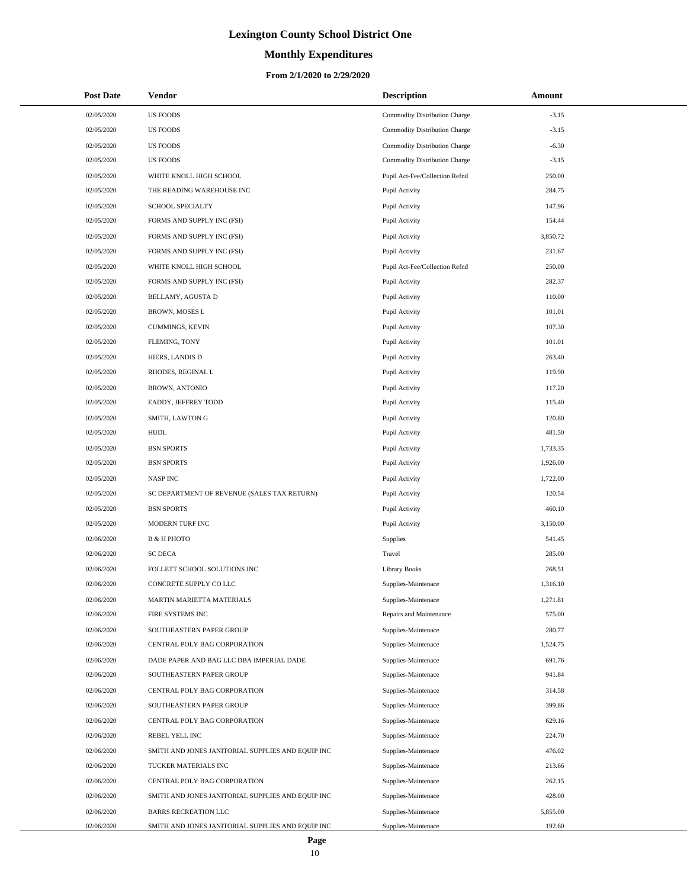# **Monthly Expenditures**

#### **From 2/1/2020 to 2/29/2020**

| <b>Post Date</b> | Vendor                                            | <b>Description</b>             | Amount   |
|------------------|---------------------------------------------------|--------------------------------|----------|
| 02/05/2020       | <b>US FOODS</b>                                   | Commodity Distribution Charge  | $-3.15$  |
| 02/05/2020       | <b>US FOODS</b>                                   | Commodity Distribution Charge  | $-3.15$  |
| 02/05/2020       | <b>US FOODS</b>                                   | Commodity Distribution Charge  | $-6.30$  |
| 02/05/2020       | <b>US FOODS</b>                                   | Commodity Distribution Charge  | $-3.15$  |
| 02/05/2020       | WHITE KNOLL HIGH SCHOOL                           | Pupil Act-Fee/Collection Refnd | 250.00   |
| 02/05/2020       | THE READING WAREHOUSE INC                         | Pupil Activity                 | 284.75   |
| 02/05/2020       | SCHOOL SPECIALTY                                  | Pupil Activity                 | 147.96   |
| 02/05/2020       | FORMS AND SUPPLY INC (FSI)                        | Pupil Activity                 | 154.44   |
| 02/05/2020       | FORMS AND SUPPLY INC (FSI)                        | Pupil Activity                 | 3,850.72 |
| 02/05/2020       | FORMS AND SUPPLY INC (FSI)                        | Pupil Activity                 | 231.67   |
| 02/05/2020       | WHITE KNOLL HIGH SCHOOL                           | Pupil Act-Fee/Collection Refnd | 250.00   |
| 02/05/2020       | FORMS AND SUPPLY INC (FSI)                        | Pupil Activity                 | 282.37   |
| 02/05/2020       | BELLAMY, AGUSTA D                                 | Pupil Activity                 | 110.00   |
| 02/05/2020       | BROWN, MOSES L                                    | Pupil Activity                 | 101.01   |
| 02/05/2020       | CUMMINGS, KEVIN                                   | Pupil Activity                 | 107.30   |
| 02/05/2020       | FLEMING, TONY                                     | Pupil Activity                 | 101.01   |
| 02/05/2020       | HIERS, LANDIS D                                   | Pupil Activity                 | 263.40   |
| 02/05/2020       | RHODES, REGINAL L                                 | Pupil Activity                 | 119.90   |
| 02/05/2020       | <b>BROWN, ANTONIO</b>                             | Pupil Activity                 | 117.20   |
| 02/05/2020       | EADDY, JEFFREY TODD                               | Pupil Activity                 | 115.40   |
| 02/05/2020       | SMITH, LAWTON G                                   | Pupil Activity                 | 120.80   |
| 02/05/2020       | HUDL                                              | Pupil Activity                 | 481.50   |
| 02/05/2020       | <b>BSN SPORTS</b>                                 | Pupil Activity                 | 1,733.35 |
| 02/05/2020       | <b>BSN SPORTS</b>                                 | Pupil Activity                 | 1,926.00 |
| 02/05/2020       | <b>NASPINC</b>                                    | Pupil Activity                 | 1,722.00 |
| 02/05/2020       | SC DEPARTMENT OF REVENUE (SALES TAX RETURN)       | Pupil Activity                 | 120.54   |
| 02/05/2020       | <b>BSN SPORTS</b>                                 | Pupil Activity                 | 460.10   |
| 02/05/2020       | MODERN TURF INC                                   | Pupil Activity                 | 3,150.00 |
| 02/06/2020       | <b>B &amp; H PHOTO</b>                            | Supplies                       | 541.45   |
| 02/06/2020       | <b>SC DECA</b>                                    | Travel                         | 285.00   |
| 02/06/2020       | FOLLETT SCHOOL SOLUTIONS INC                      | Library Books                  | 268.51   |
| 02/06/2020       | CONCRETE SUPPLY CO LLC                            | Supplies-Maintenace            | 1,316.10 |
| 02/06/2020       | MARTIN MARIETTA MATERIALS                         | Supplies-Maintenace            | 1,271.81 |
| 02/06/2020       | FIRE SYSTEMS INC                                  | Repairs and Maintenance        | 575.00   |
| 02/06/2020       | SOUTHEASTERN PAPER GROUP                          | Supplies-Maintenace            | 280.77   |
| 02/06/2020       | CENTRAL POLY BAG CORPORATION                      | Supplies-Maintenace            | 1,524.75 |
| 02/06/2020       | DADE PAPER AND BAG LLC DBA IMPERIAL DADE          | Supplies-Maintenace            | 691.76   |
| 02/06/2020       | SOUTHEASTERN PAPER GROUP                          | Supplies-Maintenace            | 941.84   |
| 02/06/2020       | CENTRAL POLY BAG CORPORATION                      | Supplies-Maintenace            | 314.58   |
| 02/06/2020       | SOUTHEASTERN PAPER GROUP                          | Supplies-Maintenace            | 399.86   |
| 02/06/2020       | CENTRAL POLY BAG CORPORATION                      | Supplies-Maintenace            | 629.16   |
| 02/06/2020       | REBEL YELL INC                                    | Supplies-Maintenace            | 224.70   |
| 02/06/2020       | SMITH AND JONES JANITORIAL SUPPLIES AND EQUIP INC | Supplies-Maintenace            | 476.02   |
| 02/06/2020       | TUCKER MATERIALS INC                              | Supplies-Maintenace            | 213.66   |
| 02/06/2020       | CENTRAL POLY BAG CORPORATION                      | Supplies-Maintenace            | 262.15   |
| 02/06/2020       | SMITH AND JONES JANITORIAL SUPPLIES AND EQUIP INC | Supplies-Maintenace            | 428.00   |
| 02/06/2020       | <b>BARRS RECREATION LLC</b>                       | Supplies-Maintenace            | 5,855.00 |
| 02/06/2020       | SMITH AND JONES JANITORIAL SUPPLIES AND EQUIP INC | Supplies-Maintenace            | 192.60   |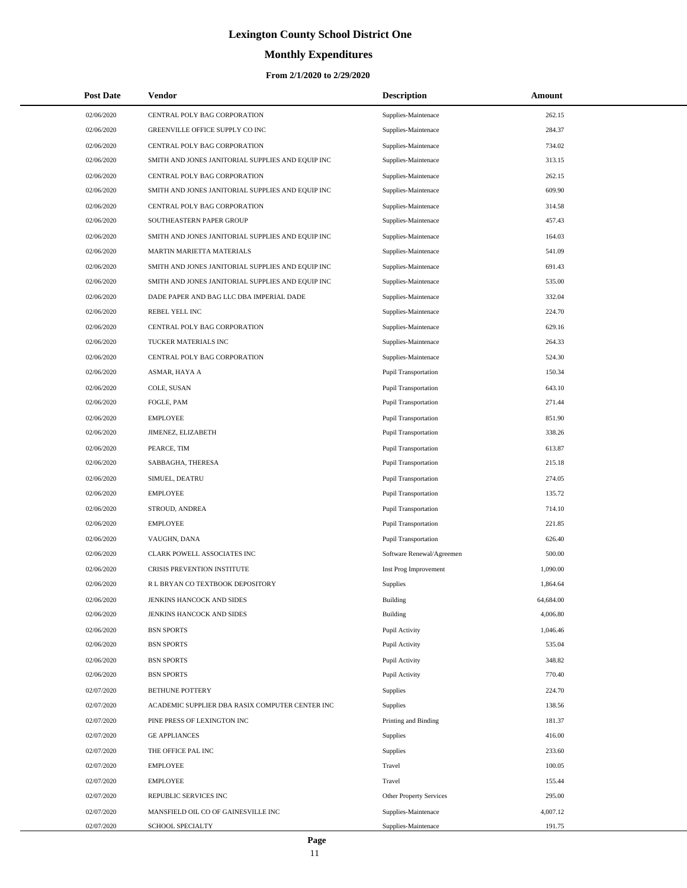# **Monthly Expenditures**

#### **From 2/1/2020 to 2/29/2020**

| <b>Post Date</b> | Vendor                                            | <b>Description</b>        | Amount    |  |
|------------------|---------------------------------------------------|---------------------------|-----------|--|
| 02/06/2020       | CENTRAL POLY BAG CORPORATION                      | Supplies-Maintenace       | 262.15    |  |
| 02/06/2020       | GREENVILLE OFFICE SUPPLY CO INC                   | Supplies-Maintenace       | 284.37    |  |
| 02/06/2020       | CENTRAL POLY BAG CORPORATION                      | Supplies-Maintenace       | 734.02    |  |
| 02/06/2020       | SMITH AND JONES JANITORIAL SUPPLIES AND EQUIP INC | Supplies-Maintenace       | 313.15    |  |
| 02/06/2020       | CENTRAL POLY BAG CORPORATION                      | Supplies-Maintenace       | 262.15    |  |
| 02/06/2020       | SMITH AND JONES JANITORIAL SUPPLIES AND EQUIP INC | Supplies-Maintenace       | 609.90    |  |
| 02/06/2020       | CENTRAL POLY BAG CORPORATION                      | Supplies-Maintenace       | 314.58    |  |
| 02/06/2020       | SOUTHEASTERN PAPER GROUP                          | Supplies-Maintenace       | 457.43    |  |
| 02/06/2020       | SMITH AND JONES JANITORIAL SUPPLIES AND EQUIP INC | Supplies-Maintenace       | 164.03    |  |
| 02/06/2020       | MARTIN MARIETTA MATERIALS                         | Supplies-Maintenace       | 541.09    |  |
| 02/06/2020       | SMITH AND JONES JANITORIAL SUPPLIES AND EQUIP INC | Supplies-Maintenace       | 691.43    |  |
| 02/06/2020       | SMITH AND JONES JANITORIAL SUPPLIES AND EQUIP INC | Supplies-Maintenace       | 535.00    |  |
| 02/06/2020       | DADE PAPER AND BAG LLC DBA IMPERIAL DADE          | Supplies-Maintenace       | 332.04    |  |
| 02/06/2020       | REBEL YELL INC                                    | Supplies-Maintenace       | 224.70    |  |
| 02/06/2020       | CENTRAL POLY BAG CORPORATION                      | Supplies-Maintenace       | 629.16    |  |
| 02/06/2020       | TUCKER MATERIALS INC                              | Supplies-Maintenace       | 264.33    |  |
| 02/06/2020       | CENTRAL POLY BAG CORPORATION                      | Supplies-Maintenace       | 524.30    |  |
| 02/06/2020       | ASMAR, HAYA A                                     | Pupil Transportation      | 150.34    |  |
| 02/06/2020       | COLE, SUSAN                                       | Pupil Transportation      | 643.10    |  |
| 02/06/2020       | FOGLE, PAM                                        | Pupil Transportation      | 271.44    |  |
| 02/06/2020       | <b>EMPLOYEE</b>                                   | Pupil Transportation      | 851.90    |  |
| 02/06/2020       | JIMENEZ, ELIZABETH                                | Pupil Transportation      | 338.26    |  |
| 02/06/2020       | PEARCE, TIM                                       | Pupil Transportation      | 613.87    |  |
| 02/06/2020       | SABBAGHA, THERESA                                 | Pupil Transportation      | 215.18    |  |
| 02/06/2020       | SIMUEL, DEATRU                                    | Pupil Transportation      | 274.05    |  |
| 02/06/2020       | <b>EMPLOYEE</b>                                   | Pupil Transportation      | 135.72    |  |
| 02/06/2020       | STROUD, ANDREA                                    | Pupil Transportation      | 714.10    |  |
| 02/06/2020       | <b>EMPLOYEE</b>                                   | Pupil Transportation      | 221.85    |  |
| 02/06/2020       | VAUGHN, DANA                                      | Pupil Transportation      | 626.40    |  |
| 02/06/2020       | CLARK POWELL ASSOCIATES INC                       | Software Renewal/Agreemen | 500.00    |  |
| 02/06/2020       | CRISIS PREVENTION INSTITUTE                       | Inst Prog Improvement     | 1,090.00  |  |
| 02/06/2020       | R L BRYAN CO TEXTBOOK DEPOSITORY                  | Supplies                  | 1,864.64  |  |
| 02/06/2020       | JENKINS HANCOCK AND SIDES                         | <b>Building</b>           | 64,684.00 |  |
| 02/06/2020       | JENKINS HANCOCK AND SIDES                         | Building                  | 4,006.80  |  |
| 02/06/2020       | <b>BSN SPORTS</b>                                 | Pupil Activity            | 1,046.46  |  |
| 02/06/2020       | <b>BSN SPORTS</b>                                 | Pupil Activity            | 535.04    |  |
| 02/06/2020       | <b>BSN SPORTS</b>                                 | Pupil Activity            | 348.82    |  |
| 02/06/2020       | <b>BSN SPORTS</b>                                 | Pupil Activity            | 770.40    |  |
| 02/07/2020       | BETHUNE POTTERY                                   | Supplies                  | 224.70    |  |
| 02/07/2020       | ACADEMIC SUPPLIER DBA RASIX COMPUTER CENTER INC   | Supplies                  | 138.56    |  |
| 02/07/2020       | PINE PRESS OF LEXINGTON INC                       | Printing and Binding      | 181.37    |  |
| 02/07/2020       | <b>GE APPLIANCES</b>                              | Supplies                  | 416.00    |  |
| 02/07/2020       | THE OFFICE PAL INC                                | Supplies                  | 233.60    |  |
| 02/07/2020       | <b>EMPLOYEE</b>                                   | Travel                    | 100.05    |  |
| 02/07/2020       | <b>EMPLOYEE</b>                                   | Travel                    | 155.44    |  |
| 02/07/2020       | REPUBLIC SERVICES INC                             | Other Property Services   | 295.00    |  |
| 02/07/2020       | MANSFIELD OIL CO OF GAINESVILLE INC               | Supplies-Maintenace       | 4,007.12  |  |
| 02/07/2020       | SCHOOL SPECIALTY                                  | Supplies-Maintenace       | 191.75    |  |

 $\overline{a}$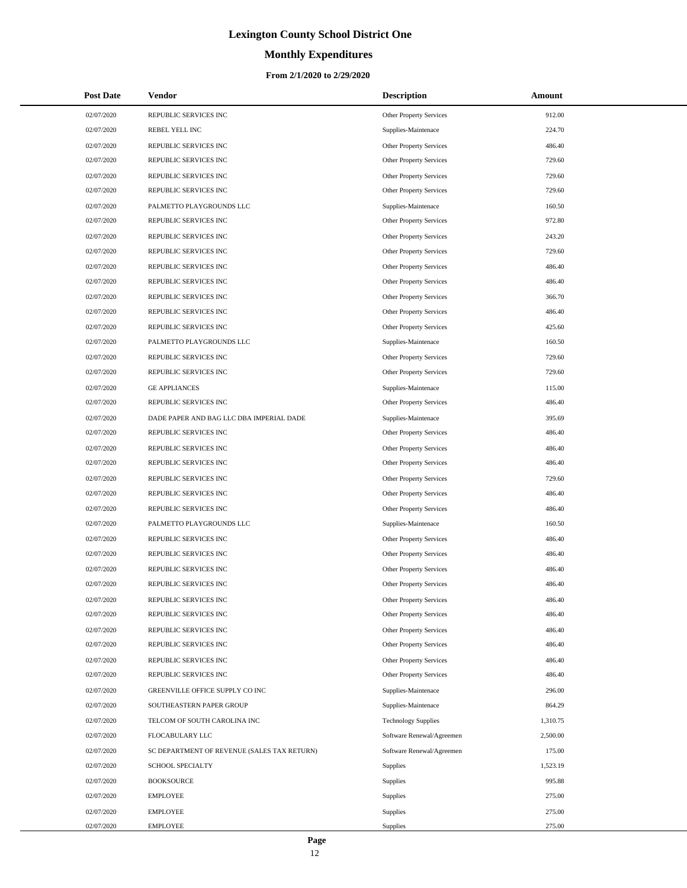# **Monthly Expenditures**

#### **From 2/1/2020 to 2/29/2020**

| <b>Post Date</b> | Vendor                                      | <b>Description</b>             | Amount   |
|------------------|---------------------------------------------|--------------------------------|----------|
| 02/07/2020       | REPUBLIC SERVICES INC                       | Other Property Services        | 912.00   |
| 02/07/2020       | REBEL YELL INC                              | Supplies-Maintenace            | 224.70   |
| 02/07/2020       | REPUBLIC SERVICES INC                       | Other Property Services        | 486.40   |
| 02/07/2020       | REPUBLIC SERVICES INC                       | Other Property Services        | 729.60   |
| 02/07/2020       | REPUBLIC SERVICES INC                       | Other Property Services        | 729.60   |
| 02/07/2020       | REPUBLIC SERVICES INC                       | Other Property Services        | 729.60   |
| 02/07/2020       | PALMETTO PLAYGROUNDS LLC                    | Supplies-Maintenace            | 160.50   |
| 02/07/2020       | REPUBLIC SERVICES INC                       | Other Property Services        | 972.80   |
| 02/07/2020       | REPUBLIC SERVICES INC                       | Other Property Services        | 243.20   |
| 02/07/2020       | REPUBLIC SERVICES INC                       | Other Property Services        | 729.60   |
| 02/07/2020       | REPUBLIC SERVICES INC                       | Other Property Services        | 486.40   |
| 02/07/2020       | REPUBLIC SERVICES INC                       | Other Property Services        | 486.40   |
| 02/07/2020       | REPUBLIC SERVICES INC                       | Other Property Services        | 366.70   |
| 02/07/2020       | REPUBLIC SERVICES INC                       | Other Property Services        | 486.40   |
| 02/07/2020       | REPUBLIC SERVICES INC                       | <b>Other Property Services</b> | 425.60   |
| 02/07/2020       | PALMETTO PLAYGROUNDS LLC                    | Supplies-Maintenace            | 160.50   |
| 02/07/2020       | REPUBLIC SERVICES INC                       | Other Property Services        | 729.60   |
| 02/07/2020       | REPUBLIC SERVICES INC                       | Other Property Services        | 729.60   |
| 02/07/2020       | <b>GE APPLIANCES</b>                        | Supplies-Maintenace            | 115.00   |
| 02/07/2020       | REPUBLIC SERVICES INC                       | Other Property Services        | 486.40   |
| 02/07/2020       | DADE PAPER AND BAG LLC DBA IMPERIAL DADE    | Supplies-Maintenace            | 395.69   |
| 02/07/2020       | REPUBLIC SERVICES INC                       | Other Property Services        | 486.40   |
| 02/07/2020       | REPUBLIC SERVICES INC                       | Other Property Services        | 486.40   |
| 02/07/2020       | REPUBLIC SERVICES INC                       | Other Property Services        | 486.40   |
| 02/07/2020       | REPUBLIC SERVICES INC                       | Other Property Services        | 729.60   |
| 02/07/2020       | REPUBLIC SERVICES INC                       | Other Property Services        | 486.40   |
| 02/07/2020       | REPUBLIC SERVICES INC                       | Other Property Services        | 486.40   |
| 02/07/2020       | PALMETTO PLAYGROUNDS LLC                    | Supplies-Maintenace            | 160.50   |
| 02/07/2020       | REPUBLIC SERVICES INC                       | Other Property Services        | 486.40   |
| 02/07/2020       | REPUBLIC SERVICES INC                       | Other Property Services        | 486.40   |
| 02/07/2020       | REPUBLIC SERVICES INC                       | Other Property Services        | 486.40   |
| 02/07/2020       | REPUBLIC SERVICES INC                       | <b>Other Property Services</b> | 486.40   |
| 02/07/2020       | REPUBLIC SERVICES INC                       | Other Property Services        | 486.40   |
| 02/07/2020       | REPUBLIC SERVICES INC                       | Other Property Services        | 486.40   |
| 02/07/2020       | REPUBLIC SERVICES INC                       | Other Property Services        | 486.40   |
| 02/07/2020       | REPUBLIC SERVICES INC                       | Other Property Services        | 486.40   |
| 02/07/2020       | REPUBLIC SERVICES INC                       | <b>Other Property Services</b> | 486.40   |
| 02/07/2020       | REPUBLIC SERVICES INC                       | Other Property Services        | 486.40   |
| 02/07/2020       | GREENVILLE OFFICE SUPPLY CO INC             | Supplies-Maintenace            | 296.00   |
| 02/07/2020       | SOUTHEASTERN PAPER GROUP                    | Supplies-Maintenace            | 864.29   |
| 02/07/2020       | TELCOM OF SOUTH CAROLINA INC                | <b>Technology Supplies</b>     | 1,310.75 |
| 02/07/2020       | FLOCABULARY LLC                             | Software Renewal/Agreemen      | 2,500.00 |
| 02/07/2020       | SC DEPARTMENT OF REVENUE (SALES TAX RETURN) | Software Renewal/Agreemen      | 175.00   |
| 02/07/2020       | <b>SCHOOL SPECIALTY</b>                     | Supplies                       | 1,523.19 |
| 02/07/2020       | <b>BOOKSOURCE</b>                           | Supplies                       | 995.88   |
| 02/07/2020       | <b>EMPLOYEE</b>                             | Supplies                       | 275.00   |
| 02/07/2020       | <b>EMPLOYEE</b>                             | Supplies                       | 275.00   |
| 02/07/2020       | <b>EMPLOYEE</b>                             | Supplies                       | 275.00   |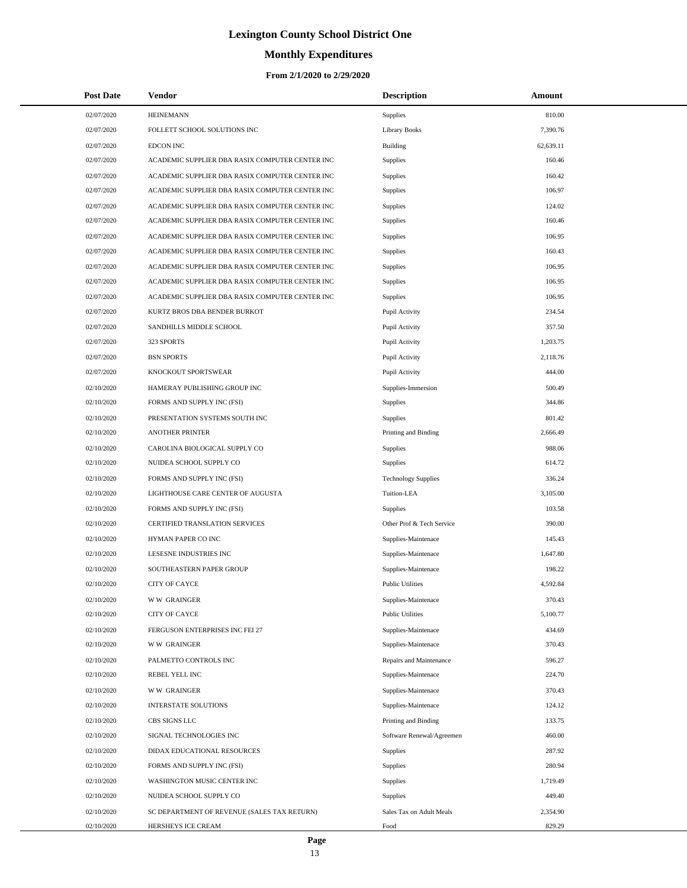# **Monthly Expenditures**

#### **From 2/1/2020 to 2/29/2020**

| <b>Post Date</b> | <b>Vendor</b>                                   | <b>Description</b>         | Amount    |
|------------------|-------------------------------------------------|----------------------------|-----------|
| 02/07/2020       | <b>HEINEMANN</b>                                | Supplies                   | 810.00    |
| 02/07/2020       | FOLLETT SCHOOL SOLUTIONS INC                    | <b>Library Books</b>       | 7,390.76  |
| 02/07/2020       | <b>EDCON INC</b>                                | <b>Building</b>            | 62,639.11 |
| 02/07/2020       | ACADEMIC SUPPLIER DBA RASIX COMPUTER CENTER INC | Supplies                   | 160.46    |
| 02/07/2020       | ACADEMIC SUPPLIER DBA RASIX COMPUTER CENTER INC | Supplies                   | 160.42    |
| 02/07/2020       | ACADEMIC SUPPLIER DBA RASIX COMPUTER CENTER INC | Supplies                   | 106.97    |
| 02/07/2020       | ACADEMIC SUPPLIER DBA RASIX COMPUTER CENTER INC | Supplies                   | 124.02    |
| 02/07/2020       | ACADEMIC SUPPLIER DBA RASIX COMPUTER CENTER INC | Supplies                   | 160.46    |
| 02/07/2020       | ACADEMIC SUPPLIER DBA RASIX COMPUTER CENTER INC | Supplies                   | 106.95    |
| 02/07/2020       | ACADEMIC SUPPLIER DBA RASIX COMPUTER CENTER INC | Supplies                   | 160.43    |
| 02/07/2020       | ACADEMIC SUPPLIER DBA RASIX COMPUTER CENTER INC | Supplies                   | 106.95    |
| 02/07/2020       | ACADEMIC SUPPLIER DBA RASIX COMPUTER CENTER INC | Supplies                   | 106.95    |
| 02/07/2020       | ACADEMIC SUPPLIER DBA RASIX COMPUTER CENTER INC | Supplies                   | 106.95    |
| 02/07/2020       | KURTZ BROS DBA BENDER BURKOT                    | Pupil Activity             | 234.54    |
| 02/07/2020       | SANDHILLS MIDDLE SCHOOL                         | Pupil Activity             | 357.50    |
| 02/07/2020       | 323 SPORTS                                      | Pupil Activity             | 1,203.75  |
| 02/07/2020       | <b>BSN SPORTS</b>                               | Pupil Activity             | 2,118.76  |
| 02/07/2020       | KNOCKOUT SPORTSWEAR                             | Pupil Activity             | 444.00    |
| 02/10/2020       | HAMERAY PUBLISHING GROUP INC                    | Supplies-Immersion         | 500.49    |
| 02/10/2020       | FORMS AND SUPPLY INC (FSI)                      | Supplies                   | 344.86    |
| 02/10/2020       | PRESENTATION SYSTEMS SOUTH INC                  | Supplies                   | 801.42    |
| 02/10/2020       | <b>ANOTHER PRINTER</b>                          | Printing and Binding       | 2,666.49  |
| 02/10/2020       | CAROLINA BIOLOGICAL SUPPLY CO                   | Supplies                   | 988.06    |
| 02/10/2020       | NUIDEA SCHOOL SUPPLY CO                         | Supplies                   | 614.72    |
| 02/10/2020       | FORMS AND SUPPLY INC (FSI)                      | <b>Technology Supplies</b> | 336.24    |
| 02/10/2020       | LIGHTHOUSE CARE CENTER OF AUGUSTA               | Tuition-LEA                | 3,105.00  |
| 02/10/2020       | FORMS AND SUPPLY INC (FSI)                      | Supplies                   | 103.58    |
| 02/10/2020       | CERTIFIED TRANSLATION SERVICES                  | Other Prof & Tech Service  | 390.00    |
| 02/10/2020       | HYMAN PAPER CO INC                              | Supplies-Maintenace        | 145.43    |
| 02/10/2020       | <b>LESESNE INDUSTRIES INC</b>                   | Supplies-Maintenace        | 1,647.80  |
| 02/10/2020       | SOUTHEASTERN PAPER GROUP                        | Supplies-Maintenace        | 198.22    |
| 02/10/2020       | <b>CITY OF CAYCE</b>                            | <b>Public Utilities</b>    | 4,592.84  |
| 02/10/2020       | <b>WW GRAINGER</b>                              | Supplies-Maintenace        | 370.43    |
| 02/10/2020       | CITY OF CAYCE                                   | <b>Public Utilities</b>    | 5,100.77  |
| 02/10/2020       | FERGUSON ENTERPRISES INC FEI 27                 | Supplies-Maintenace        | 434.69    |
| 02/10/2020       | <b>WW GRAINGER</b>                              | Supplies-Maintenace        | 370.43    |
| 02/10/2020       | PALMETTO CONTROLS INC                           | Repairs and Maintenance    | 596.27    |
| 02/10/2020       | REBEL YELL INC                                  | Supplies-Maintenace        | 224.70    |
| 02/10/2020       | <b>WW GRAINGER</b>                              | Supplies-Maintenace        | 370.43    |
| 02/10/2020       | <b>INTERSTATE SOLUTIONS</b>                     | Supplies-Maintenace        | 124.12    |
| 02/10/2020       | CBS SIGNS LLC                                   | Printing and Binding       | 133.75    |
| 02/10/2020       | SIGNAL TECHNOLOGIES INC                         | Software Renewal/Agreemen  | 460.00    |
| 02/10/2020       | DIDAX EDUCATIONAL RESOURCES                     | <b>Supplies</b>            | 287.92    |
| 02/10/2020       | FORMS AND SUPPLY INC (FSI)                      | Supplies                   | 280.94    |
| 02/10/2020       | WASHINGTON MUSIC CENTER INC                     | Supplies                   | 1,719.49  |
| 02/10/2020       | NUIDEA SCHOOL SUPPLY CO                         | Supplies                   | 449.40    |
| 02/10/2020       | SC DEPARTMENT OF REVENUE (SALES TAX RETURN)     | Sales Tax on Adult Meals   | 2,354.90  |
| 02/10/2020       | HERSHEYS ICE CREAM                              | Food                       | 829.29    |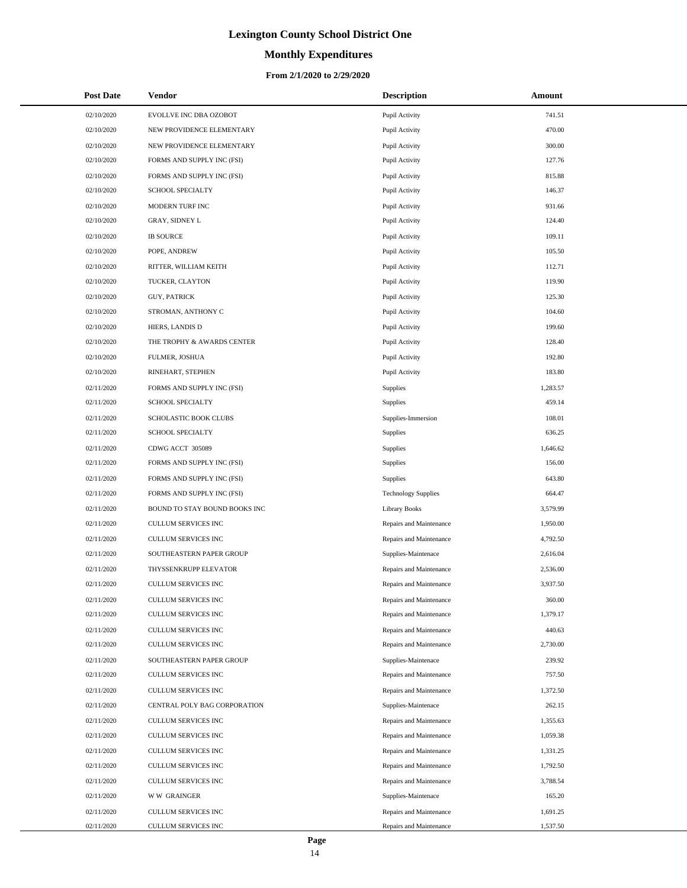# **Monthly Expenditures**

#### **From 2/1/2020 to 2/29/2020**

| <b>Post Date</b> | Vendor                        | <b>Description</b>         | Amount   |
|------------------|-------------------------------|----------------------------|----------|
| 02/10/2020       | EVOLLVE INC DBA OZOBOT        | Pupil Activity             | 741.51   |
| 02/10/2020       | NEW PROVIDENCE ELEMENTARY     | Pupil Activity             | 470.00   |
| 02/10/2020       | NEW PROVIDENCE ELEMENTARY     | Pupil Activity             | 300.00   |
| 02/10/2020       | FORMS AND SUPPLY INC (FSI)    | Pupil Activity             | 127.76   |
| 02/10/2020       | FORMS AND SUPPLY INC (FSI)    | Pupil Activity             | 815.88   |
| 02/10/2020       | <b>SCHOOL SPECIALTY</b>       | Pupil Activity             | 146.37   |
| 02/10/2020       | MODERN TURF INC               | Pupil Activity             | 931.66   |
| 02/10/2020       | <b>GRAY, SIDNEY L</b>         | Pupil Activity             | 124.40   |
| 02/10/2020       | <b>IB SOURCE</b>              | Pupil Activity             | 109.11   |
| 02/10/2020       | POPE, ANDREW                  | Pupil Activity             | 105.50   |
| 02/10/2020       | RITTER, WILLIAM KEITH         | Pupil Activity             | 112.71   |
| 02/10/2020       | TUCKER, CLAYTON               | Pupil Activity             | 119.90   |
| 02/10/2020       | <b>GUY, PATRICK</b>           | Pupil Activity             | 125.30   |
| 02/10/2020       | STROMAN, ANTHONY C            | Pupil Activity             | 104.60   |
| 02/10/2020       | HIERS, LANDIS D               | Pupil Activity             | 199.60   |
| 02/10/2020       | THE TROPHY & AWARDS CENTER    | Pupil Activity             | 128.40   |
| 02/10/2020       | FULMER, JOSHUA                | Pupil Activity             | 192.80   |
| 02/10/2020       | RINEHART, STEPHEN             | Pupil Activity             | 183.80   |
| 02/11/2020       | FORMS AND SUPPLY INC (FSI)    | Supplies                   | 1,283.57 |
| 02/11/2020       | <b>SCHOOL SPECIALTY</b>       | Supplies                   | 459.14   |
| 02/11/2020       | SCHOLASTIC BOOK CLUBS         | Supplies-Immersion         | 108.01   |
| 02/11/2020       | <b>SCHOOL SPECIALTY</b>       | Supplies                   | 636.25   |
| 02/11/2020       | CDWG ACCT 305089              | Supplies                   | 1,646.62 |
| 02/11/2020       | FORMS AND SUPPLY INC (FSI)    | Supplies                   | 156.00   |
| 02/11/2020       | FORMS AND SUPPLY INC (FSI)    | Supplies                   | 643.80   |
| 02/11/2020       | FORMS AND SUPPLY INC (FSI)    | <b>Technology Supplies</b> | 664.47   |
| 02/11/2020       | BOUND TO STAY BOUND BOOKS INC | <b>Library Books</b>       | 3,579.99 |
| 02/11/2020       | CULLUM SERVICES INC           | Repairs and Maintenance    | 1,950.00 |
| 02/11/2020       | <b>CULLUM SERVICES INC</b>    | Repairs and Maintenance    | 4,792.50 |
| 02/11/2020       | SOUTHEASTERN PAPER GROUP      | Supplies-Maintenace        | 2,616.04 |
| 02/11/2020       | THYSSENKRUPP ELEVATOR         | Repairs and Maintenance    | 2,536.00 |
| 02/11/2020       | CULLUM SERVICES INC           | Repairs and Maintenance    | 3,937.50 |
| 02/11/2020       | CULLUM SERVICES INC           | Repairs and Maintenance    | 360.00   |
| 02/11/2020       | CULLUM SERVICES INC           | Repairs and Maintenance    | 1,379.17 |
| 02/11/2020       | CULLUM SERVICES INC           | Repairs and Maintenance    | 440.63   |
| 02/11/2020       | <b>CULLUM SERVICES INC</b>    | Repairs and Maintenance    | 2,730.00 |
| 02/11/2020       | SOUTHEASTERN PAPER GROUP      | Supplies-Maintenace        | 239.92   |
| 02/11/2020       | CULLUM SERVICES INC           | Repairs and Maintenance    | 757.50   |
| 02/11/2020       | CULLUM SERVICES INC           | Repairs and Maintenance    | 1,372.50 |
| 02/11/2020       | CENTRAL POLY BAG CORPORATION  | Supplies-Maintenace        | 262.15   |
| 02/11/2020       | CULLUM SERVICES INC           | Repairs and Maintenance    | 1,355.63 |
| 02/11/2020       | CULLUM SERVICES INC           | Repairs and Maintenance    | 1,059.38 |
| 02/11/2020       | CULLUM SERVICES INC           | Repairs and Maintenance    | 1,331.25 |
| 02/11/2020       | CULLUM SERVICES INC           | Repairs and Maintenance    | 1,792.50 |
| 02/11/2020       | CULLUM SERVICES INC           | Repairs and Maintenance    | 3,788.54 |
| 02/11/2020       | <b>WW GRAINGER</b>            | Supplies-Maintenace        | 165.20   |
| 02/11/2020       | CULLUM SERVICES INC           | Repairs and Maintenance    | 1,691.25 |
| 02/11/2020       | CULLUM SERVICES INC           | Repairs and Maintenance    | 1,537.50 |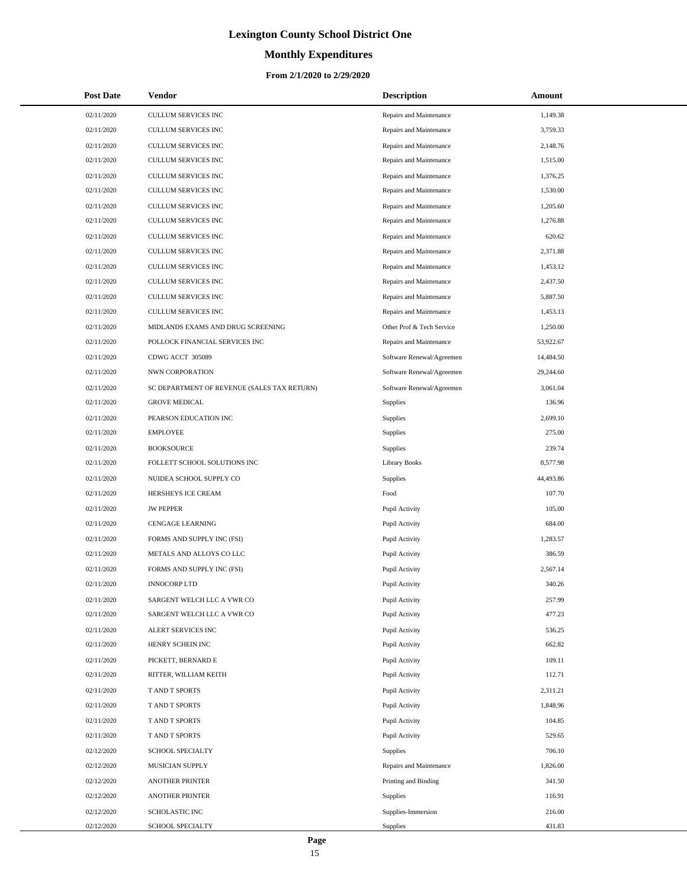# **Monthly Expenditures**

#### **From 2/1/2020 to 2/29/2020**

| <b>Post Date</b> | Vendor                                      | <b>Description</b>        | Amount    |
|------------------|---------------------------------------------|---------------------------|-----------|
| 02/11/2020       | CULLUM SERVICES INC                         | Repairs and Maintenance   | 1,149.38  |
| 02/11/2020       | CULLUM SERVICES INC                         | Repairs and Maintenance   | 3,759.33  |
| 02/11/2020       | CULLUM SERVICES INC                         | Repairs and Maintenance   | 2,148.76  |
| 02/11/2020       | CULLUM SERVICES INC                         | Repairs and Maintenance   | 1,515.00  |
| 02/11/2020       | CULLUM SERVICES INC                         | Repairs and Maintenance   | 1,376.25  |
| 02/11/2020       | CULLUM SERVICES INC                         | Repairs and Maintenance   | 1,530.00  |
| 02/11/2020       | CULLUM SERVICES INC                         | Repairs and Maintenance   | 1,205.60  |
| 02/11/2020       | CULLUM SERVICES INC                         | Repairs and Maintenance   | 1,276.88  |
| 02/11/2020       | CULLUM SERVICES INC                         | Repairs and Maintenance   | 620.62    |
| 02/11/2020       | CULLUM SERVICES INC                         | Repairs and Maintenance   | 2,371.88  |
| 02/11/2020       | CULLUM SERVICES INC                         | Repairs and Maintenance   | 1,453.12  |
| 02/11/2020       | CULLUM SERVICES INC                         | Repairs and Maintenance   | 2,437.50  |
| 02/11/2020       | CULLUM SERVICES INC                         | Repairs and Maintenance   | 5,887.50  |
| 02/11/2020       | CULLUM SERVICES INC                         | Repairs and Maintenance   | 1,453.13  |
| 02/11/2020       | MIDLANDS EXAMS AND DRUG SCREENING           | Other Prof & Tech Service | 1,250.00  |
| 02/11/2020       | POLLOCK FINANCIAL SERVICES INC              | Repairs and Maintenance   | 53,922.67 |
| 02/11/2020       | CDWG ACCT 305089                            | Software Renewal/Agreemen | 14,484.50 |
| 02/11/2020       | NWN CORPORATION                             | Software Renewal/Agreemen | 29,244.60 |
| 02/11/2020       | SC DEPARTMENT OF REVENUE (SALES TAX RETURN) | Software Renewal/Agreemen | 3,061.04  |
| 02/11/2020       | <b>GROVE MEDICAL</b>                        | Supplies                  | 136.96    |
| 02/11/2020       | PEARSON EDUCATION INC                       | Supplies                  | 2,699.10  |
| 02/11/2020       | <b>EMPLOYEE</b>                             | Supplies                  | 275.00    |
| 02/11/2020       | <b>BOOKSOURCE</b>                           | Supplies                  | 239.74    |
| 02/11/2020       | FOLLETT SCHOOL SOLUTIONS INC                | <b>Library Books</b>      | 8,577.98  |
| 02/11/2020       | NUIDEA SCHOOL SUPPLY CO                     | Supplies                  | 44,493.86 |
| 02/11/2020       | HERSHEYS ICE CREAM                          | Food                      | 107.70    |
| 02/11/2020       | <b>JW PEPPER</b>                            | Pupil Activity            | 105.00    |
| 02/11/2020       | CENGAGE LEARNING                            | Pupil Activity            | 684.00    |
| 02/11/2020       | FORMS AND SUPPLY INC (FSI)                  | Pupil Activity            | 1,283.57  |
| 02/11/2020       | METALS AND ALLOYS CO LLC                    | Pupil Activity            | 386.59    |
| 02/11/2020       | FORMS AND SUPPLY INC (FSI)                  | Pupil Activity            | 2,567.14  |
| 02/11/2020       | <b>INNOCORP LTD</b>                         | Pupil Activity            | 340.26    |
| 02/11/2020       | SARGENT WELCH LLC A VWR CO                  | Pupil Activity            | 257.99    |
| 02/11/2020       | SARGENT WELCH LLC A VWR CO                  | Pupil Activity            | 477.23    |
| 02/11/2020       | ALERT SERVICES INC                          | Pupil Activity            | 536.25    |
| 02/11/2020       | HENRY SCHEIN INC                            | Pupil Activity            | 662.82    |
| 02/11/2020       | PICKETT, BERNARD E                          | Pupil Activity            | 109.11    |
| 02/11/2020       | RITTER, WILLIAM KEITH                       | Pupil Activity            | 112.71    |
| 02/11/2020       | T AND T SPORTS                              | Pupil Activity            | 2,311.21  |
| 02/11/2020       | T AND T SPORTS                              | Pupil Activity            | 1,848.96  |
| 02/11/2020       | <b>TAND T SPORTS</b>                        | Pupil Activity            | 104.85    |
| 02/11/2020       | T AND T SPORTS                              | Pupil Activity            | 529.65    |
| 02/12/2020       | SCHOOL SPECIALTY                            | Supplies                  | 706.10    |
| 02/12/2020       | MUSICIAN SUPPLY                             | Repairs and Maintenance   | 1,826.00  |
| 02/12/2020       | ANOTHER PRINTER                             | Printing and Binding      | 341.50    |
| 02/12/2020       | ANOTHER PRINTER                             | <b>Supplies</b>           | 116.91    |
| 02/12/2020       | SCHOLASTIC INC                              | Supplies-Immersion        | 216.00    |
| 02/12/2020       | SCHOOL SPECIALTY                            | <b>Supplies</b>           | 431.83    |

L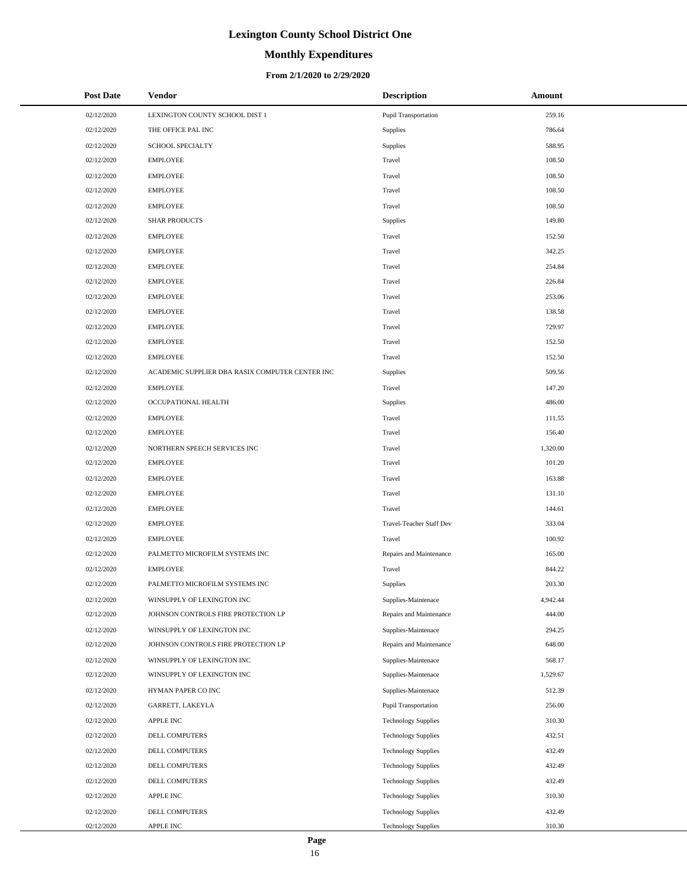# **Monthly Expenditures**

| <b>Post Date</b> | Vendor                                          | <b>Description</b>          | Amount   |
|------------------|-------------------------------------------------|-----------------------------|----------|
| 02/12/2020       | LEXINGTON COUNTY SCHOOL DIST 1                  | Pupil Transportation        | 259.16   |
| 02/12/2020       | THE OFFICE PAL INC                              | Supplies                    | 786.64   |
| 02/12/2020       | <b>SCHOOL SPECIALTY</b>                         | Supplies                    | 588.95   |
| 02/12/2020       | <b>EMPLOYEE</b>                                 | Travel                      | 108.50   |
| 02/12/2020       | <b>EMPLOYEE</b>                                 | Travel                      | 108.50   |
| 02/12/2020       | <b>EMPLOYEE</b>                                 | Travel                      | 108.50   |
| 02/12/2020       | <b>EMPLOYEE</b>                                 | Travel                      | 108.50   |
| 02/12/2020       | <b>SHAR PRODUCTS</b>                            | Supplies                    | 149.80   |
| 02/12/2020       | <b>EMPLOYEE</b>                                 | Travel                      | 152.50   |
| 02/12/2020       | <b>EMPLOYEE</b>                                 | Travel                      | 342.25   |
| 02/12/2020       | <b>EMPLOYEE</b>                                 | Travel                      | 254.84   |
| 02/12/2020       | <b>EMPLOYEE</b>                                 | Travel                      | 226.84   |
| 02/12/2020       | <b>EMPLOYEE</b>                                 | Travel                      | 253.06   |
| 02/12/2020       | <b>EMPLOYEE</b>                                 | Travel                      | 138.58   |
| 02/12/2020       | <b>EMPLOYEE</b>                                 | Travel                      | 729.97   |
| 02/12/2020       | <b>EMPLOYEE</b>                                 | Travel                      | 152.50   |
| 02/12/2020       | <b>EMPLOYEE</b>                                 | Travel                      | 152.50   |
| 02/12/2020       | ACADEMIC SUPPLIER DBA RASIX COMPUTER CENTER INC | Supplies                    | 509.56   |
| 02/12/2020       | <b>EMPLOYEE</b>                                 | Travel                      | 147.20   |
| 02/12/2020       | OCCUPATIONAL HEALTH                             | Supplies                    | 486.00   |
| 02/12/2020       | <b>EMPLOYEE</b>                                 | Travel                      | 111.55   |
| 02/12/2020       | <b>EMPLOYEE</b>                                 | Travel                      | 156.40   |
| 02/12/2020       | NORTHERN SPEECH SERVICES INC                    | Travel                      | 1,320.00 |
| 02/12/2020       | <b>EMPLOYEE</b>                                 | Travel                      | 101.20   |
| 02/12/2020       | <b>EMPLOYEE</b>                                 | Travel                      | 163.88   |
| 02/12/2020       | <b>EMPLOYEE</b>                                 | Travel                      | 131.10   |
| 02/12/2020       | <b>EMPLOYEE</b>                                 | Travel                      | 144.61   |
| 02/12/2020       | <b>EMPLOYEE</b>                                 | Travel-Teacher Staff Dev    | 333.04   |
| 02/12/2020       | <b>EMPLOYEE</b>                                 | Travel                      | 100.92   |
| 02/12/2020       | PALMETTO MICROFILM SYSTEMS INC                  | Repairs and Maintenance     | 165.00   |
| 02/12/2020       | <b>EMPLOYEE</b>                                 | Travel                      | 844.22   |
| 02/12/2020       | PALMETTO MICROFILM SYSTEMS INC                  | Supplies                    | 203.30   |
| 02/12/2020       | WINSUPPLY OF LEXINGTON INC                      | Supplies-Maintenace         | 4,942.44 |
| 02/12/2020       | JOHNSON CONTROLS FIRE PROTECTION LP             | Repairs and Maintenance     | 444.00   |
| 02/12/2020       | WINSUPPLY OF LEXINGTON INC                      | Supplies-Maintenace         | 294.25   |
| 02/12/2020       | JOHNSON CONTROLS FIRE PROTECTION LP             | Repairs and Maintenance     | 648.00   |
| 02/12/2020       | WINSUPPLY OF LEXINGTON INC                      | Supplies-Maintenace         | 568.17   |
| 02/12/2020       | WINSUPPLY OF LEXINGTON INC                      | Supplies-Maintenace         | 1,529.67 |
| 02/12/2020       | HYMAN PAPER CO INC                              | Supplies-Maintenace         | 512.39   |
| 02/12/2020       | GARRETT, LAKEYLA                                | <b>Pupil Transportation</b> | 256.00   |
| 02/12/2020       | <b>APPLE INC</b>                                | <b>Technology Supplies</b>  | 310.30   |
| 02/12/2020       | DELL COMPUTERS                                  | <b>Technology Supplies</b>  | 432.51   |
| 02/12/2020       | DELL COMPUTERS                                  | <b>Technology Supplies</b>  | 432.49   |
| 02/12/2020       | DELL COMPUTERS                                  | <b>Technology Supplies</b>  | 432.49   |
| 02/12/2020       | DELL COMPUTERS                                  | <b>Technology Supplies</b>  | 432.49   |
| 02/12/2020       | APPLE INC                                       | <b>Technology Supplies</b>  | 310.30   |
| 02/12/2020       | DELL COMPUTERS                                  | <b>Technology Supplies</b>  | 432.49   |
| 02/12/2020       | APPLE INC                                       | <b>Technology Supplies</b>  | 310.30   |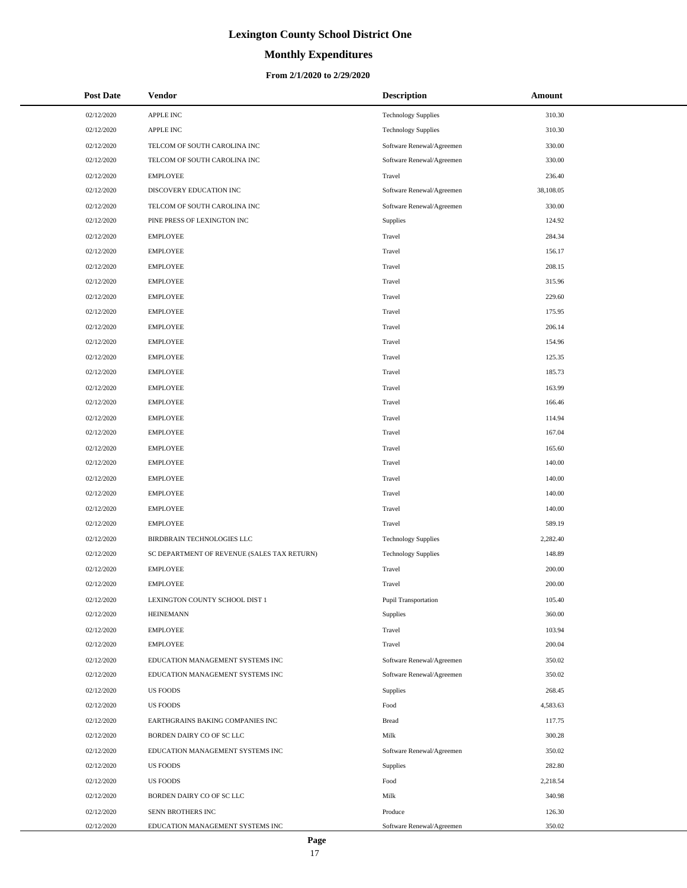# **Monthly Expenditures**

#### **From 2/1/2020 to 2/29/2020**

| <b>Post Date</b> | Vendor                                      | <b>Description</b>         | Amount    |
|------------------|---------------------------------------------|----------------------------|-----------|
| 02/12/2020       | APPLE INC                                   | <b>Technology Supplies</b> | 310.30    |
| 02/12/2020       | <b>APPLE INC</b>                            | <b>Technology Supplies</b> | 310.30    |
| 02/12/2020       | TELCOM OF SOUTH CAROLINA INC                | Software Renewal/Agreemen  | 330.00    |
| 02/12/2020       | TELCOM OF SOUTH CAROLINA INC                | Software Renewal/Agreemen  | 330.00    |
| 02/12/2020       | <b>EMPLOYEE</b>                             | Travel                     | 236.40    |
| 02/12/2020       | DISCOVERY EDUCATION INC                     | Software Renewal/Agreemen  | 38,108.05 |
| 02/12/2020       | TELCOM OF SOUTH CAROLINA INC                | Software Renewal/Agreemen  | 330.00    |
| 02/12/2020       | PINE PRESS OF LEXINGTON INC                 | Supplies                   | 124.92    |
| 02/12/2020       | <b>EMPLOYEE</b>                             | Travel                     | 284.34    |
| 02/12/2020       | <b>EMPLOYEE</b>                             | Travel                     | 156.17    |
| 02/12/2020       | <b>EMPLOYEE</b>                             | Travel                     | 208.15    |
| 02/12/2020       | <b>EMPLOYEE</b>                             | Travel                     | 315.96    |
| 02/12/2020       | <b>EMPLOYEE</b>                             | Travel                     | 229.60    |
| 02/12/2020       | <b>EMPLOYEE</b>                             | Travel                     | 175.95    |
| 02/12/2020       | <b>EMPLOYEE</b>                             | Travel                     | 206.14    |
| 02/12/2020       | <b>EMPLOYEE</b>                             | Travel                     | 154.96    |
| 02/12/2020       | <b>EMPLOYEE</b>                             | Travel                     | 125.35    |
| 02/12/2020       | <b>EMPLOYEE</b>                             | Travel                     | 185.73    |
| 02/12/2020       | <b>EMPLOYEE</b>                             | Travel                     | 163.99    |
| 02/12/2020       | <b>EMPLOYEE</b>                             | Travel                     | 166.46    |
| 02/12/2020       | <b>EMPLOYEE</b>                             | Travel                     | 114.94    |
| 02/12/2020       | <b>EMPLOYEE</b>                             | Travel                     | 167.04    |
| 02/12/2020       | <b>EMPLOYEE</b>                             | Travel                     | 165.60    |
| 02/12/2020       | <b>EMPLOYEE</b>                             | Travel                     | 140.00    |
| 02/12/2020       | <b>EMPLOYEE</b>                             | Travel                     | 140.00    |
| 02/12/2020       | <b>EMPLOYEE</b>                             | Travel                     | 140.00    |
| 02/12/2020       | <b>EMPLOYEE</b>                             | Travel                     | 140.00    |
| 02/12/2020       | <b>EMPLOYEE</b>                             | Travel                     | 589.19    |
| 02/12/2020       | BIRDBRAIN TECHNOLOGIES LLC                  | <b>Technology Supplies</b> | 2,282.40  |
| 02/12/2020       | SC DEPARTMENT OF REVENUE (SALES TAX RETURN) | <b>Technology Supplies</b> | 148.89    |
| 02/12/2020       | <b>EMPLOYEE</b>                             | Travel                     | 200.00    |
| 02/12/2020       | <b>EMPLOYEE</b>                             | Travel                     | 200.00    |
| 02/12/2020       | LEXINGTON COUNTY SCHOOL DIST 1              | Pupil Transportation       | 105.40    |
| 02/12/2020       | <b>HEINEMANN</b>                            | Supplies                   | 360.00    |
| 02/12/2020       | <b>EMPLOYEE</b>                             | Travel                     | 103.94    |
| 02/12/2020       | <b>EMPLOYEE</b>                             | Travel                     | 200.04    |
| 02/12/2020       | EDUCATION MANAGEMENT SYSTEMS INC            | Software Renewal/Agreemen  | 350.02    |
| 02/12/2020       | EDUCATION MANAGEMENT SYSTEMS INC            | Software Renewal/Agreemen  | 350.02    |
| 02/12/2020       | <b>US FOODS</b>                             | Supplies                   | 268.45    |
| 02/12/2020       | <b>US FOODS</b>                             | Food                       | 4,583.63  |
| 02/12/2020       | EARTHGRAINS BAKING COMPANIES INC            | <b>Bread</b>               | 117.75    |
| 02/12/2020       | BORDEN DAIRY CO OF SC LLC                   | Milk                       | 300.28    |
| 02/12/2020       | EDUCATION MANAGEMENT SYSTEMS INC            | Software Renewal/Agreemen  | 350.02    |
| 02/12/2020       | <b>US FOODS</b>                             | Supplies                   | 282.80    |
| 02/12/2020       | <b>US FOODS</b>                             | Food                       | 2,218.54  |
| 02/12/2020       | BORDEN DAIRY CO OF SC LLC                   | Milk                       | 340.98    |
| 02/12/2020       | SENN BROTHERS INC                           | Produce                    | 126.30    |
| 02/12/2020       | EDUCATION MANAGEMENT SYSTEMS INC            | Software Renewal/Agreemen  | 350.02    |

 $\overline{a}$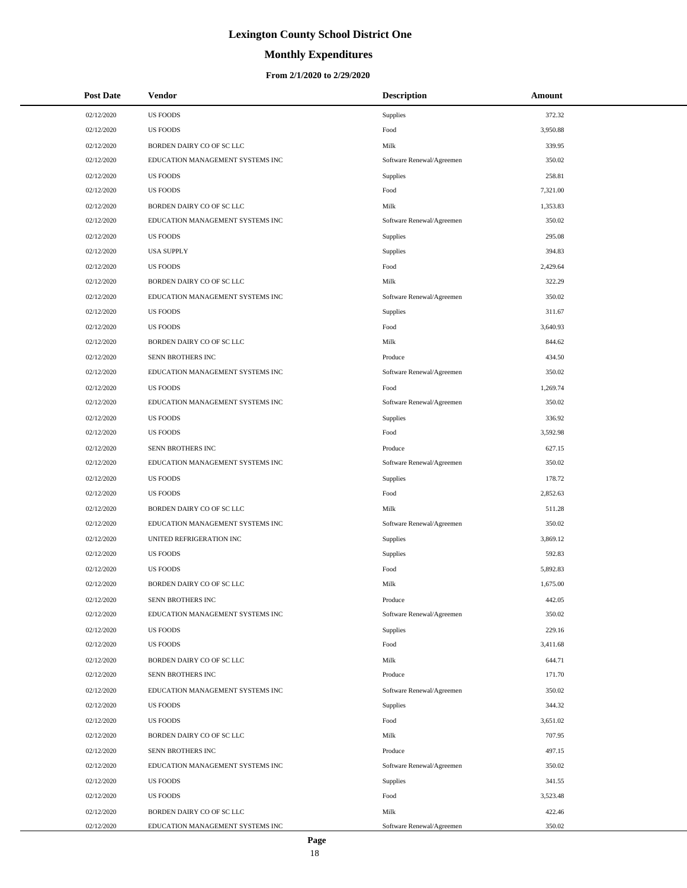# **Monthly Expenditures**

| <b>Post Date</b>         | <b>Vendor</b>                                  | <b>Description</b>                           | Amount           |
|--------------------------|------------------------------------------------|----------------------------------------------|------------------|
| 02/12/2020               | <b>US FOODS</b>                                | <b>Supplies</b>                              | 372.32           |
| 02/12/2020               | <b>US FOODS</b>                                | Food                                         | 3,950.88         |
| 02/12/2020               | BORDEN DAIRY CO OF SC LLC                      | Milk                                         | 339.95           |
| 02/12/2020               | EDUCATION MANAGEMENT SYSTEMS INC               | Software Renewal/Agreemen                    | 350.02           |
| 02/12/2020               | <b>US FOODS</b>                                | <b>Supplies</b>                              | 258.81           |
| 02/12/2020               | <b>US FOODS</b>                                | Food                                         | 7,321.00         |
| 02/12/2020               | BORDEN DAIRY CO OF SC LLC                      | Milk                                         | 1,353.83         |
| 02/12/2020               | EDUCATION MANAGEMENT SYSTEMS INC               | Software Renewal/Agreemen                    | 350.02           |
| 02/12/2020               | <b>US FOODS</b>                                | <b>Supplies</b>                              | 295.08           |
| 02/12/2020               | <b>USA SUPPLY</b>                              | Supplies                                     | 394.83           |
| 02/12/2020               | <b>US FOODS</b>                                | Food                                         | 2,429.64         |
| 02/12/2020               | BORDEN DAIRY CO OF SC LLC                      | Milk                                         | 322.29           |
| 02/12/2020               | EDUCATION MANAGEMENT SYSTEMS INC               | Software Renewal/Agreemen                    | 350.02           |
| 02/12/2020               | <b>US FOODS</b>                                | <b>Supplies</b>                              | 311.67           |
| 02/12/2020               | <b>US FOODS</b>                                | Food                                         | 3,640.93         |
| 02/12/2020               | BORDEN DAIRY CO OF SC LLC                      | Milk                                         | 844.62           |
| 02/12/2020               | SENN BROTHERS INC                              | Produce                                      | 434.50           |
| 02/12/2020               | EDUCATION MANAGEMENT SYSTEMS INC               | Software Renewal/Agreemen                    | 350.02           |
| 02/12/2020               | <b>US FOODS</b>                                | Food                                         | 1,269.74         |
| 02/12/2020               | EDUCATION MANAGEMENT SYSTEMS INC               | Software Renewal/Agreemen                    | 350.02           |
| 02/12/2020               | <b>US FOODS</b>                                | <b>Supplies</b>                              | 336.92           |
| 02/12/2020               | <b>US FOODS</b>                                | Food                                         | 3,592.98         |
| 02/12/2020               | SENN BROTHERS INC                              | Produce                                      | 627.15           |
| 02/12/2020               | EDUCATION MANAGEMENT SYSTEMS INC               | Software Renewal/Agreemen                    | 350.02           |
| 02/12/2020               | <b>US FOODS</b>                                | <b>Supplies</b>                              | 178.72           |
| 02/12/2020               | <b>US FOODS</b>                                | Food                                         | 2,852.63         |
| 02/12/2020               | BORDEN DAIRY CO OF SC LLC                      | Milk                                         | 511.28           |
| 02/12/2020               | EDUCATION MANAGEMENT SYSTEMS INC               | Software Renewal/Agreemen                    | 350.02           |
| 02/12/2020               | UNITED REFRIGERATION INC                       | <b>Supplies</b>                              | 3,869.12         |
| 02/12/2020               | <b>US FOODS</b>                                | Supplies                                     | 592.83           |
| 02/12/2020               | <b>US FOODS</b>                                | Food                                         | 5,892.83         |
| 02/12/2020               | BORDEN DAIRY CO OF SC LLC                      | Milk                                         | 1,675.00         |
| 02/12/2020               | SENN BROTHERS INC                              | Produce                                      | 442.05           |
| 02/12/2020               | EDUCATION MANAGEMENT SYSTEMS INC               | Software Renewal/Agreemen                    | 350.02           |
| 02/12/2020               | <b>US FOODS</b>                                | <b>Supplies</b>                              | 229.16           |
| 02/12/2020               | <b>US FOODS</b>                                | Food                                         | 3,411.68         |
| 02/12/2020<br>02/12/2020 | BORDEN DAIRY CO OF SC LLC<br>SENN BROTHERS INC | Milk<br>Produce                              | 644.71<br>171.70 |
| 02/12/2020               | EDUCATION MANAGEMENT SYSTEMS INC               |                                              | 350.02           |
| 02/12/2020               | <b>US FOODS</b>                                | Software Renewal/Agreemen<br><b>Supplies</b> | 344.32           |
| 02/12/2020               | <b>US FOODS</b>                                | Food                                         | 3,651.02         |
| 02/12/2020               | BORDEN DAIRY CO OF SC LLC                      | Milk                                         | 707.95           |
| 02/12/2020               | SENN BROTHERS INC                              | Produce                                      | 497.15           |
| 02/12/2020               | EDUCATION MANAGEMENT SYSTEMS INC               | Software Renewal/Agreemen                    | 350.02           |
| 02/12/2020               | <b>US FOODS</b>                                | <b>Supplies</b>                              | 341.55           |
| 02/12/2020               | <b>US FOODS</b>                                | Food                                         | 3,523.48         |
| 02/12/2020               | BORDEN DAIRY CO OF SC LLC                      | Milk                                         | 422.46           |
| 02/12/2020               | EDUCATION MANAGEMENT SYSTEMS INC               | Software Renewal/Agreemen                    | 350.02           |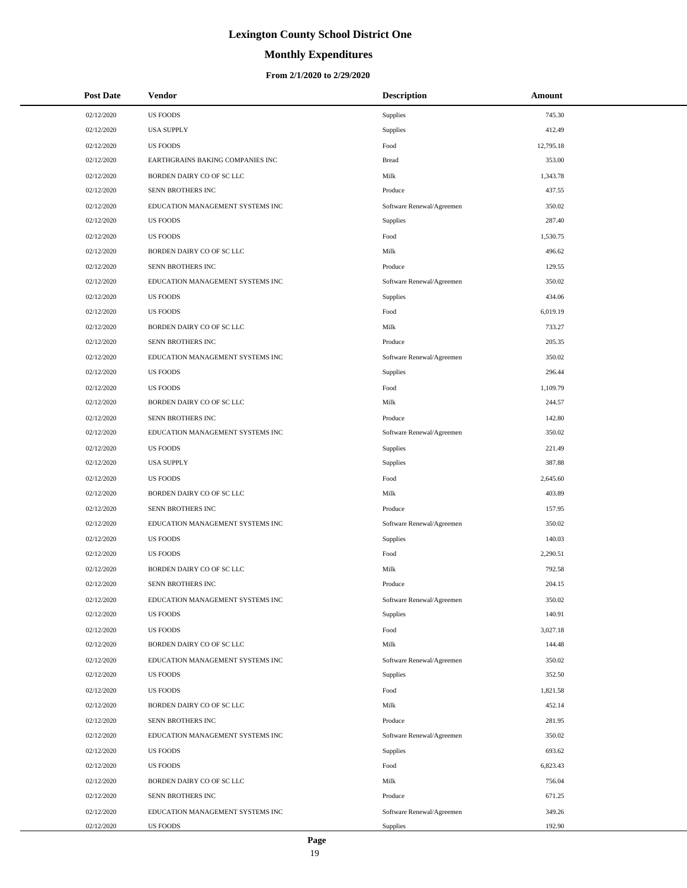# **Monthly Expenditures**

#### **From 2/1/2020 to 2/29/2020**

| <b>Post Date</b> | Vendor                           | <b>Description</b>        | Amount    |
|------------------|----------------------------------|---------------------------|-----------|
| 02/12/2020       | <b>US FOODS</b>                  | Supplies                  | 745.30    |
| 02/12/2020       | <b>USA SUPPLY</b>                | Supplies                  | 412.49    |
| 02/12/2020       | <b>US FOODS</b>                  | Food                      | 12,795.18 |
| 02/12/2020       | EARTHGRAINS BAKING COMPANIES INC | <b>Bread</b>              | 353.00    |
| 02/12/2020       | BORDEN DAIRY CO OF SC LLC        | Milk                      | 1,343.78  |
| 02/12/2020       | SENN BROTHERS INC                | Produce                   | 437.55    |
| 02/12/2020       | EDUCATION MANAGEMENT SYSTEMS INC | Software Renewal/Agreemen | 350.02    |
| 02/12/2020       | <b>US FOODS</b>                  | Supplies                  | 287.40    |
| 02/12/2020       | <b>US FOODS</b>                  | Food                      | 1,530.75  |
| 02/12/2020       | BORDEN DAIRY CO OF SC LLC        | Milk                      | 496.62    |
| 02/12/2020       | SENN BROTHERS INC                | Produce                   | 129.55    |
| 02/12/2020       | EDUCATION MANAGEMENT SYSTEMS INC | Software Renewal/Agreemen | 350.02    |
| 02/12/2020       | <b>US FOODS</b>                  | Supplies                  | 434.06    |
| 02/12/2020       | <b>US FOODS</b>                  | Food                      | 6,019.19  |
| 02/12/2020       | BORDEN DAIRY CO OF SC LLC        | Milk                      | 733.27    |
| 02/12/2020       | SENN BROTHERS INC                | Produce                   | 205.35    |
| 02/12/2020       | EDUCATION MANAGEMENT SYSTEMS INC | Software Renewal/Agreemen | 350.02    |
| 02/12/2020       | <b>US FOODS</b>                  | Supplies                  | 296.44    |
| 02/12/2020       | <b>US FOODS</b>                  | Food                      | 1,109.79  |
| 02/12/2020       | BORDEN DAIRY CO OF SC LLC        | Milk                      | 244.57    |
| 02/12/2020       | SENN BROTHERS INC                | Produce                   | 142.80    |
| 02/12/2020       | EDUCATION MANAGEMENT SYSTEMS INC | Software Renewal/Agreemen | 350.02    |
| 02/12/2020       | <b>US FOODS</b>                  | Supplies                  | 221.49    |
| 02/12/2020       | <b>USA SUPPLY</b>                | Supplies                  | 387.88    |
| 02/12/2020       | <b>US FOODS</b>                  | Food                      | 2,645.60  |
| 02/12/2020       | BORDEN DAIRY CO OF SC LLC        | Milk                      | 403.89    |
| 02/12/2020       | SENN BROTHERS INC                | Produce                   | 157.95    |
| 02/12/2020       | EDUCATION MANAGEMENT SYSTEMS INC | Software Renewal/Agreemen | 350.02    |
| 02/12/2020       | <b>US FOODS</b>                  | Supplies                  | 140.03    |
| 02/12/2020       | <b>US FOODS</b>                  | Food                      | 2,290.51  |
| 02/12/2020       | BORDEN DAIRY CO OF SC LLC        | Milk                      | 792.58    |
| 02/12/2020       | SENN BROTHERS INC                | Produce                   | 204.15    |
| 02/12/2020       | EDUCATION MANAGEMENT SYSTEMS INC | Software Renewal/Agreemen | 350.02    |
| 02/12/2020       | <b>US FOODS</b>                  | Supplies                  | 140.91    |
| 02/12/2020       | <b>US FOODS</b>                  | Food                      | 3,027.18  |
| 02/12/2020       | BORDEN DAIRY CO OF SC LLC        | Milk                      | 144.48    |
| 02/12/2020       | EDUCATION MANAGEMENT SYSTEMS INC | Software Renewal/Agreemen | 350.02    |
| 02/12/2020       | US FOODS                         | Supplies                  | 352.50    |
| 02/12/2020       | <b>US FOODS</b>                  | Food                      | 1,821.58  |
| 02/12/2020       | BORDEN DAIRY CO OF SC LLC        | Milk                      | 452.14    |
| 02/12/2020       | SENN BROTHERS INC                | Produce                   | 281.95    |
| 02/12/2020       | EDUCATION MANAGEMENT SYSTEMS INC | Software Renewal/Agreemen | 350.02    |
| 02/12/2020       | <b>US FOODS</b>                  | Supplies                  | 693.62    |
| 02/12/2020       | <b>US FOODS</b>                  | Food                      | 6,823.43  |
| 02/12/2020       | BORDEN DAIRY CO OF SC LLC        | Milk                      | 756.04    |
| 02/12/2020       | SENN BROTHERS INC                | Produce                   | 671.25    |
| 02/12/2020       | EDUCATION MANAGEMENT SYSTEMS INC | Software Renewal/Agreemen | 349.26    |
| 02/12/2020       | <b>US FOODS</b>                  | Supplies                  | 192.90    |

L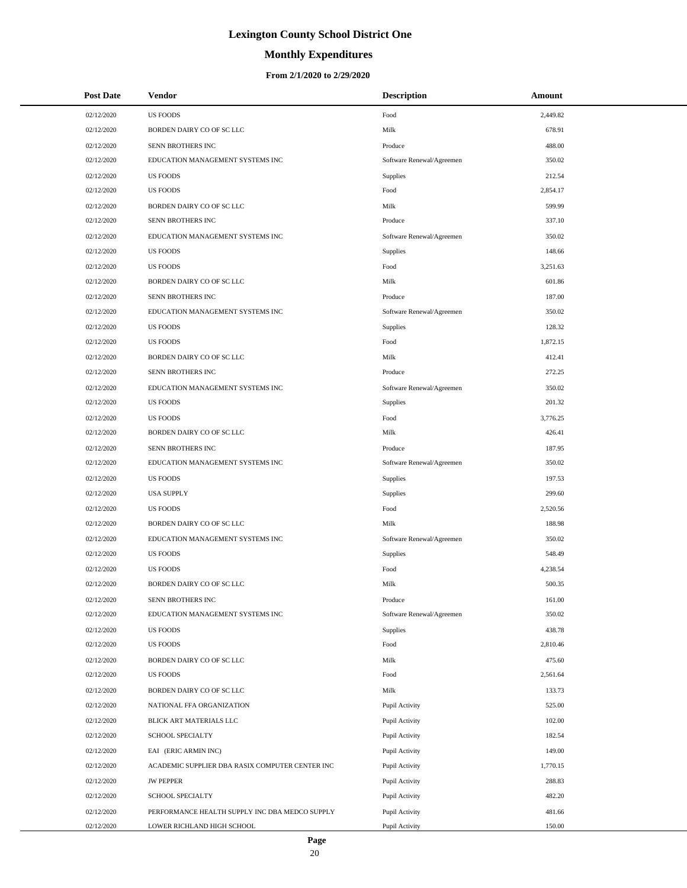# **Monthly Expenditures**

#### **From 2/1/2020 to 2/29/2020**

| <b>Post Date</b> | Vendor                                          | <b>Description</b>        | Amount   |
|------------------|-------------------------------------------------|---------------------------|----------|
| 02/12/2020       | <b>US FOODS</b>                                 | Food                      | 2,449.82 |
| 02/12/2020       | BORDEN DAIRY CO OF SC LLC                       | Milk                      | 678.91   |
| 02/12/2020       | SENN BROTHERS INC                               | Produce                   | 488.00   |
| 02/12/2020       | EDUCATION MANAGEMENT SYSTEMS INC                | Software Renewal/Agreemen | 350.02   |
| 02/12/2020       | <b>US FOODS</b>                                 | Supplies                  | 212.54   |
| 02/12/2020       | <b>US FOODS</b>                                 | Food                      | 2,854.17 |
| 02/12/2020       | BORDEN DAIRY CO OF SC LLC                       | Milk                      | 599.99   |
| 02/12/2020       | SENN BROTHERS INC                               | Produce                   | 337.10   |
| 02/12/2020       | EDUCATION MANAGEMENT SYSTEMS INC                | Software Renewal/Agreemen | 350.02   |
| 02/12/2020       | <b>US FOODS</b>                                 | Supplies                  | 148.66   |
| 02/12/2020       | <b>US FOODS</b>                                 | Food                      | 3,251.63 |
| 02/12/2020       | BORDEN DAIRY CO OF SC LLC                       | Milk                      | 601.86   |
| 02/12/2020       | SENN BROTHERS INC                               | Produce                   | 187.00   |
| 02/12/2020       | EDUCATION MANAGEMENT SYSTEMS INC                | Software Renewal/Agreemen | 350.02   |
| 02/12/2020       | <b>US FOODS</b>                                 | Supplies                  | 128.32   |
| 02/12/2020       | <b>US FOODS</b>                                 | Food                      | 1,872.15 |
| 02/12/2020       | BORDEN DAIRY CO OF SC LLC                       | Milk                      | 412.41   |
| 02/12/2020       | <b>SENN BROTHERS INC</b>                        | Produce                   | 272.25   |
| 02/12/2020       | EDUCATION MANAGEMENT SYSTEMS INC                | Software Renewal/Agreemen | 350.02   |
| 02/12/2020       | <b>US FOODS</b>                                 | Supplies                  | 201.32   |
| 02/12/2020       | <b>US FOODS</b>                                 | Food                      | 3,776.25 |
| 02/12/2020       | BORDEN DAIRY CO OF SC LLC                       | Milk                      | 426.41   |
| 02/12/2020       | SENN BROTHERS INC                               | Produce                   | 187.95   |
| 02/12/2020       | EDUCATION MANAGEMENT SYSTEMS INC                | Software Renewal/Agreemen | 350.02   |
| 02/12/2020       | <b>US FOODS</b>                                 | Supplies                  | 197.53   |
| 02/12/2020       | <b>USA SUPPLY</b>                               | Supplies                  | 299.60   |
| 02/12/2020       | <b>US FOODS</b>                                 | Food                      | 2,520.56 |
| 02/12/2020       | BORDEN DAIRY CO OF SC LLC                       | Milk                      | 188.98   |
| 02/12/2020       | EDUCATION MANAGEMENT SYSTEMS INC                | Software Renewal/Agreemen | 350.02   |
| 02/12/2020       | <b>US FOODS</b>                                 | Supplies                  | 548.49   |
| 02/12/2020       | <b>US FOODS</b>                                 | Food                      | 4,238.54 |
| 02/12/2020       | BORDEN DAIRY CO OF SC LLC                       | Milk                      | 500.35   |
| 02/12/2020       | SENN BROTHERS INC                               | Produce                   | 161.00   |
| 02/12/2020       | EDUCATION MANAGEMENT SYSTEMS INC                | Software Renewal/Agreemen | 350.02   |
| 02/12/2020       | <b>US FOODS</b>                                 | Supplies                  | 438.78   |
| 02/12/2020       | <b>US FOODS</b>                                 | Food                      | 2,810.46 |
| 02/12/2020       | BORDEN DAIRY CO OF SC LLC                       | Milk                      | 475.60   |
| 02/12/2020       | <b>US FOODS</b>                                 | Food                      | 2,561.64 |
| 02/12/2020       | BORDEN DAIRY CO OF SC LLC                       | Milk                      | 133.73   |
| 02/12/2020       | NATIONAL FFA ORGANIZATION                       | Pupil Activity            | 525.00   |
| 02/12/2020       | BLICK ART MATERIALS LLC                         | Pupil Activity            | 102.00   |
| 02/12/2020       | SCHOOL SPECIALTY                                | Pupil Activity            | 182.54   |
| 02/12/2020       | EAI (ERIC ARMIN INC)                            | Pupil Activity            | 149.00   |
| 02/12/2020       | ACADEMIC SUPPLIER DBA RASIX COMPUTER CENTER INC | Pupil Activity            | 1,770.15 |
| 02/12/2020       | <b>JW PEPPER</b>                                | Pupil Activity            | 288.83   |
| 02/12/2020       | <b>SCHOOL SPECIALTY</b>                         | Pupil Activity            | 482.20   |
| 02/12/2020       | PERFORMANCE HEALTH SUPPLY INC DBA MEDCO SUPPLY  | Pupil Activity            | 481.66   |
| 02/12/2020       | LOWER RICHLAND HIGH SCHOOL                      | Pupil Activity            | 150.00   |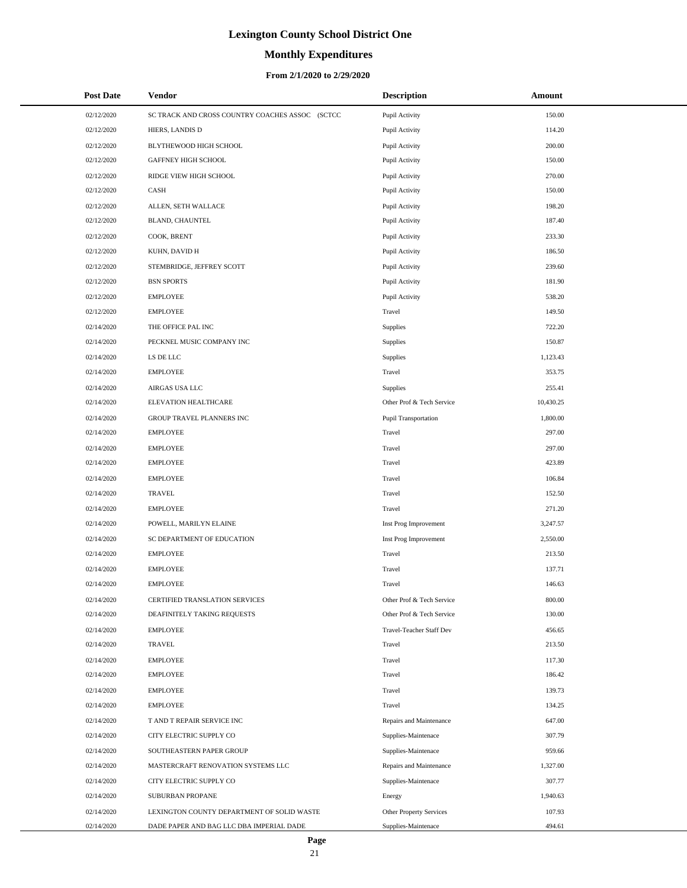# **Monthly Expenditures**

#### **From 2/1/2020 to 2/29/2020**

| <b>Post Date</b> | Vendor                                          | <b>Description</b>        | Amount    |
|------------------|-------------------------------------------------|---------------------------|-----------|
| 02/12/2020       | SC TRACK AND CROSS COUNTRY COACHES ASSOC (SCTCC | Pupil Activity            | 150.00    |
| 02/12/2020       | HIERS, LANDIS D                                 | Pupil Activity            | 114.20    |
| 02/12/2020       | BLYTHEWOOD HIGH SCHOOL                          | Pupil Activity            | 200.00    |
| 02/12/2020       | <b>GAFFNEY HIGH SCHOOL</b>                      | Pupil Activity            | 150.00    |
| 02/12/2020       | RIDGE VIEW HIGH SCHOOL                          | Pupil Activity            | 270.00    |
| 02/12/2020       | CASH                                            | Pupil Activity            | 150.00    |
| 02/12/2020       | ALLEN, SETH WALLACE                             | Pupil Activity            | 198.20    |
| 02/12/2020       | BLAND, CHAUNTEL                                 | Pupil Activity            | 187.40    |
| 02/12/2020       | COOK, BRENT                                     | Pupil Activity            | 233.30    |
| 02/12/2020       | KUHN, DAVID H                                   | Pupil Activity            | 186.50    |
| 02/12/2020       | STEMBRIDGE, JEFFREY SCOTT                       | Pupil Activity            | 239.60    |
| 02/12/2020       | <b>BSN SPORTS</b>                               | Pupil Activity            | 181.90    |
| 02/12/2020       | <b>EMPLOYEE</b>                                 | Pupil Activity            | 538.20    |
| 02/12/2020       | <b>EMPLOYEE</b>                                 | Travel                    | 149.50    |
| 02/14/2020       | THE OFFICE PAL INC                              | Supplies                  | 722.20    |
| 02/14/2020       | PECKNEL MUSIC COMPANY INC                       | Supplies                  | 150.87    |
| 02/14/2020       | LS DE LLC                                       | Supplies                  | 1,123.43  |
| 02/14/2020       | <b>EMPLOYEE</b>                                 | Travel                    | 353.75    |
| 02/14/2020       | AIRGAS USA LLC                                  | Supplies                  | 255.41    |
| 02/14/2020       | ELEVATION HEALTHCARE                            | Other Prof & Tech Service | 10,430.25 |
| 02/14/2020       | GROUP TRAVEL PLANNERS INC                       | Pupil Transportation      | 1,800.00  |
| 02/14/2020       | <b>EMPLOYEE</b>                                 | Travel                    | 297.00    |
| 02/14/2020       | <b>EMPLOYEE</b>                                 | Travel                    | 297.00    |
| 02/14/2020       | <b>EMPLOYEE</b>                                 | Travel                    | 423.89    |
| 02/14/2020       | <b>EMPLOYEE</b>                                 | Travel                    | 106.84    |
| 02/14/2020       | <b>TRAVEL</b>                                   | Travel                    | 152.50    |
| 02/14/2020       | <b>EMPLOYEE</b>                                 | Travel                    | 271.20    |
| 02/14/2020       | POWELL, MARILYN ELAINE                          | Inst Prog Improvement     | 3,247.57  |
| 02/14/2020       | SC DEPARTMENT OF EDUCATION                      | Inst Prog Improvement     | 2,550.00  |
| 02/14/2020       | <b>EMPLOYEE</b>                                 | Travel                    | 213.50    |
| 02/14/2020       | <b>EMPLOYEE</b>                                 | Travel                    | 137.71    |
| 02/14/2020       | <b>EMPLOYEE</b>                                 | Travel                    | 146.63    |
| 02/14/2020       | CERTIFIED TRANSLATION SERVICES                  | Other Prof & Tech Service | 800.00    |
| 02/14/2020       | DEAFINITELY TAKING REQUESTS                     | Other Prof & Tech Service | 130.00    |
| 02/14/2020       | <b>EMPLOYEE</b>                                 | Travel-Teacher Staff Dev  | 456.65    |
| 02/14/2020       | <b>TRAVEL</b>                                   | Travel                    | 213.50    |
| 02/14/2020       | <b>EMPLOYEE</b>                                 | Travel                    | 117.30    |
| 02/14/2020       | <b>EMPLOYEE</b>                                 | Travel                    | 186.42    |
| 02/14/2020       | <b>EMPLOYEE</b>                                 | Travel                    | 139.73    |
| 02/14/2020       | <b>EMPLOYEE</b>                                 | Travel                    | 134.25    |
| 02/14/2020       | T AND T REPAIR SERVICE INC                      | Repairs and Maintenance   | 647.00    |
| 02/14/2020       | CITY ELECTRIC SUPPLY CO                         | Supplies-Maintenace       | 307.79    |
| 02/14/2020       | SOUTHEASTERN PAPER GROUP                        | Supplies-Maintenace       | 959.66    |
| 02/14/2020       | MASTERCRAFT RENOVATION SYSTEMS LLC              | Repairs and Maintenance   | 1,327.00  |
| 02/14/2020       | CITY ELECTRIC SUPPLY CO                         | Supplies-Maintenace       | 307.77    |
| 02/14/2020       | SUBURBAN PROPANE                                | Energy                    | 1,940.63  |
| 02/14/2020       | LEXINGTON COUNTY DEPARTMENT OF SOLID WASTE      | Other Property Services   | 107.93    |
| 02/14/2020       | DADE PAPER AND BAG LLC DBA IMPERIAL DADE        | Supplies-Maintenace       | 494.61    |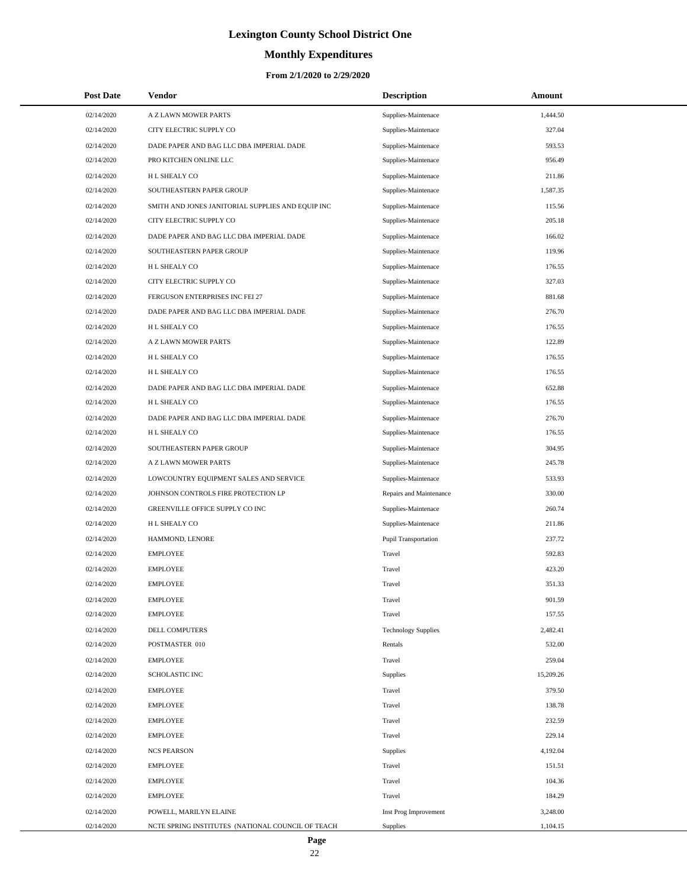# **Monthly Expenditures**

#### **From 2/1/2020 to 2/29/2020**

| <b>Post Date</b> | Vendor                                            | <b>Description</b>          | Amount    |
|------------------|---------------------------------------------------|-----------------------------|-----------|
| 02/14/2020       | A Z LAWN MOWER PARTS                              | Supplies-Maintenace         | 1,444.50  |
| 02/14/2020       | CITY ELECTRIC SUPPLY CO                           | Supplies-Maintenace         | 327.04    |
| 02/14/2020       | DADE PAPER AND BAG LLC DBA IMPERIAL DADE          | Supplies-Maintenace         | 593.53    |
| 02/14/2020       | PRO KITCHEN ONLINE LLC                            | Supplies-Maintenace         | 956.49    |
| 02/14/2020       | H L SHEALY CO                                     | Supplies-Maintenace         | 211.86    |
| 02/14/2020       | SOUTHEASTERN PAPER GROUP                          | Supplies-Maintenace         | 1,587.35  |
| 02/14/2020       | SMITH AND JONES JANITORIAL SUPPLIES AND EQUIP INC | Supplies-Maintenace         | 115.56    |
| 02/14/2020       | CITY ELECTRIC SUPPLY CO                           | Supplies-Maintenace         | 205.18    |
| 02/14/2020       | DADE PAPER AND BAG LLC DBA IMPERIAL DADE          | Supplies-Maintenace         | 166.02    |
| 02/14/2020       | SOUTHEASTERN PAPER GROUP                          | Supplies-Maintenace         | 119.96    |
| 02/14/2020       | H L SHEALY CO                                     | Supplies-Maintenace         | 176.55    |
| 02/14/2020       | CITY ELECTRIC SUPPLY CO                           | Supplies-Maintenace         | 327.03    |
| 02/14/2020       | FERGUSON ENTERPRISES INC FEI 27                   | Supplies-Maintenace         | 881.68    |
| 02/14/2020       | DADE PAPER AND BAG LLC DBA IMPERIAL DADE          | Supplies-Maintenace         | 276.70    |
| 02/14/2020       | H L SHEALY CO                                     | Supplies-Maintenace         | 176.55    |
| 02/14/2020       | A Z LAWN MOWER PARTS                              | Supplies-Maintenace         | 122.89    |
| 02/14/2020       | H L SHEALY CO                                     | Supplies-Maintenace         | 176.55    |
| 02/14/2020       | H L SHEALY CO                                     | Supplies-Maintenace         | 176.55    |
| 02/14/2020       | DADE PAPER AND BAG LLC DBA IMPERIAL DADE          | Supplies-Maintenace         | 652.88    |
| 02/14/2020       | H L SHEALY CO                                     | Supplies-Maintenace         | 176.55    |
| 02/14/2020       | DADE PAPER AND BAG LLC DBA IMPERIAL DADE          | Supplies-Maintenace         | 276.70    |
| 02/14/2020       | H L SHEALY CO                                     | Supplies-Maintenace         | 176.55    |
| 02/14/2020       | SOUTHEASTERN PAPER GROUP                          | Supplies-Maintenace         | 304.95    |
| 02/14/2020       | A Z LAWN MOWER PARTS                              | Supplies-Maintenace         | 245.78    |
| 02/14/2020       | LOWCOUNTRY EQUIPMENT SALES AND SERVICE            | Supplies-Maintenace         | 533.93    |
| 02/14/2020       | JOHNSON CONTROLS FIRE PROTECTION LP               | Repairs and Maintenance     | 330.00    |
| 02/14/2020       | GREENVILLE OFFICE SUPPLY CO INC                   | Supplies-Maintenace         | 260.74    |
| 02/14/2020       | H L SHEALY CO                                     | Supplies-Maintenace         | 211.86    |
| 02/14/2020       | HAMMOND, LENORE                                   | <b>Pupil Transportation</b> | 237.72    |
| 02/14/2020       | <b>EMPLOYEE</b>                                   | Travel                      | 592.83    |
| 02/14/2020       | <b>EMPLOYEE</b>                                   | Travel                      | 423.20    |
| 02/14/2020       | <b>EMPLOYEE</b>                                   | Travel                      | 351.33    |
| 02/14/2020       | <b>EMPLOYEE</b>                                   | Travel                      | 901.59    |
| 02/14/2020       | <b>EMPLOYEE</b>                                   | Travel                      | 157.55    |
| 02/14/2020       | DELL COMPUTERS                                    | <b>Technology Supplies</b>  | 2,482.41  |
| 02/14/2020       | POSTMASTER 010                                    | Rentals                     | 532.00    |
| 02/14/2020       | <b>EMPLOYEE</b>                                   | Travel                      | 259.04    |
| 02/14/2020       | <b>SCHOLASTIC INC</b>                             | Supplies                    | 15,209.26 |
| 02/14/2020       | <b>EMPLOYEE</b>                                   | Travel                      | 379.50    |
| 02/14/2020       | <b>EMPLOYEE</b>                                   | Travel                      | 138.78    |
| 02/14/2020       | <b>EMPLOYEE</b>                                   | Travel                      | 232.59    |
| 02/14/2020       | <b>EMPLOYEE</b>                                   | Travel                      | 229.14    |
| 02/14/2020       | <b>NCS PEARSON</b>                                | Supplies                    | 4,192.04  |
| 02/14/2020       | <b>EMPLOYEE</b>                                   | Travel                      | 151.51    |
| 02/14/2020       | <b>EMPLOYEE</b>                                   | Travel                      | 104.36    |
| 02/14/2020       | <b>EMPLOYEE</b>                                   | Travel                      | 184.29    |
| 02/14/2020       | POWELL, MARILYN ELAINE                            | Inst Prog Improvement       | 3,248.00  |
| 02/14/2020       | NCTE SPRING INSTITUTES (NATIONAL COUNCIL OF TEACH | Supplies                    | 1,104.15  |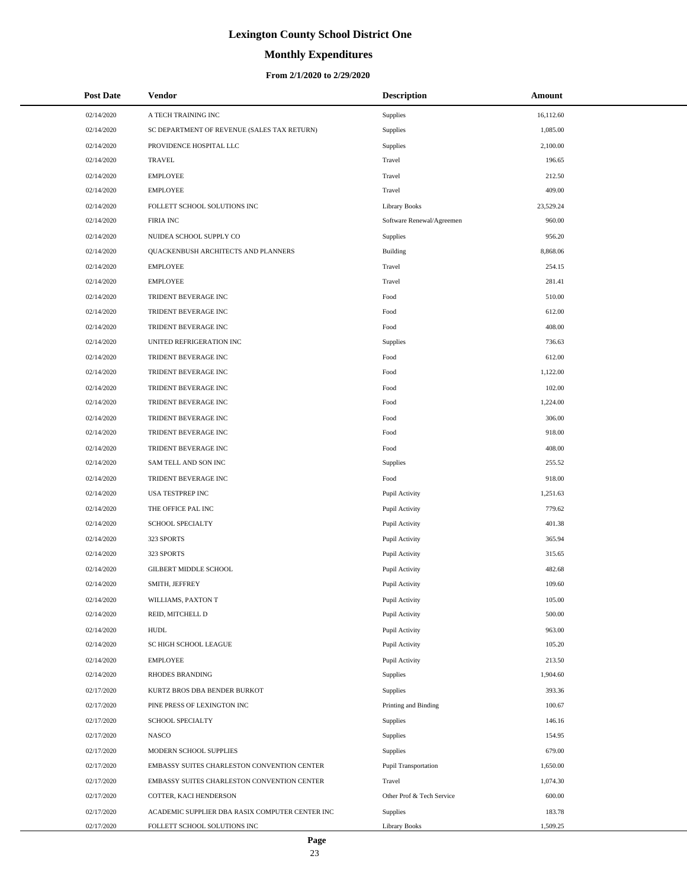# **Monthly Expenditures**

#### **From 2/1/2020 to 2/29/2020**

| <b>Post Date</b> | Vendor                                          | <b>Description</b>        | Amount    |
|------------------|-------------------------------------------------|---------------------------|-----------|
| 02/14/2020       | A TECH TRAINING INC                             | Supplies                  | 16,112.60 |
| 02/14/2020       | SC DEPARTMENT OF REVENUE (SALES TAX RETURN)     | Supplies                  | 1,085.00  |
| 02/14/2020       | PROVIDENCE HOSPITAL LLC                         | Supplies                  | 2,100.00  |
| 02/14/2020       | <b>TRAVEL</b>                                   | Travel                    | 196.65    |
| 02/14/2020       | <b>EMPLOYEE</b>                                 | Travel                    | 212.50    |
| 02/14/2020       | <b>EMPLOYEE</b>                                 | Travel                    | 409.00    |
| 02/14/2020       | FOLLETT SCHOOL SOLUTIONS INC                    | Library Books             | 23,529.24 |
| 02/14/2020       | FIRIA INC                                       | Software Renewal/Agreemen | 960.00    |
| 02/14/2020       | NUIDEA SCHOOL SUPPLY CO                         | Supplies                  | 956.20    |
| 02/14/2020       | QUACKENBUSH ARCHITECTS AND PLANNERS             | <b>Building</b>           | 8,868.06  |
| 02/14/2020       | <b>EMPLOYEE</b>                                 | Travel                    | 254.15    |
| 02/14/2020       | <b>EMPLOYEE</b>                                 | Travel                    | 281.41    |
| 02/14/2020       | TRIDENT BEVERAGE INC                            | Food                      | 510.00    |
| 02/14/2020       | TRIDENT BEVERAGE INC                            | Food                      | 612.00    |
| 02/14/2020       | TRIDENT BEVERAGE INC                            | Food                      | 408.00    |
| 02/14/2020       | UNITED REFRIGERATION INC                        | Supplies                  | 736.63    |
| 02/14/2020       | TRIDENT BEVERAGE INC                            | Food                      | 612.00    |
| 02/14/2020       | TRIDENT BEVERAGE INC                            | Food                      | 1,122.00  |
| 02/14/2020       | TRIDENT BEVERAGE INC                            | Food                      | 102.00    |
| 02/14/2020       | TRIDENT BEVERAGE INC                            | Food                      | 1,224.00  |
| 02/14/2020       | TRIDENT BEVERAGE INC                            | Food                      | 306.00    |
| 02/14/2020       | TRIDENT BEVERAGE INC                            | Food                      | 918.00    |
| 02/14/2020       | TRIDENT BEVERAGE INC                            | Food                      | 408.00    |
| 02/14/2020       | SAM TELL AND SON INC                            | Supplies                  | 255.52    |
| 02/14/2020       | TRIDENT BEVERAGE INC                            | Food                      | 918.00    |
| 02/14/2020       | USA TESTPREP INC                                | Pupil Activity            | 1,251.63  |
| 02/14/2020       | THE OFFICE PAL INC                              | Pupil Activity            | 779.62    |
| 02/14/2020       | SCHOOL SPECIALTY                                | Pupil Activity            | 401.38    |
| 02/14/2020       | 323 SPORTS                                      | Pupil Activity            | 365.94    |
| 02/14/2020       | 323 SPORTS                                      | Pupil Activity            | 315.65    |
| 02/14/2020       | <b>GILBERT MIDDLE SCHOOL</b>                    | Pupil Activity            | 482.68    |
| 02/14/2020       | SMITH, JEFFREY                                  | Pupil Activity            | 109.60    |
| 02/14/2020       | WILLIAMS, PAXTON T                              | Pupil Activity            | 105.00    |
| 02/14/2020       | REID, MITCHELL D                                | Pupil Activity            | 500.00    |
| 02/14/2020       | <b>HUDL</b>                                     | Pupil Activity            | 963.00    |
| 02/14/2020       | SC HIGH SCHOOL LEAGUE                           | Pupil Activity            | 105.20    |
| 02/14/2020       | <b>EMPLOYEE</b>                                 | Pupil Activity            | 213.50    |
| 02/14/2020       | RHODES BRANDING                                 | Supplies                  | 1,904.60  |
| 02/17/2020       | KURTZ BROS DBA BENDER BURKOT                    | Supplies                  | 393.36    |
| 02/17/2020       | PINE PRESS OF LEXINGTON INC                     | Printing and Binding      | 100.67    |
| 02/17/2020       | SCHOOL SPECIALTY                                | Supplies                  | 146.16    |
| 02/17/2020       | <b>NASCO</b>                                    | Supplies                  | 154.95    |
| 02/17/2020       | MODERN SCHOOL SUPPLIES                          | Supplies                  | 679.00    |
| 02/17/2020       | EMBASSY SUITES CHARLESTON CONVENTION CENTER     | Pupil Transportation      | 1,650.00  |
| 02/17/2020       | EMBASSY SUITES CHARLESTON CONVENTION CENTER     | Travel                    | 1,074.30  |
| 02/17/2020       | COTTER, KACI HENDERSON                          | Other Prof & Tech Service | 600.00    |
| 02/17/2020       | ACADEMIC SUPPLIER DBA RASIX COMPUTER CENTER INC | Supplies                  | 183.78    |
| 02/17/2020       | FOLLETT SCHOOL SOLUTIONS INC                    | Library Books             | 1,509.25  |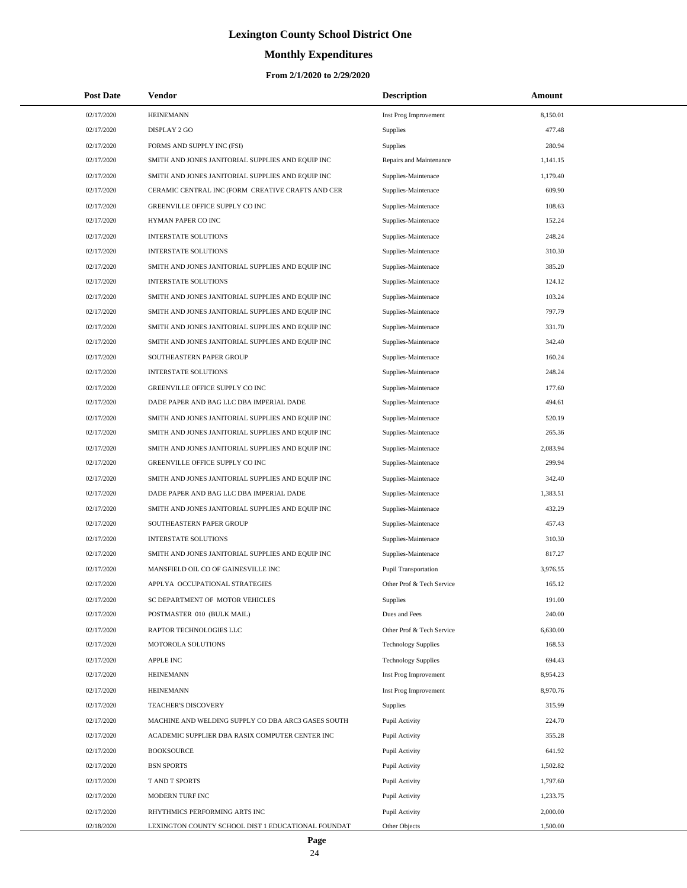# **Monthly Expenditures**

| <b>Post Date</b> | Vendor                                             | <b>Description</b>          | Amount   |
|------------------|----------------------------------------------------|-----------------------------|----------|
| 02/17/2020       | <b>HEINEMANN</b>                                   | Inst Prog Improvement       | 8,150.01 |
| 02/17/2020       | DISPLAY 2 GO                                       | Supplies                    | 477.48   |
| 02/17/2020       | FORMS AND SUPPLY INC (FSI)                         | Supplies                    | 280.94   |
| 02/17/2020       | SMITH AND JONES JANITORIAL SUPPLIES AND EQUIP INC  | Repairs and Maintenance     | 1,141.15 |
| 02/17/2020       | SMITH AND JONES JANITORIAL SUPPLIES AND EQUIP INC  | Supplies-Maintenace         | 1,179.40 |
| 02/17/2020       | CERAMIC CENTRAL INC (FORM CREATIVE CRAFTS AND CER  | Supplies-Maintenace         | 609.90   |
| 02/17/2020       | GREENVILLE OFFICE SUPPLY CO INC                    | Supplies-Maintenace         | 108.63   |
| 02/17/2020       | HYMAN PAPER CO INC                                 | Supplies-Maintenace         | 152.24   |
| 02/17/2020       | <b>INTERSTATE SOLUTIONS</b>                        | Supplies-Maintenace         | 248.24   |
| 02/17/2020       | <b>INTERSTATE SOLUTIONS</b>                        | Supplies-Maintenace         | 310.30   |
| 02/17/2020       | SMITH AND JONES JANITORIAL SUPPLIES AND EQUIP INC  | Supplies-Maintenace         | 385.20   |
| 02/17/2020       | <b>INTERSTATE SOLUTIONS</b>                        | Supplies-Maintenace         | 124.12   |
| 02/17/2020       | SMITH AND JONES JANITORIAL SUPPLIES AND EQUIP INC  | Supplies-Maintenace         | 103.24   |
| 02/17/2020       | SMITH AND JONES JANITORIAL SUPPLIES AND EQUIP INC  | Supplies-Maintenace         | 797.79   |
| 02/17/2020       | SMITH AND JONES JANITORIAL SUPPLIES AND EQUIP INC  | Supplies-Maintenace         | 331.70   |
| 02/17/2020       | SMITH AND JONES JANITORIAL SUPPLIES AND EQUIP INC  | Supplies-Maintenace         | 342.40   |
| 02/17/2020       | SOUTHEASTERN PAPER GROUP                           | Supplies-Maintenace         | 160.24   |
| 02/17/2020       | <b>INTERSTATE SOLUTIONS</b>                        | Supplies-Maintenace         | 248.24   |
| 02/17/2020       | GREENVILLE OFFICE SUPPLY CO INC                    | Supplies-Maintenace         | 177.60   |
| 02/17/2020       | DADE PAPER AND BAG LLC DBA IMPERIAL DADE           | Supplies-Maintenace         | 494.61   |
| 02/17/2020       | SMITH AND JONES JANITORIAL SUPPLIES AND EQUIP INC  | Supplies-Maintenace         | 520.19   |
| 02/17/2020       | SMITH AND JONES JANITORIAL SUPPLIES AND EQUIP INC  | Supplies-Maintenace         | 265.36   |
| 02/17/2020       | SMITH AND JONES JANITORIAL SUPPLIES AND EQUIP INC  | Supplies-Maintenace         | 2,083.94 |
| 02/17/2020       | GREENVILLE OFFICE SUPPLY CO INC                    | Supplies-Maintenace         | 299.94   |
| 02/17/2020       | SMITH AND JONES JANITORIAL SUPPLIES AND EQUIP INC  | Supplies-Maintenace         | 342.40   |
| 02/17/2020       | DADE PAPER AND BAG LLC DBA IMPERIAL DADE           | Supplies-Maintenace         | 1,383.51 |
| 02/17/2020       | SMITH AND JONES JANITORIAL SUPPLIES AND EQUIP INC  | Supplies-Maintenace         | 432.29   |
| 02/17/2020       | SOUTHEASTERN PAPER GROUP                           | Supplies-Maintenace         | 457.43   |
| 02/17/2020       | <b>INTERSTATE SOLUTIONS</b>                        | Supplies-Maintenace         | 310.30   |
| 02/17/2020       | SMITH AND JONES JANITORIAL SUPPLIES AND EQUIP INC  | Supplies-Maintenace         | 817.27   |
| 02/17/2020       | MANSFIELD OIL CO OF GAINESVILLE INC                | <b>Pupil Transportation</b> | 3,976.55 |
| 02/17/2020       | APPLYA OCCUPATIONAL STRATEGIES                     | Other Prof & Tech Service   | 165.12   |
| 02/17/2020       | SC DEPARTMENT OF MOTOR VEHICLES                    | Supplies                    | 191.00   |
| 02/17/2020       | POSTMASTER 010 (BULK MAIL)                         | Dues and Fees               | 240.00   |
| 02/17/2020       | RAPTOR TECHNOLOGIES LLC                            | Other Prof & Tech Service   | 6,630.00 |
| 02/17/2020       | MOTOROLA SOLUTIONS                                 | <b>Technology Supplies</b>  | 168.53   |
| 02/17/2020       | <b>APPLE INC</b>                                   | <b>Technology Supplies</b>  | 694.43   |
| 02/17/2020       | <b>HEINEMANN</b>                                   | Inst Prog Improvement       | 8,954.23 |
| 02/17/2020       | <b>HEINEMANN</b>                                   | Inst Prog Improvement       | 8,970.76 |
| 02/17/2020       | TEACHER'S DISCOVERY                                | Supplies                    | 315.99   |
| 02/17/2020       | MACHINE AND WELDING SUPPLY CO DBA ARC3 GASES SOUTH | Pupil Activity              | 224.70   |
| 02/17/2020       | ACADEMIC SUPPLIER DBA RASIX COMPUTER CENTER INC    | Pupil Activity              | 355.28   |
| 02/17/2020       | <b>BOOKSOURCE</b>                                  | Pupil Activity              | 641.92   |
| 02/17/2020       | <b>BSN SPORTS</b>                                  | Pupil Activity              | 1,502.82 |
| 02/17/2020       | T AND T SPORTS                                     | Pupil Activity              | 1,797.60 |
| 02/17/2020       | MODERN TURF INC                                    | Pupil Activity              | 1,233.75 |
| 02/17/2020       | RHYTHMICS PERFORMING ARTS INC                      | Pupil Activity              | 2,000.00 |
| 02/18/2020       | LEXINGTON COUNTY SCHOOL DIST 1 EDUCATIONAL FOUNDAT | Other Objects               | 1,500.00 |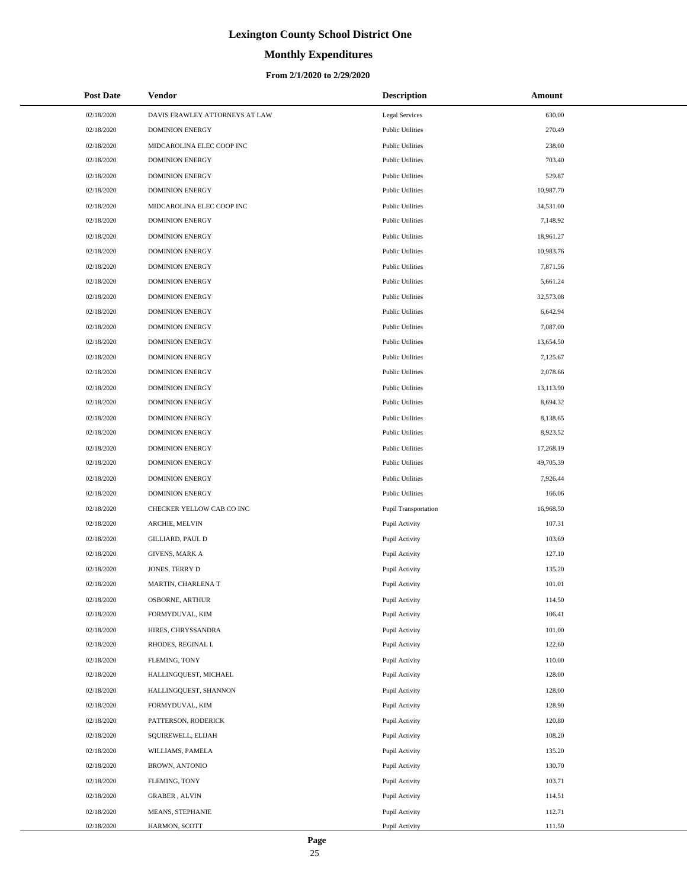# **Monthly Expenditures**

#### **From 2/1/2020 to 2/29/2020**

| <b>Post Date</b> | Vendor                         | <b>Description</b>      | Amount    |
|------------------|--------------------------------|-------------------------|-----------|
| 02/18/2020       | DAVIS FRAWLEY ATTORNEYS AT LAW | Legal Services          | 630.00    |
| 02/18/2020       | <b>DOMINION ENERGY</b>         | <b>Public Utilities</b> | 270.49    |
| 02/18/2020       | MIDCAROLINA ELEC COOP INC      | <b>Public Utilities</b> | 238.00    |
| 02/18/2020       | <b>DOMINION ENERGY</b>         | <b>Public Utilities</b> | 703.40    |
| 02/18/2020       | <b>DOMINION ENERGY</b>         | <b>Public Utilities</b> | 529.87    |
| 02/18/2020       | <b>DOMINION ENERGY</b>         | <b>Public Utilities</b> | 10,987.70 |
| 02/18/2020       | MIDCAROLINA ELEC COOP INC      | <b>Public Utilities</b> | 34,531.00 |
| 02/18/2020       | <b>DOMINION ENERGY</b>         | <b>Public Utilities</b> | 7,148.92  |
| 02/18/2020       | <b>DOMINION ENERGY</b>         | <b>Public Utilities</b> | 18,961.27 |
| 02/18/2020       | <b>DOMINION ENERGY</b>         | <b>Public Utilities</b> | 10,983.76 |
| 02/18/2020       | <b>DOMINION ENERGY</b>         | <b>Public Utilities</b> | 7,871.56  |
| 02/18/2020       | <b>DOMINION ENERGY</b>         | <b>Public Utilities</b> | 5,661.24  |
| 02/18/2020       | <b>DOMINION ENERGY</b>         | <b>Public Utilities</b> | 32,573.08 |
| 02/18/2020       | <b>DOMINION ENERGY</b>         | <b>Public Utilities</b> | 6,642.94  |
| 02/18/2020       | <b>DOMINION ENERGY</b>         | <b>Public Utilities</b> | 7,087.00  |
| 02/18/2020       | <b>DOMINION ENERGY</b>         | <b>Public Utilities</b> | 13,654.50 |
| 02/18/2020       | <b>DOMINION ENERGY</b>         | <b>Public Utilities</b> | 7,125.67  |
| 02/18/2020       | <b>DOMINION ENERGY</b>         | <b>Public Utilities</b> | 2,078.66  |
| 02/18/2020       | <b>DOMINION ENERGY</b>         | <b>Public Utilities</b> | 13,113.90 |
| 02/18/2020       | <b>DOMINION ENERGY</b>         | <b>Public Utilities</b> | 8,694.32  |
| 02/18/2020       | <b>DOMINION ENERGY</b>         | <b>Public Utilities</b> | 8,138.65  |
| 02/18/2020       | <b>DOMINION ENERGY</b>         | <b>Public Utilities</b> | 8,923.52  |
| 02/18/2020       | <b>DOMINION ENERGY</b>         | <b>Public Utilities</b> | 17,268.19 |
| 02/18/2020       | <b>DOMINION ENERGY</b>         | <b>Public Utilities</b> | 49,705.39 |
| 02/18/2020       | <b>DOMINION ENERGY</b>         | <b>Public Utilities</b> | 7,926.44  |
| 02/18/2020       | <b>DOMINION ENERGY</b>         | <b>Public Utilities</b> | 166.06    |
| 02/18/2020       | CHECKER YELLOW CAB CO INC      | Pupil Transportation    | 16,968.50 |
| 02/18/2020       | ARCHIE, MELVIN                 | Pupil Activity          | 107.31    |
| 02/18/2020       | <b>GILLIARD, PAUL D</b>        | Pupil Activity          | 103.69    |
| 02/18/2020       | <b>GIVENS, MARK A</b>          | Pupil Activity          | 127.10    |
| 02/18/2020       | JONES, TERRY D                 | Pupil Activity          | 135.20    |
| 02/18/2020       | MARTIN, CHARLENA T             | Pupil Activity          | 101.01    |
| 02/18/2020       | OSBORNE, ARTHUR                | Pupil Activity          | 114.50    |
| 02/18/2020       | FORMYDUVAL, KIM                | Pupil Activity          | 106.41    |
| 02/18/2020       | HIRES, CHRYSSANDRA             | Pupil Activity          | 101.00    |
| 02/18/2020       | RHODES, REGINAL L              | Pupil Activity          | 122.60    |
| 02/18/2020       | FLEMING, TONY                  | Pupil Activity          | 110.00    |
| 02/18/2020       | HALLINGQUEST, MICHAEL          | Pupil Activity          | 128.00    |
| 02/18/2020       | HALLINGQUEST, SHANNON          | Pupil Activity          | 128.00    |
| 02/18/2020       | FORMYDUVAL, KIM                | Pupil Activity          | 128.90    |
| 02/18/2020       | PATTERSON, RODERICK            | Pupil Activity          | 120.80    |
| 02/18/2020       | SQUIREWELL, ELIJAH             | Pupil Activity          | 108.20    |
| 02/18/2020       | WILLIAMS, PAMELA               | Pupil Activity          | 135.20    |
| 02/18/2020       | BROWN, ANTONIO                 | Pupil Activity          | 130.70    |
| 02/18/2020       | FLEMING, TONY                  | Pupil Activity          | 103.71    |
| 02/18/2020       | <b>GRABER, ALVIN</b>           | Pupil Activity          | 114.51    |
| 02/18/2020       | MEANS, STEPHANIE               | Pupil Activity          | 112.71    |
| 02/18/2020       | HARMON, SCOTT                  | Pupil Activity          | 111.50    |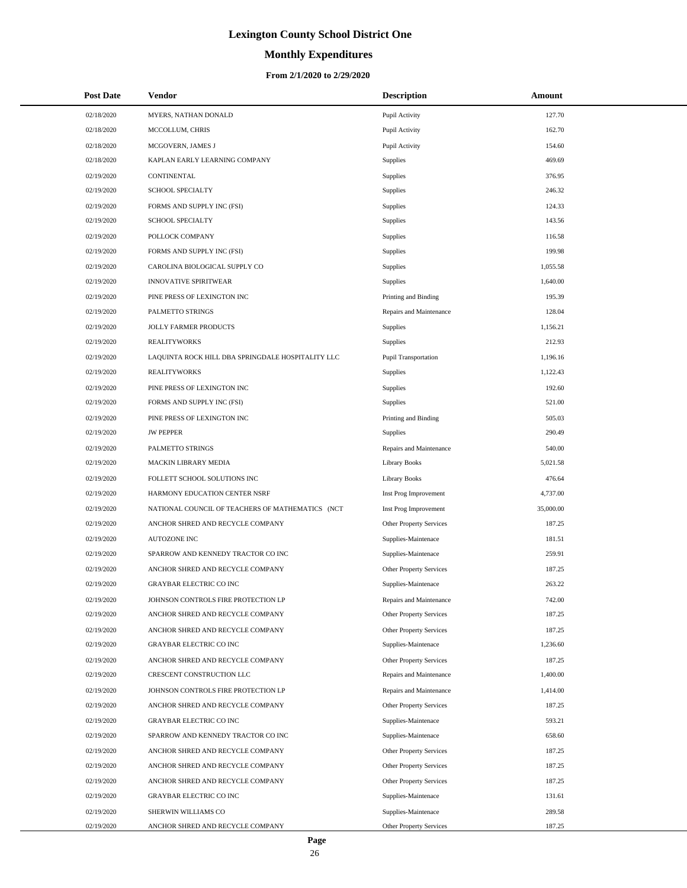# **Monthly Expenditures**

#### **From 2/1/2020 to 2/29/2020**

| <b>Post Date</b> | Vendor                                            | <b>Description</b>             | Amount    |
|------------------|---------------------------------------------------|--------------------------------|-----------|
| 02/18/2020       | MYERS, NATHAN DONALD                              | Pupil Activity                 | 127.70    |
| 02/18/2020       | MCCOLLUM, CHRIS                                   | Pupil Activity                 | 162.70    |
| 02/18/2020       | MCGOVERN, JAMES J                                 | Pupil Activity                 | 154.60    |
| 02/18/2020       | KAPLAN EARLY LEARNING COMPANY                     | Supplies                       | 469.69    |
| 02/19/2020       | CONTINENTAL                                       | Supplies                       | 376.95    |
| 02/19/2020       | SCHOOL SPECIALTY                                  | Supplies                       | 246.32    |
| 02/19/2020       | FORMS AND SUPPLY INC (FSI)                        | Supplies                       | 124.33    |
| 02/19/2020       | SCHOOL SPECIALTY                                  | Supplies                       | 143.56    |
| 02/19/2020       | POLLOCK COMPANY                                   | Supplies                       | 116.58    |
| 02/19/2020       | FORMS AND SUPPLY INC (FSI)                        | Supplies                       | 199.98    |
| 02/19/2020       | CAROLINA BIOLOGICAL SUPPLY CO                     | Supplies                       | 1,055.58  |
| 02/19/2020       | <b>INNOVATIVE SPIRITWEAR</b>                      | <b>Supplies</b>                | 1,640.00  |
| 02/19/2020       | PINE PRESS OF LEXINGTON INC                       | Printing and Binding           | 195.39    |
| 02/19/2020       | PALMETTO STRINGS                                  | Repairs and Maintenance        | 128.04    |
| 02/19/2020       | JOLLY FARMER PRODUCTS                             | Supplies                       | 1,156.21  |
| 02/19/2020       | <b>REALITYWORKS</b>                               | Supplies                       | 212.93    |
| 02/19/2020       | LAQUINTA ROCK HILL DBA SPRINGDALE HOSPITALITY LLC | <b>Pupil Transportation</b>    | 1,196.16  |
| 02/19/2020       | <b>REALITYWORKS</b>                               | Supplies                       | 1,122.43  |
| 02/19/2020       | PINE PRESS OF LEXINGTON INC                       | Supplies                       | 192.60    |
| 02/19/2020       | FORMS AND SUPPLY INC (FSI)                        | <b>Supplies</b>                | 521.00    |
| 02/19/2020       | PINE PRESS OF LEXINGTON INC                       | Printing and Binding           | 505.03    |
| 02/19/2020       | <b>JW PEPPER</b>                                  | Supplies                       | 290.49    |
| 02/19/2020       | PALMETTO STRINGS                                  | Repairs and Maintenance        | 540.00    |
| 02/19/2020       | MACKIN LIBRARY MEDIA                              | <b>Library Books</b>           | 5,021.58  |
| 02/19/2020       | FOLLETT SCHOOL SOLUTIONS INC                      | <b>Library Books</b>           | 476.64    |
| 02/19/2020       | HARMONY EDUCATION CENTER NSRF                     | Inst Prog Improvement          | 4,737.00  |
| 02/19/2020       | NATIONAL COUNCIL OF TEACHERS OF MATHEMATICS (NCT  | Inst Prog Improvement          | 35,000.00 |
| 02/19/2020       | ANCHOR SHRED AND RECYCLE COMPANY                  | Other Property Services        | 187.25    |
| 02/19/2020       | AUTOZONE INC                                      | Supplies-Maintenace            | 181.51    |
| 02/19/2020       | SPARROW AND KENNEDY TRACTOR CO INC                | Supplies-Maintenace            | 259.91    |
| 02/19/2020       | ANCHOR SHRED AND RECYCLE COMPANY                  | Other Property Services        | 187.25    |
| 02/19/2020       | <b>GRAYBAR ELECTRIC CO INC</b>                    | Supplies-Maintenace            | 263.22    |
| 02/19/2020       | JOHNSON CONTROLS FIRE PROTECTION LP               | Repairs and Maintenance        | 742.00    |
| 02/19/2020       | ANCHOR SHRED AND RECYCLE COMPANY                  | <b>Other Property Services</b> | 187.25    |
| 02/19/2020       | ANCHOR SHRED AND RECYCLE COMPANY                  | Other Property Services        | 187.25    |
| 02/19/2020       | <b>GRAYBAR ELECTRIC CO INC</b>                    | Supplies-Maintenace            | 1,236.60  |
| 02/19/2020       | ANCHOR SHRED AND RECYCLE COMPANY                  | Other Property Services        | 187.25    |
| 02/19/2020       | CRESCENT CONSTRUCTION LLC                         | Repairs and Maintenance        | 1,400.00  |
| 02/19/2020       | JOHNSON CONTROLS FIRE PROTECTION LP               | Repairs and Maintenance        | 1,414.00  |
| 02/19/2020       | ANCHOR SHRED AND RECYCLE COMPANY                  | Other Property Services        | 187.25    |
| 02/19/2020       | <b>GRAYBAR ELECTRIC CO INC</b>                    | Supplies-Maintenace            | 593.21    |
| 02/19/2020       | SPARROW AND KENNEDY TRACTOR CO INC                | Supplies-Maintenace            | 658.60    |
| 02/19/2020       | ANCHOR SHRED AND RECYCLE COMPANY                  | Other Property Services        | 187.25    |
| 02/19/2020       | ANCHOR SHRED AND RECYCLE COMPANY                  | Other Property Services        | 187.25    |
| 02/19/2020       | ANCHOR SHRED AND RECYCLE COMPANY                  | Other Property Services        | 187.25    |
| 02/19/2020       | GRAYBAR ELECTRIC CO INC                           | Supplies-Maintenace            | 131.61    |
| 02/19/2020       | SHERWIN WILLIAMS CO                               | Supplies-Maintenace            | 289.58    |
| 02/19/2020       | ANCHOR SHRED AND RECYCLE COMPANY                  | Other Property Services        | 187.25    |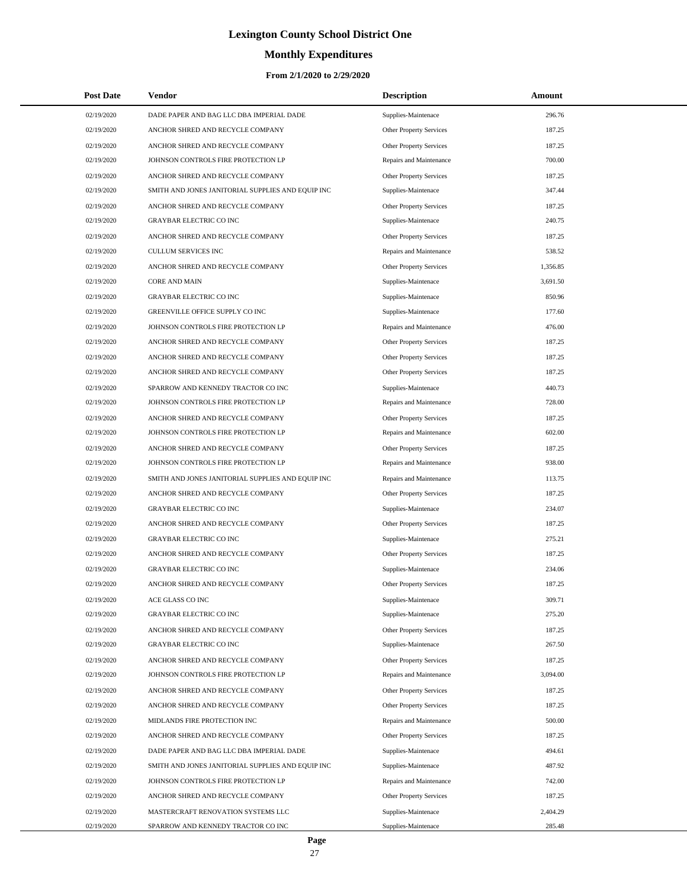# **Monthly Expenditures**

#### **From 2/1/2020 to 2/29/2020**

| <b>Post Date</b> | <b>Vendor</b>                                     | <b>Description</b>             | Amount   |
|------------------|---------------------------------------------------|--------------------------------|----------|
| 02/19/2020       | DADE PAPER AND BAG LLC DBA IMPERIAL DADE          | Supplies-Maintenace            | 296.76   |
| 02/19/2020       | ANCHOR SHRED AND RECYCLE COMPANY                  | Other Property Services        | 187.25   |
| 02/19/2020       | ANCHOR SHRED AND RECYCLE COMPANY                  | Other Property Services        | 187.25   |
| 02/19/2020       | JOHNSON CONTROLS FIRE PROTECTION LP               | Repairs and Maintenance        | 700.00   |
| 02/19/2020       | ANCHOR SHRED AND RECYCLE COMPANY                  | Other Property Services        | 187.25   |
| 02/19/2020       | SMITH AND JONES JANITORIAL SUPPLIES AND EQUIP INC | Supplies-Maintenace            | 347.44   |
| 02/19/2020       | ANCHOR SHRED AND RECYCLE COMPANY                  | Other Property Services        | 187.25   |
| 02/19/2020       | GRAYBAR ELECTRIC CO INC                           | Supplies-Maintenace            | 240.75   |
| 02/19/2020       | ANCHOR SHRED AND RECYCLE COMPANY                  | Other Property Services        | 187.25   |
| 02/19/2020       | CULLUM SERVICES INC                               | Repairs and Maintenance        | 538.52   |
| 02/19/2020       | ANCHOR SHRED AND RECYCLE COMPANY                  | Other Property Services        | 1,356.85 |
| 02/19/2020       | <b>CORE AND MAIN</b>                              | Supplies-Maintenace            | 3,691.50 |
| 02/19/2020       | <b>GRAYBAR ELECTRIC CO INC</b>                    | Supplies-Maintenace            | 850.96   |
| 02/19/2020       | GREENVILLE OFFICE SUPPLY CO INC                   | Supplies-Maintenace            | 177.60   |
| 02/19/2020       | JOHNSON CONTROLS FIRE PROTECTION LP               | Repairs and Maintenance        | 476.00   |
| 02/19/2020       | ANCHOR SHRED AND RECYCLE COMPANY                  | Other Property Services        | 187.25   |
| 02/19/2020       | ANCHOR SHRED AND RECYCLE COMPANY                  | Other Property Services        | 187.25   |
| 02/19/2020       | ANCHOR SHRED AND RECYCLE COMPANY                  | Other Property Services        | 187.25   |
| 02/19/2020       | SPARROW AND KENNEDY TRACTOR CO INC                | Supplies-Maintenace            | 440.73   |
| 02/19/2020       | JOHNSON CONTROLS FIRE PROTECTION LP               | Repairs and Maintenance        | 728.00   |
| 02/19/2020       | ANCHOR SHRED AND RECYCLE COMPANY                  | Other Property Services        | 187.25   |
| 02/19/2020       | JOHNSON CONTROLS FIRE PROTECTION LP               | Repairs and Maintenance        | 602.00   |
| 02/19/2020       | ANCHOR SHRED AND RECYCLE COMPANY                  | Other Property Services        | 187.25   |
| 02/19/2020       | JOHNSON CONTROLS FIRE PROTECTION LP               | Repairs and Maintenance        | 938.00   |
| 02/19/2020       | SMITH AND JONES JANITORIAL SUPPLIES AND EQUIP INC | Repairs and Maintenance        | 113.75   |
| 02/19/2020       | ANCHOR SHRED AND RECYCLE COMPANY                  | Other Property Services        | 187.25   |
| 02/19/2020       | GRAYBAR ELECTRIC CO INC                           | Supplies-Maintenace            | 234.07   |
| 02/19/2020       | ANCHOR SHRED AND RECYCLE COMPANY                  | Other Property Services        | 187.25   |
| 02/19/2020       | <b>GRAYBAR ELECTRIC CO INC</b>                    | Supplies-Maintenace            | 275.21   |
| 02/19/2020       | ANCHOR SHRED AND RECYCLE COMPANY                  | Other Property Services        | 187.25   |
| 02/19/2020       | <b>GRAYBAR ELECTRIC CO INC</b>                    | Supplies-Maintenace            | 234.06   |
| 02/19/2020       | ANCHOR SHRED AND RECYCLE COMPANY                  | Other Property Services        | 187.25   |
| 02/19/2020       | ACE GLASS CO INC                                  | Supplies-Maintenace            | 309.71   |
| 02/19/2020       | <b>GRAYBAR ELECTRIC CO INC</b>                    | Supplies-Maintenace            | 275.20   |
| 02/19/2020       | ANCHOR SHRED AND RECYCLE COMPANY                  | Other Property Services        | 187.25   |
| 02/19/2020       | <b>GRAYBAR ELECTRIC CO INC</b>                    | Supplies-Maintenace            | 267.50   |
| 02/19/2020       | ANCHOR SHRED AND RECYCLE COMPANY                  | Other Property Services        | 187.25   |
| 02/19/2020       | JOHNSON CONTROLS FIRE PROTECTION LP               | Repairs and Maintenance        | 3,094.00 |
| 02/19/2020       | ANCHOR SHRED AND RECYCLE COMPANY                  | Other Property Services        | 187.25   |
| 02/19/2020       | ANCHOR SHRED AND RECYCLE COMPANY                  | <b>Other Property Services</b> | 187.25   |
| 02/19/2020       | MIDLANDS FIRE PROTECTION INC                      | Repairs and Maintenance        | 500.00   |
| 02/19/2020       | ANCHOR SHRED AND RECYCLE COMPANY                  | Other Property Services        | 187.25   |
| 02/19/2020       | DADE PAPER AND BAG LLC DBA IMPERIAL DADE          | Supplies-Maintenace            | 494.61   |
| 02/19/2020       | SMITH AND JONES JANITORIAL SUPPLIES AND EQUIP INC | Supplies-Maintenace            | 487.92   |
| 02/19/2020       | JOHNSON CONTROLS FIRE PROTECTION LP               | Repairs and Maintenance        | 742.00   |
| 02/19/2020       | ANCHOR SHRED AND RECYCLE COMPANY                  | Other Property Services        | 187.25   |
| 02/19/2020       | MASTERCRAFT RENOVATION SYSTEMS LLC                | Supplies-Maintenace            | 2,404.29 |
| 02/19/2020       | SPARROW AND KENNEDY TRACTOR CO INC                | Supplies-Maintenace            | 285.48   |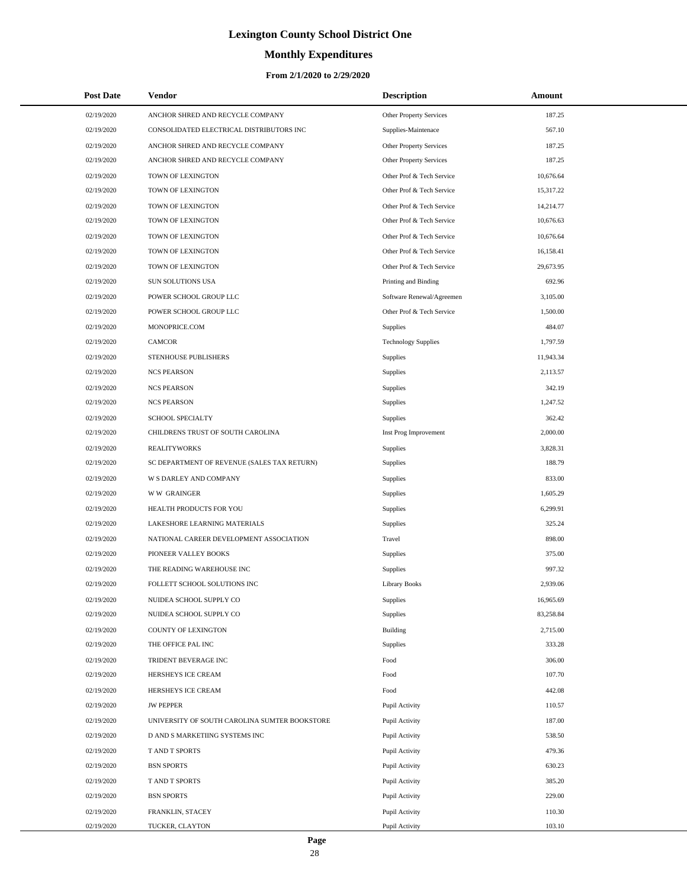# **Monthly Expenditures**

#### **From 2/1/2020 to 2/29/2020**

| <b>Post Date</b> | <b>Vendor</b>                                 | <b>Description</b>         | Amount    |
|------------------|-----------------------------------------------|----------------------------|-----------|
| 02/19/2020       | ANCHOR SHRED AND RECYCLE COMPANY              | Other Property Services    | 187.25    |
| 02/19/2020       | CONSOLIDATED ELECTRICAL DISTRIBUTORS INC      | Supplies-Maintenace        | 567.10    |
| 02/19/2020       | ANCHOR SHRED AND RECYCLE COMPANY              | Other Property Services    | 187.25    |
| 02/19/2020       | ANCHOR SHRED AND RECYCLE COMPANY              | Other Property Services    | 187.25    |
| 02/19/2020       | TOWN OF LEXINGTON                             | Other Prof & Tech Service  | 10,676.64 |
| 02/19/2020       | TOWN OF LEXINGTON                             | Other Prof & Tech Service  | 15,317.22 |
| 02/19/2020       | TOWN OF LEXINGTON                             | Other Prof & Tech Service  | 14,214.77 |
| 02/19/2020       | TOWN OF LEXINGTON                             | Other Prof & Tech Service  | 10,676.63 |
| 02/19/2020       | TOWN OF LEXINGTON                             | Other Prof & Tech Service  | 10,676.64 |
| 02/19/2020       | TOWN OF LEXINGTON                             | Other Prof & Tech Service  | 16,158.41 |
| 02/19/2020       | TOWN OF LEXINGTON                             | Other Prof & Tech Service  | 29,673.95 |
| 02/19/2020       | SUN SOLUTIONS USA                             | Printing and Binding       | 692.96    |
| 02/19/2020       | POWER SCHOOL GROUP LLC                        | Software Renewal/Agreemen  | 3,105.00  |
| 02/19/2020       | POWER SCHOOL GROUP LLC                        | Other Prof & Tech Service  | 1,500.00  |
| 02/19/2020       | MONOPRICE.COM                                 | Supplies                   | 484.07    |
| 02/19/2020       | <b>CAMCOR</b>                                 | <b>Technology Supplies</b> | 1,797.59  |
| 02/19/2020       | STENHOUSE PUBLISHERS                          | Supplies                   | 11,943.34 |
| 02/19/2020       | <b>NCS PEARSON</b>                            | Supplies                   | 2,113.57  |
| 02/19/2020       | <b>NCS PEARSON</b>                            | Supplies                   | 342.19    |
| 02/19/2020       | <b>NCS PEARSON</b>                            | Supplies                   | 1,247.52  |
| 02/19/2020       | SCHOOL SPECIALTY                              | Supplies                   | 362.42    |
| 02/19/2020       | CHILDRENS TRUST OF SOUTH CAROLINA             | Inst Prog Improvement      | 2,000.00  |
| 02/19/2020       | <b>REALITYWORKS</b>                           | <b>Supplies</b>            | 3,828.31  |
| 02/19/2020       | SC DEPARTMENT OF REVENUE (SALES TAX RETURN)   | Supplies                   | 188.79    |
| 02/19/2020       | W S DARLEY AND COMPANY                        | Supplies                   | 833.00    |
| 02/19/2020       | <b>WW GRAINGER</b>                            | Supplies                   | 1,605.29  |
| 02/19/2020       | HEALTH PRODUCTS FOR YOU                       | Supplies                   | 6,299.91  |
| 02/19/2020       | LAKESHORE LEARNING MATERIALS                  | Supplies                   | 325.24    |
| 02/19/2020       | NATIONAL CAREER DEVELOPMENT ASSOCIATION       | Travel                     | 898.00    |
| 02/19/2020       | PIONEER VALLEY BOOKS                          | Supplies                   | 375.00    |
| 02/19/2020       | THE READING WAREHOUSE INC                     | Supplies                   | 997.32    |
| 02/19/2020       | FOLLETT SCHOOL SOLUTIONS INC                  | <b>Library Books</b>       | 2,939.06  |
| 02/19/2020       | NUIDEA SCHOOL SUPPLY CO                       | Supplies                   | 16,965.69 |
| 02/19/2020       | NUIDEA SCHOOL SUPPLY CO                       | Supplies                   | 83,258.84 |
| 02/19/2020       | COUNTY OF LEXINGTON                           | Building                   | 2,715.00  |
| 02/19/2020       | THE OFFICE PAL INC                            | Supplies                   | 333.28    |
| 02/19/2020       | TRIDENT BEVERAGE INC                          | Food                       | 306.00    |
| 02/19/2020       | HERSHEYS ICE CREAM                            | Food                       | 107.70    |
| 02/19/2020       | HERSHEYS ICE CREAM                            | Food                       | 442.08    |
| 02/19/2020       | <b>JW PEPPER</b>                              | Pupil Activity             | 110.57    |
| 02/19/2020       | UNIVERSITY OF SOUTH CAROLINA SUMTER BOOKSTORE | Pupil Activity             | 187.00    |
| 02/19/2020       | D AND S MARKETIING SYSTEMS INC                | Pupil Activity             | 538.50    |
| 02/19/2020       | T AND T SPORTS                                | Pupil Activity             | 479.36    |
| 02/19/2020       | <b>BSN SPORTS</b>                             | Pupil Activity             | 630.23    |
| 02/19/2020       | T AND T SPORTS                                | Pupil Activity             | 385.20    |
| 02/19/2020       | <b>BSN SPORTS</b>                             | Pupil Activity             | 229.00    |
| 02/19/2020       | FRANKLIN, STACEY                              | Pupil Activity             | 110.30    |
| 02/19/2020       | TUCKER, CLAYTON                               | Pupil Activity             | 103.10    |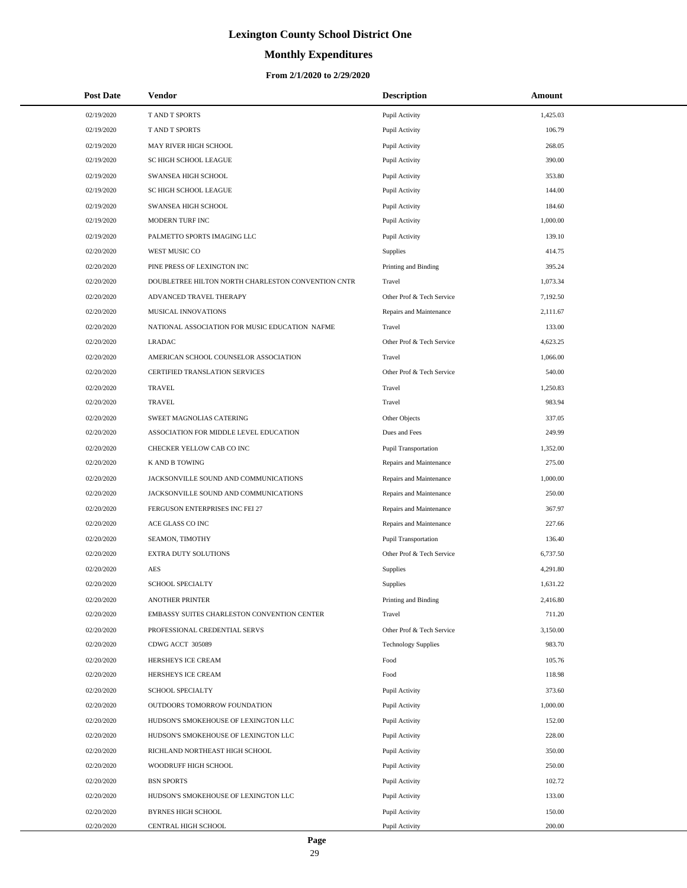# **Monthly Expenditures**

#### **From 2/1/2020 to 2/29/2020**

| <b>Post Date</b> | Vendor                                             | <b>Description</b>          | Amount   |
|------------------|----------------------------------------------------|-----------------------------|----------|
| 02/19/2020       | <b>T AND T SPORTS</b>                              | Pupil Activity              | 1,425.03 |
| 02/19/2020       | T AND T SPORTS                                     | Pupil Activity              | 106.79   |
| 02/19/2020       | MAY RIVER HIGH SCHOOL                              | Pupil Activity              | 268.05   |
| 02/19/2020       | SC HIGH SCHOOL LEAGUE                              | Pupil Activity              | 390.00   |
| 02/19/2020       | SWANSEA HIGH SCHOOL                                | Pupil Activity              | 353.80   |
| 02/19/2020       | SC HIGH SCHOOL LEAGUE                              | Pupil Activity              | 144.00   |
| 02/19/2020       | SWANSEA HIGH SCHOOL                                | Pupil Activity              | 184.60   |
| 02/19/2020       | MODERN TURF INC                                    | Pupil Activity              | 1,000.00 |
| 02/19/2020       | PALMETTO SPORTS IMAGING LLC                        | Pupil Activity              | 139.10   |
| 02/20/2020       | WEST MUSIC CO                                      | Supplies                    | 414.75   |
| 02/20/2020       | PINE PRESS OF LEXINGTON INC                        | Printing and Binding        | 395.24   |
| 02/20/2020       | DOUBLETREE HILTON NORTH CHARLESTON CONVENTION CNTR | Travel                      | 1,073.34 |
| 02/20/2020       | ADVANCED TRAVEL THERAPY                            | Other Prof & Tech Service   | 7,192.50 |
| 02/20/2020       | MUSICAL INNOVATIONS                                | Repairs and Maintenance     | 2,111.67 |
| 02/20/2020       | NATIONAL ASSOCIATION FOR MUSIC EDUCATION NAFME     | Travel                      | 133.00   |
| 02/20/2020       | <b>LRADAC</b>                                      | Other Prof & Tech Service   | 4,623.25 |
| 02/20/2020       | AMERICAN SCHOOL COUNSELOR ASSOCIATION              | Travel                      | 1,066.00 |
| 02/20/2020       | <b>CERTIFIED TRANSLATION SERVICES</b>              | Other Prof & Tech Service   | 540.00   |
| 02/20/2020       | <b>TRAVEL</b>                                      | Travel                      | 1,250.83 |
| 02/20/2020       | <b>TRAVEL</b>                                      | Travel                      | 983.94   |
| 02/20/2020       | SWEET MAGNOLIAS CATERING                           | Other Objects               | 337.05   |
| 02/20/2020       | ASSOCIATION FOR MIDDLE LEVEL EDUCATION             | Dues and Fees               | 249.99   |
| 02/20/2020       | CHECKER YELLOW CAB CO INC                          | Pupil Transportation        | 1,352.00 |
| 02/20/2020       | K AND B TOWING                                     | Repairs and Maintenance     | 275.00   |
| 02/20/2020       | JACKSONVILLE SOUND AND COMMUNICATIONS              | Repairs and Maintenance     | 1,000.00 |
| 02/20/2020       | JACKSONVILLE SOUND AND COMMUNICATIONS              | Repairs and Maintenance     | 250.00   |
| 02/20/2020       | FERGUSON ENTERPRISES INC FEI 27                    | Repairs and Maintenance     | 367.97   |
| 02/20/2020       | ACE GLASS CO INC                                   | Repairs and Maintenance     | 227.66   |
| 02/20/2020       | SEAMON, TIMOTHY                                    | <b>Pupil Transportation</b> | 136.40   |
| 02/20/2020       | EXTRA DUTY SOLUTIONS                               | Other Prof & Tech Service   | 6,737.50 |
| 02/20/2020       | <b>AES</b>                                         | Supplies                    | 4,291.80 |
| 02/20/2020       | <b>SCHOOL SPECIALTY</b>                            | Supplies                    | 1,631.22 |
| 02/20/2020       | <b>ANOTHER PRINTER</b>                             | Printing and Binding        | 2,416.80 |
| 02/20/2020       | EMBASSY SUITES CHARLESTON CONVENTION CENTER        | Travel                      | 711.20   |
| 02/20/2020       | PROFESSIONAL CREDENTIAL SERVS                      | Other Prof & Tech Service   | 3,150.00 |
| 02/20/2020       | CDWG ACCT 305089                                   | <b>Technology Supplies</b>  | 983.70   |
| 02/20/2020       | HERSHEYS ICE CREAM                                 | Food                        | 105.76   |
| 02/20/2020       | HERSHEYS ICE CREAM                                 | Food                        | 118.98   |
| 02/20/2020       | <b>SCHOOL SPECIALTY</b>                            | Pupil Activity              | 373.60   |
| 02/20/2020       | OUTDOORS TOMORROW FOUNDATION                       | Pupil Activity              | 1,000.00 |
| 02/20/2020       | HUDSON'S SMOKEHOUSE OF LEXINGTON LLC               | Pupil Activity              | 152.00   |
| 02/20/2020       | HUDSON'S SMOKEHOUSE OF LEXINGTON LLC               | Pupil Activity              | 228.00   |
| 02/20/2020       | RICHLAND NORTHEAST HIGH SCHOOL                     | Pupil Activity              | 350.00   |
| 02/20/2020       | WOODRUFF HIGH SCHOOL                               | Pupil Activity              | 250.00   |
| 02/20/2020       | <b>BSN SPORTS</b>                                  | Pupil Activity              | 102.72   |
| 02/20/2020       | HUDSON'S SMOKEHOUSE OF LEXINGTON LLC               | Pupil Activity              | 133.00   |
| 02/20/2020       | <b>BYRNES HIGH SCHOOL</b>                          | Pupil Activity              | 150.00   |
| 02/20/2020       | CENTRAL HIGH SCHOOL                                | Pupil Activity              | 200.00   |

 $\overline{a}$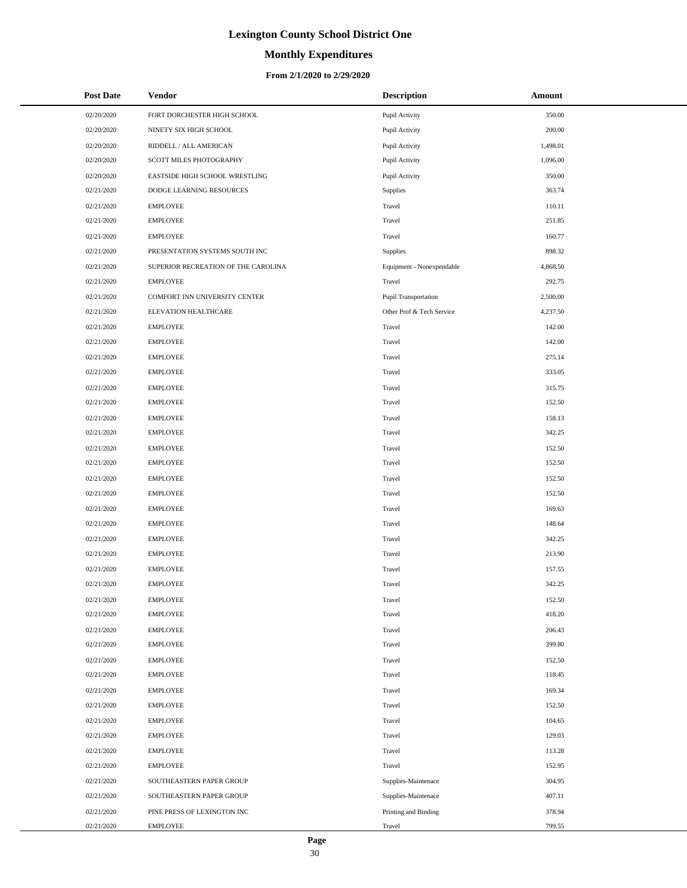# **Monthly Expenditures**

#### **From 2/1/2020 to 2/29/2020**

| <b>Post Date</b> | Vendor                              | <b>Description</b>        | Amount   |
|------------------|-------------------------------------|---------------------------|----------|
| 02/20/2020       | FORT DORCHESTER HIGH SCHOOL         | Pupil Activity            | 350.00   |
| 02/20/2020       | NINETY SIX HIGH SCHOOL              | Pupil Activity            | 200.00   |
| 02/20/2020       | RIDDELL / ALL AMERICAN              | Pupil Activity            | 1,498.01 |
| 02/20/2020       | SCOTT MILES PHOTOGRAPHY             | Pupil Activity            | 1,096.00 |
| 02/20/2020       | EASTSIDE HIGH SCHOOL WRESTLING      | Pupil Activity            | 350.00   |
| 02/21/2020       | DODGE LEARNING RESOURCES            | Supplies                  | 363.74   |
| 02/21/2020       | <b>EMPLOYEE</b>                     | Travel                    | 110.11   |
| 02/21/2020       | <b>EMPLOYEE</b>                     | Travel                    | 251.85   |
| 02/21/2020       | <b>EMPLOYEE</b>                     | Travel                    | 160.77   |
| 02/21/2020       | PRESENTATION SYSTEMS SOUTH INC      | Supplies                  | 898.32   |
| 02/21/2020       | SUPERIOR RECREATION OF THE CAROLINA | Equipment - Nonexpendable | 4,868.50 |
| 02/21/2020       | <b>EMPLOYEE</b>                     | Travel                    | 292.75   |
| 02/21/2020       | COMFORT INN UNIVERSITY CENTER       | Pupil Transportation      | 2,500.00 |
| 02/21/2020       | ELEVATION HEALTHCARE                | Other Prof & Tech Service | 4,237.50 |
| 02/21/2020       | <b>EMPLOYEE</b>                     | Travel                    | 142.00   |
| 02/21/2020       | <b>EMPLOYEE</b>                     | Travel                    | 142.00   |
| 02/21/2020       | <b>EMPLOYEE</b>                     | Travel                    | 275.14   |
| 02/21/2020       | <b>EMPLOYEE</b>                     | Travel                    | 333.05   |
| 02/21/2020       | <b>EMPLOYEE</b>                     | Travel                    | 315.75   |
| 02/21/2020       | <b>EMPLOYEE</b>                     | Travel                    | 152.50   |
| 02/21/2020       | <b>EMPLOYEE</b>                     | Travel                    | 158.13   |
| 02/21/2020       | <b>EMPLOYEE</b>                     | Travel                    | 342.25   |
| 02/21/2020       | <b>EMPLOYEE</b>                     | Travel                    | 152.50   |
| 02/21/2020       | <b>EMPLOYEE</b>                     | Travel                    | 152.50   |
| 02/21/2020       | <b>EMPLOYEE</b>                     | Travel                    | 152.50   |
| 02/21/2020       | <b>EMPLOYEE</b>                     | Travel                    | 152.50   |
| 02/21/2020       | <b>EMPLOYEE</b>                     | Travel                    | 169.63   |
| 02/21/2020       | <b>EMPLOYEE</b>                     | Travel                    | 148.64   |
| 02/21/2020       | <b>EMPLOYEE</b>                     | Travel                    | 342.25   |
| 02/21/2020       | <b>EMPLOYEE</b>                     | Travel                    | 213.90   |
| 02/21/2020       | <b>EMPLOYEE</b>                     | Travel                    | 157.55   |
| 02/21/2020       | <b>EMPLOYEE</b>                     | Travel                    | 342.25   |
| 02/21/2020       | <b>EMPLOYEE</b>                     | Travel                    | 152.50   |
| 02/21/2020       | <b>EMPLOYEE</b>                     | Travel                    | 418.20   |
| 02/21/2020       | <b>EMPLOYEE</b>                     | Travel                    | 206.43   |
| 02/21/2020       | <b>EMPLOYEE</b>                     | Travel                    | 399.80   |
| 02/21/2020       | <b>EMPLOYEE</b>                     | Travel                    | 152.50   |
| 02/21/2020       | <b>EMPLOYEE</b>                     | Travel                    | 118.45   |
| 02/21/2020       | <b>EMPLOYEE</b>                     | Travel                    | 169.34   |
| 02/21/2020       | <b>EMPLOYEE</b>                     | Travel                    | 152.50   |
| 02/21/2020       | <b>EMPLOYEE</b>                     | Travel                    | 104.65   |
| 02/21/2020       | <b>EMPLOYEE</b>                     | Travel                    | 129.03   |
| 02/21/2020       | <b>EMPLOYEE</b>                     | Travel                    | 113.28   |
| 02/21/2020       | <b>EMPLOYEE</b>                     | Travel                    | 152.95   |
| 02/21/2020       | SOUTHEASTERN PAPER GROUP            | Supplies-Maintenace       | 304.95   |
| 02/21/2020       | SOUTHEASTERN PAPER GROUP            | Supplies-Maintenace       | 407.11   |
| 02/21/2020       | PINE PRESS OF LEXINGTON INC         | Printing and Binding      | 378.94   |
| 02/21/2020       | <b>EMPLOYEE</b>                     | Travel                    | 799.55   |

÷.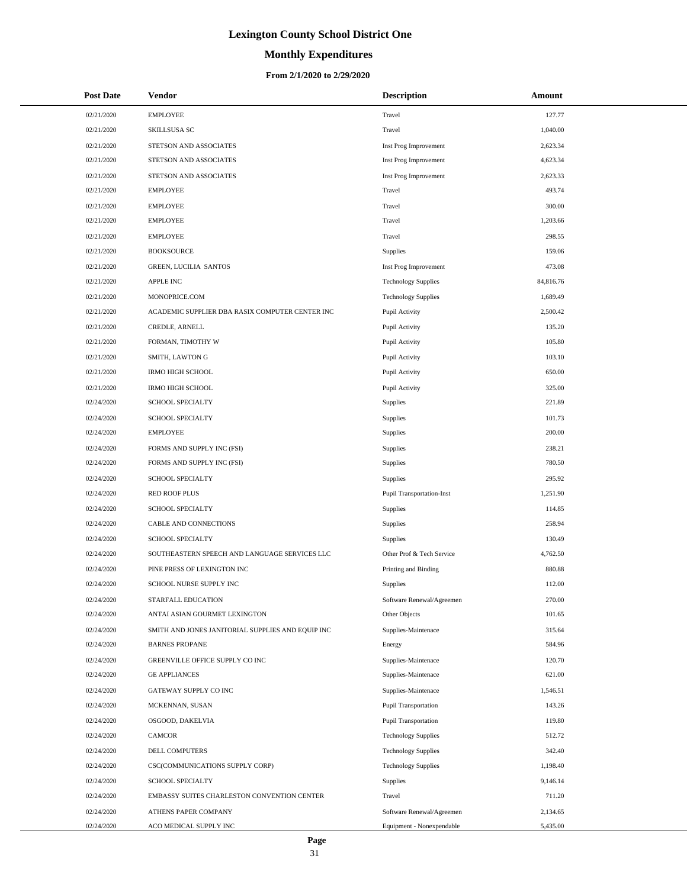# **Monthly Expenditures**

#### **From 2/1/2020 to 2/29/2020**

| <b>Post Date</b> | <b>Vendor</b>                                     | <b>Description</b>               | <b>Amount</b> |
|------------------|---------------------------------------------------|----------------------------------|---------------|
| 02/21/2020       | <b>EMPLOYEE</b>                                   | Travel                           | 127.77        |
| 02/21/2020       | SKILLSUSA SC                                      | Travel                           | 1,040.00      |
| 02/21/2020       | STETSON AND ASSOCIATES                            | Inst Prog Improvement            | 2,623.34      |
| 02/21/2020       | STETSON AND ASSOCIATES                            | Inst Prog Improvement            | 4,623.34      |
| 02/21/2020       | STETSON AND ASSOCIATES                            | Inst Prog Improvement            | 2,623.33      |
| 02/21/2020       | <b>EMPLOYEE</b>                                   | Travel                           | 493.74        |
| 02/21/2020       | <b>EMPLOYEE</b>                                   | Travel                           | 300.00        |
| 02/21/2020       | <b>EMPLOYEE</b>                                   | Travel                           | 1,203.66      |
| 02/21/2020       | <b>EMPLOYEE</b>                                   | Travel                           | 298.55        |
| 02/21/2020       | <b>BOOKSOURCE</b>                                 | Supplies                         | 159.06        |
| 02/21/2020       | GREEN, LUCILIA SANTOS                             | Inst Prog Improvement            | 473.08        |
| 02/21/2020       | <b>APPLE INC</b>                                  | <b>Technology Supplies</b>       | 84,816.76     |
| 02/21/2020       | MONOPRICE.COM                                     | <b>Technology Supplies</b>       | 1,689.49      |
| 02/21/2020       | ACADEMIC SUPPLIER DBA RASIX COMPUTER CENTER INC   | Pupil Activity                   | 2,500.42      |
| 02/21/2020       | CREDLE, ARNELL                                    | Pupil Activity                   | 135.20        |
| 02/21/2020       | FORMAN, TIMOTHY W                                 | Pupil Activity                   | 105.80        |
| 02/21/2020       | SMITH, LAWTON G                                   | Pupil Activity                   | 103.10        |
| 02/21/2020       | <b>IRMO HIGH SCHOOL</b>                           | Pupil Activity                   | 650.00        |
| 02/21/2020       | <b>IRMO HIGH SCHOOL</b>                           | Pupil Activity                   | 325.00        |
| 02/24/2020       | <b>SCHOOL SPECIALTY</b>                           | Supplies                         | 221.89        |
| 02/24/2020       | <b>SCHOOL SPECIALTY</b>                           | Supplies                         | 101.73        |
| 02/24/2020       | <b>EMPLOYEE</b>                                   | <b>Supplies</b>                  | 200.00        |
| 02/24/2020       | FORMS AND SUPPLY INC (FSI)                        | <b>Supplies</b>                  | 238.21        |
| 02/24/2020       | FORMS AND SUPPLY INC (FSI)                        | Supplies                         | 780.50        |
| 02/24/2020       | <b>SCHOOL SPECIALTY</b>                           | Supplies                         | 295.92        |
| 02/24/2020       | <b>RED ROOF PLUS</b>                              | <b>Pupil Transportation-Inst</b> | 1,251.90      |
| 02/24/2020       | <b>SCHOOL SPECIALTY</b>                           | <b>Supplies</b>                  | 114.85        |
| 02/24/2020       | CABLE AND CONNECTIONS                             | Supplies                         | 258.94        |
| 02/24/2020       | <b>SCHOOL SPECIALTY</b>                           | Supplies                         | 130.49        |
| 02/24/2020       | SOUTHEASTERN SPEECH AND LANGUAGE SERVICES LLC     | Other Prof & Tech Service        | 4,762.50      |
| 02/24/2020       | PINE PRESS OF LEXINGTON INC                       | Printing and Binding             | 880.88        |
| 02/24/2020       | SCHOOL NURSE SUPPLY INC                           | Supplies                         | 112.00        |
| 02/24/2020       | STARFALL EDUCATION                                | Software Renewal/Agreemen        | 270.00        |
| 02/24/2020       | ANTAI ASIAN GOURMET LEXINGTON                     | Other Objects                    | 101.65        |
| 02/24/2020       | SMITH AND JONES JANITORIAL SUPPLIES AND EQUIP INC | Supplies-Maintenace              | 315.64        |
| 02/24/2020       | <b>BARNES PROPANE</b>                             | Energy                           | 584.96        |
| 02/24/2020       | GREENVILLE OFFICE SUPPLY CO INC                   | Supplies-Maintenace              | 120.70        |
| 02/24/2020       | <b>GE APPLIANCES</b>                              | Supplies-Maintenace              | 621.00        |
| 02/24/2020       | GATEWAY SUPPLY CO INC                             | Supplies-Maintenace              | 1,546.51      |
| 02/24/2020       | MCKENNAN, SUSAN                                   | <b>Pupil Transportation</b>      | 143.26        |
| 02/24/2020       | OSGOOD, DAKELVIA                                  | <b>Pupil Transportation</b>      | 119.80        |
| 02/24/2020       | <b>CAMCOR</b>                                     | <b>Technology Supplies</b>       | 512.72        |
| 02/24/2020       | DELL COMPUTERS                                    | <b>Technology Supplies</b>       | 342.40        |
| 02/24/2020       | CSC(COMMUNICATIONS SUPPLY CORP)                   | <b>Technology Supplies</b>       | 1,198.40      |
| 02/24/2020       | <b>SCHOOL SPECIALTY</b>                           | Supplies                         | 9,146.14      |
| 02/24/2020       | EMBASSY SUITES CHARLESTON CONVENTION CENTER       | Travel                           | 711.20        |
| 02/24/2020       | ATHENS PAPER COMPANY                              | Software Renewal/Agreemen        | 2,134.65      |
| 02/24/2020       | ACO MEDICAL SUPPLY INC                            | Equipment - Nonexpendable        | 5,435.00      |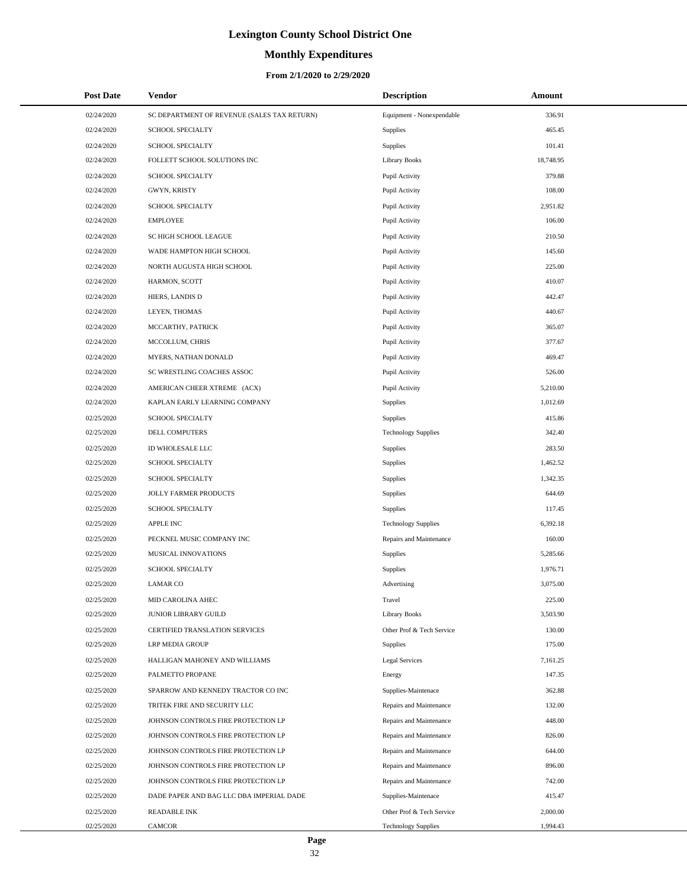# **Monthly Expenditures**

#### **From 2/1/2020 to 2/29/2020**

| <b>Post Date</b> | Vendor                                      | <b>Description</b>         | Amount    |
|------------------|---------------------------------------------|----------------------------|-----------|
| 02/24/2020       | SC DEPARTMENT OF REVENUE (SALES TAX RETURN) | Equipment - Nonexpendable  | 336.91    |
| 02/24/2020       | SCHOOL SPECIALTY                            | Supplies                   | 465.45    |
| 02/24/2020       | SCHOOL SPECIALTY                            | Supplies                   | 101.41    |
| 02/24/2020       | FOLLETT SCHOOL SOLUTIONS INC                | <b>Library Books</b>       | 18,748.95 |
| 02/24/2020       | SCHOOL SPECIALTY                            | Pupil Activity             | 379.88    |
| 02/24/2020       | GWYN, KRISTY                                | Pupil Activity             | 108.00    |
| 02/24/2020       | SCHOOL SPECIALTY                            | Pupil Activity             | 2,951.82  |
| 02/24/2020       | <b>EMPLOYEE</b>                             | Pupil Activity             | 106.00    |
| 02/24/2020       | SC HIGH SCHOOL LEAGUE                       | Pupil Activity             | 210.50    |
| 02/24/2020       | WADE HAMPTON HIGH SCHOOL                    | Pupil Activity             | 145.60    |
| 02/24/2020       | NORTH AUGUSTA HIGH SCHOOL                   | Pupil Activity             | 225.00    |
| 02/24/2020       | HARMON, SCOTT                               | Pupil Activity             | 410.07    |
| 02/24/2020       | HIERS, LANDIS D                             | Pupil Activity             | 442.47    |
| 02/24/2020       | LEYEN, THOMAS                               | Pupil Activity             | 440.67    |
| 02/24/2020       | MCCARTHY, PATRICK                           | Pupil Activity             | 365.07    |
| 02/24/2020       | MCCOLLUM, CHRIS                             | Pupil Activity             | 377.67    |
| 02/24/2020       | MYERS, NATHAN DONALD                        | Pupil Activity             | 469.47    |
| 02/24/2020       | SC WRESTLING COACHES ASSOC                  | Pupil Activity             | 526.00    |
| 02/24/2020       | AMERICAN CHEER XTREME (ACX)                 | Pupil Activity             | 5,210.00  |
| 02/24/2020       | KAPLAN EARLY LEARNING COMPANY               | Supplies                   | 1,012.69  |
| 02/25/2020       | SCHOOL SPECIALTY                            | <b>Supplies</b>            | 415.86    |
| 02/25/2020       | DELL COMPUTERS                              | <b>Technology Supplies</b> | 342.40    |
| 02/25/2020       | ID WHOLESALE LLC                            | Supplies                   | 283.50    |
| 02/25/2020       | SCHOOL SPECIALTY                            | Supplies                   | 1,462.52  |
| 02/25/2020       | SCHOOL SPECIALTY                            | Supplies                   | 1,342.35  |
| 02/25/2020       | JOLLY FARMER PRODUCTS                       | Supplies                   | 644.69    |
| 02/25/2020       | SCHOOL SPECIALTY                            | Supplies                   | 117.45    |
| 02/25/2020       | APPLE INC                                   | <b>Technology Supplies</b> | 6,392.18  |
| 02/25/2020       | PECKNEL MUSIC COMPANY INC                   | Repairs and Maintenance    | 160.00    |
| 02/25/2020       | MUSICAL INNOVATIONS                         | <b>Supplies</b>            | 5,285.66  |
| 02/25/2020       | SCHOOL SPECIALTY                            | Supplies                   | 1,976.71  |
| 02/25/2020       | <b>LAMAR CO</b>                             | Advertising                | 3,075.00  |
| 02/25/2020       | MID CAROLINA AHEC                           | Travel                     | 225.00    |
| 02/25/2020       | JUNIOR LIBRARY GUILD                        | <b>Library Books</b>       | 3,503.90  |
| 02/25/2020       | CERTIFIED TRANSLATION SERVICES              | Other Prof & Tech Service  | 130.00    |
| 02/25/2020       | <b>LRP MEDIA GROUP</b>                      | <b>Supplies</b>            | 175.00    |
| 02/25/2020       | HALLIGAN MAHONEY AND WILLIAMS               | Legal Services             | 7,161.25  |
| 02/25/2020       | PALMETTO PROPANE                            | Energy                     | 147.35    |
| 02/25/2020       | SPARROW AND KENNEDY TRACTOR CO INC          | Supplies-Maintenace        | 362.88    |
| 02/25/2020       | TRITEK FIRE AND SECURITY LLC                | Repairs and Maintenance    | 132.00    |
| 02/25/2020       | JOHNSON CONTROLS FIRE PROTECTION LP         | Repairs and Maintenance    | 448.00    |
| 02/25/2020       | JOHNSON CONTROLS FIRE PROTECTION LP         | Repairs and Maintenance    | 826.00    |
| 02/25/2020       | JOHNSON CONTROLS FIRE PROTECTION LP         | Repairs and Maintenance    | 644.00    |
| 02/25/2020       | JOHNSON CONTROLS FIRE PROTECTION LP         | Repairs and Maintenance    | 896.00    |
| 02/25/2020       | JOHNSON CONTROLS FIRE PROTECTION LP         | Repairs and Maintenance    | 742.00    |
| 02/25/2020       | DADE PAPER AND BAG LLC DBA IMPERIAL DADE    | Supplies-Maintenace        | 415.47    |
| 02/25/2020       | <b>READABLE INK</b>                         | Other Prof & Tech Service  | 2,000.00  |
| 02/25/2020       | CAMCOR                                      | <b>Technology Supplies</b> | 1,994.43  |

 $\overline{a}$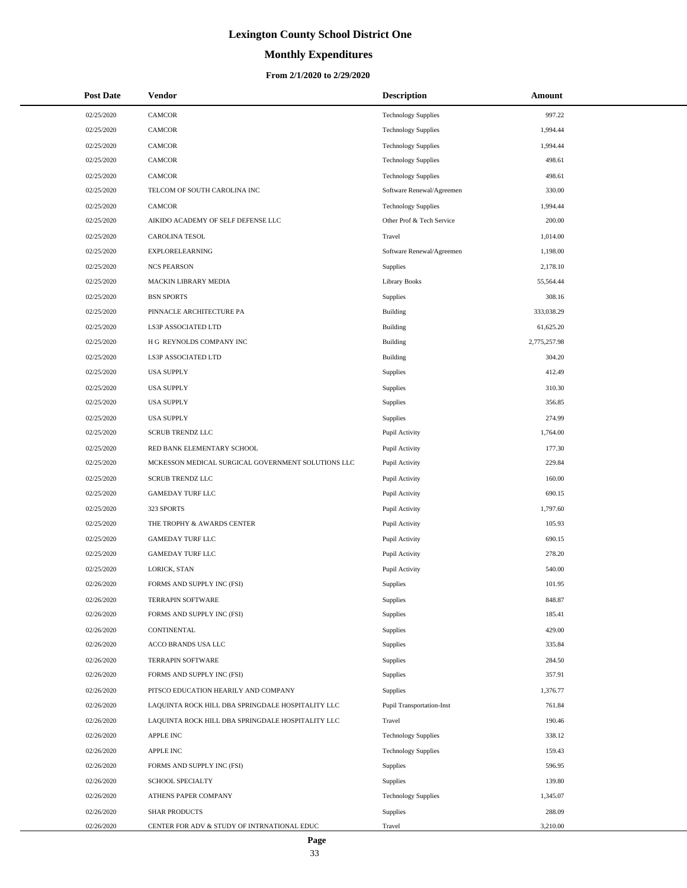# **Monthly Expenditures**

| <b>Post Date</b>         | Vendor                                                                | <b>Description</b>                     | Amount           |
|--------------------------|-----------------------------------------------------------------------|----------------------------------------|------------------|
| 02/25/2020               | CAMCOR                                                                | <b>Technology Supplies</b>             | 997.22           |
| 02/25/2020               | CAMCOR                                                                | <b>Technology Supplies</b>             | 1,994.44         |
| 02/25/2020               | <b>CAMCOR</b>                                                         | <b>Technology Supplies</b>             | 1,994.44         |
| 02/25/2020               | CAMCOR                                                                | <b>Technology Supplies</b>             | 498.61           |
| 02/25/2020               | CAMCOR                                                                | <b>Technology Supplies</b>             | 498.61           |
| 02/25/2020               | TELCOM OF SOUTH CAROLINA INC                                          | Software Renewal/Agreemen              | 330.00           |
| 02/25/2020               | CAMCOR                                                                | <b>Technology Supplies</b>             | 1,994.44         |
| 02/25/2020               | AIKIDO ACADEMY OF SELF DEFENSE LLC                                    | Other Prof & Tech Service              | 200.00           |
| 02/25/2020               | CAROLINA TESOL                                                        | Travel                                 | 1,014.00         |
| 02/25/2020               | EXPLORELEARNING                                                       | Software Renewal/Agreemen              | 1,198.00         |
| 02/25/2020               | <b>NCS PEARSON</b>                                                    | Supplies                               | 2,178.10         |
| 02/25/2020               | MACKIN LIBRARY MEDIA                                                  | <b>Library Books</b>                   | 55,564.44        |
| 02/25/2020               | <b>BSN SPORTS</b>                                                     | Supplies                               | 308.16           |
| 02/25/2020               | PINNACLE ARCHITECTURE PA                                              | Building                               | 333,038.29       |
| 02/25/2020               | LS3P ASSOCIATED LTD                                                   | Building                               | 61,625.20        |
| 02/25/2020               | H G REYNOLDS COMPANY INC                                              | Building                               | 2,775,257.98     |
| 02/25/2020               | LS3P ASSOCIATED LTD                                                   | Building                               | 304.20           |
| 02/25/2020               | <b>USA SUPPLY</b>                                                     | Supplies                               | 412.49           |
| 02/25/2020               | <b>USA SUPPLY</b>                                                     | Supplies                               | 310.30           |
| 02/25/2020               | <b>USA SUPPLY</b>                                                     | Supplies                               | 356.85           |
| 02/25/2020               | <b>USA SUPPLY</b>                                                     | Supplies                               | 274.99           |
| 02/25/2020               | <b>SCRUB TRENDZ LLC</b>                                               | Pupil Activity                         | 1,764.00         |
| 02/25/2020               | RED BANK ELEMENTARY SCHOOL                                            | Pupil Activity                         | 177.30           |
| 02/25/2020               | MCKESSON MEDICAL SURGICAL GOVERNMENT SOLUTIONS LLC                    | Pupil Activity                         | 229.84           |
| 02/25/2020               | <b>SCRUB TRENDZ LLC</b>                                               | Pupil Activity                         | 160.00           |
| 02/25/2020               | <b>GAMEDAY TURF LLC</b>                                               | Pupil Activity                         | 690.15           |
| 02/25/2020               | 323 SPORTS                                                            | Pupil Activity                         | 1,797.60         |
| 02/25/2020               | THE TROPHY & AWARDS CENTER                                            | Pupil Activity                         | 105.93           |
| 02/25/2020               | <b>GAMEDAY TURF LLC</b>                                               | Pupil Activity                         | 690.15           |
| 02/25/2020               | <b>GAMEDAY TURF LLC</b>                                               | Pupil Activity                         | 278.20           |
| 02/25/2020               | LORICK, STAN                                                          | Pupil Activity                         | 540.00           |
| 02/26/2020               | FORMS AND SUPPLY INC (FSI)                                            | Supplies                               | 101.95           |
| 02/26/2020               | TERRAPIN SOFTWARE                                                     | Supplies                               | 848.87           |
| 02/26/2020               | FORMS AND SUPPLY INC (FSI)                                            | Supplies                               | 185.41           |
| 02/26/2020               | CONTINENTAL                                                           | Supplies                               | 429.00           |
| 02/26/2020               | ACCO BRANDS USA LLC                                                   | Supplies                               | 335.84           |
| 02/26/2020               | TERRAPIN SOFTWARE                                                     | Supplies                               | 284.50           |
| 02/26/2020               | FORMS AND SUPPLY INC (FSI)                                            | Supplies                               | 357.91           |
| 02/26/2020               | PITSCO EDUCATION HEARILY AND COMPANY                                  | Supplies                               | 1,376.77         |
| 02/26/2020               | LAQUINTA ROCK HILL DBA SPRINGDALE HOSPITALITY LLC                     | Pupil Transportation-Inst              | 761.84           |
| 02/26/2020<br>02/26/2020 | LAQUINTA ROCK HILL DBA SPRINGDALE HOSPITALITY LLC<br><b>APPLE INC</b> | Travel                                 | 190.46<br>338.12 |
|                          |                                                                       | <b>Technology Supplies</b>             |                  |
| 02/26/2020<br>02/26/2020 | <b>APPLE INC</b><br>FORMS AND SUPPLY INC (FSI)                        | <b>Technology Supplies</b>             | 159.43<br>596.95 |
| 02/26/2020               | SCHOOL SPECIALTY                                                      | Supplies                               | 139.80           |
| 02/26/2020               | ATHENS PAPER COMPANY                                                  | Supplies<br><b>Technology Supplies</b> | 1,345.07         |
| 02/26/2020               | <b>SHAR PRODUCTS</b>                                                  | Supplies                               | 288.09           |
| 02/26/2020               | CENTER FOR ADV & STUDY OF INTRNATIONAL EDUC                           | Travel                                 | 3,210.00         |
|                          |                                                                       |                                        |                  |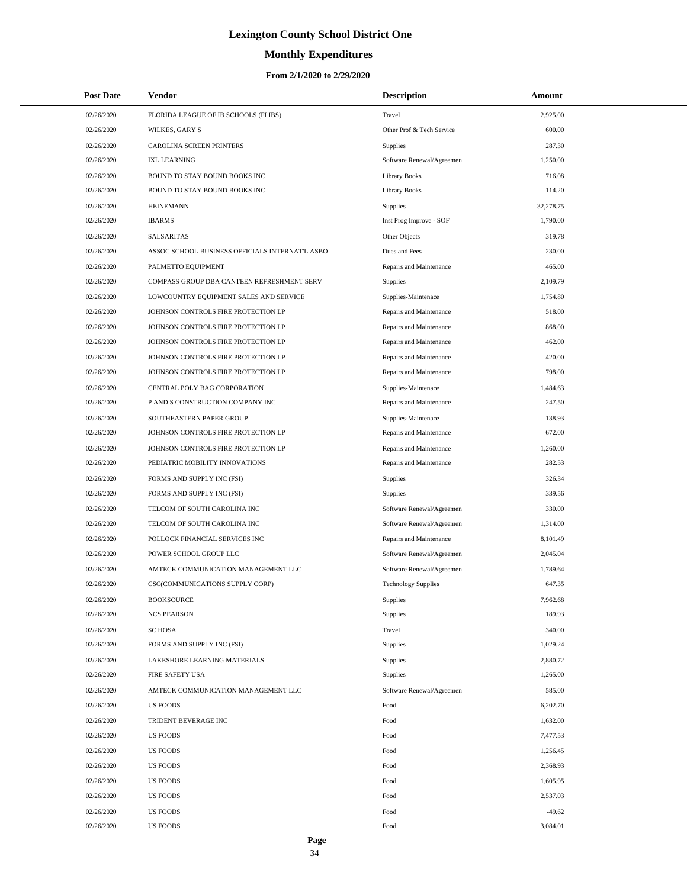# **Monthly Expenditures**

| <b>Post Date</b> | Vendor                                          | <b>Description</b>         | <b>Amount</b> |  |
|------------------|-------------------------------------------------|----------------------------|---------------|--|
| 02/26/2020       | FLORIDA LEAGUE OF IB SCHOOLS (FLIBS)            | Travel                     | 2,925.00      |  |
| 02/26/2020       | WILKES, GARY S                                  | Other Prof & Tech Service  | 600.00        |  |
| 02/26/2020       | <b>CAROLINA SCREEN PRINTERS</b>                 | Supplies                   | 287.30        |  |
| 02/26/2020       | <b>IXL LEARNING</b>                             | Software Renewal/Agreemen  | 1,250.00      |  |
| 02/26/2020       | BOUND TO STAY BOUND BOOKS INC                   | <b>Library Books</b>       | 716.08        |  |
| 02/26/2020       | BOUND TO STAY BOUND BOOKS INC                   | <b>Library Books</b>       | 114.20        |  |
| 02/26/2020       | <b>HEINEMANN</b>                                | Supplies                   | 32,278.75     |  |
| 02/26/2020       | <b>IBARMS</b>                                   | Inst Prog Improve - SOF    | 1,790.00      |  |
| 02/26/2020       | SALSARITAS                                      | Other Objects              | 319.78        |  |
| 02/26/2020       | ASSOC SCHOOL BUSINESS OFFICIALS INTERNAT'L ASBO | Dues and Fees              | 230.00        |  |
| 02/26/2020       | PALMETTO EQUIPMENT                              | Repairs and Maintenance    | 465.00        |  |
| 02/26/2020       | COMPASS GROUP DBA CANTEEN REFRESHMENT SERV      | <b>Supplies</b>            | 2,109.79      |  |
| 02/26/2020       | LOWCOUNTRY EQUIPMENT SALES AND SERVICE          | Supplies-Maintenace        | 1,754.80      |  |
| 02/26/2020       | JOHNSON CONTROLS FIRE PROTECTION LP             | Repairs and Maintenance    | 518.00        |  |
| 02/26/2020       | JOHNSON CONTROLS FIRE PROTECTION LP             | Repairs and Maintenance    | 868.00        |  |
| 02/26/2020       | JOHNSON CONTROLS FIRE PROTECTION LP             | Repairs and Maintenance    | 462.00        |  |
| 02/26/2020       | JOHNSON CONTROLS FIRE PROTECTION LP             | Repairs and Maintenance    | 420.00        |  |
| 02/26/2020       | JOHNSON CONTROLS FIRE PROTECTION LP             | Repairs and Maintenance    | 798.00        |  |
| 02/26/2020       | CENTRAL POLY BAG CORPORATION                    | Supplies-Maintenace        | 1,484.63      |  |
| 02/26/2020       | P AND S CONSTRUCTION COMPANY INC                | Repairs and Maintenance    | 247.50        |  |
| 02/26/2020       | SOUTHEASTERN PAPER GROUP                        | Supplies-Maintenace        | 138.93        |  |
| 02/26/2020       | JOHNSON CONTROLS FIRE PROTECTION LP             | Repairs and Maintenance    | 672.00        |  |
| 02/26/2020       | JOHNSON CONTROLS FIRE PROTECTION LP             | Repairs and Maintenance    | 1,260.00      |  |
| 02/26/2020       | PEDIATRIC MOBILITY INNOVATIONS                  | Repairs and Maintenance    | 282.53        |  |
| 02/26/2020       | FORMS AND SUPPLY INC (FSI)                      | Supplies                   | 326.34        |  |
| 02/26/2020       | FORMS AND SUPPLY INC (FSI)                      | <b>Supplies</b>            | 339.56        |  |
| 02/26/2020       | TELCOM OF SOUTH CAROLINA INC                    | Software Renewal/Agreemen  | 330.00        |  |
| 02/26/2020       | TELCOM OF SOUTH CAROLINA INC                    | Software Renewal/Agreemen  | 1,314.00      |  |
| 02/26/2020       | POLLOCK FINANCIAL SERVICES INC                  | Repairs and Maintenance    | 8,101.49      |  |
| 02/26/2020       | POWER SCHOOL GROUP LLC                          | Software Renewal/Agreemen  | 2,045.04      |  |
| 02/26/2020       | AMTECK COMMUNICATION MANAGEMENT LLC             | Software Renewal/Agreemen  | 1,789.64      |  |
| 02/26/2020       | CSC(COMMUNICATIONS SUPPLY CORP)                 | <b>Technology Supplies</b> | 647.35        |  |
| 02/26/2020       | <b>BOOKSOURCE</b>                               | Supplies                   | 7,962.68      |  |
| 02/26/2020       | <b>NCS PEARSON</b>                              | Supplies                   | 189.93        |  |
| 02/26/2020       | <b>SC HOSA</b>                                  | Travel                     | 340.00        |  |
| 02/26/2020       | FORMS AND SUPPLY INC (FSI)                      | Supplies                   | 1,029.24      |  |
| 02/26/2020       | LAKESHORE LEARNING MATERIALS                    | Supplies                   | 2,880.72      |  |
| 02/26/2020       | FIRE SAFETY USA                                 | Supplies                   | 1,265.00      |  |
| 02/26/2020       | AMTECK COMMUNICATION MANAGEMENT LLC             | Software Renewal/Agreemen  | 585.00        |  |
| 02/26/2020       | <b>US FOODS</b>                                 | Food                       | 6,202.70      |  |
| 02/26/2020       | TRIDENT BEVERAGE INC                            | Food                       | 1,632.00      |  |
| 02/26/2020       | <b>US FOODS</b>                                 | Food                       | 7,477.53      |  |
| 02/26/2020       | <b>US FOODS</b>                                 | Food                       | 1,256.45      |  |
| 02/26/2020       | <b>US FOODS</b>                                 | Food                       | 2,368.93      |  |
| 02/26/2020       | <b>US FOODS</b>                                 | Food                       | 1,605.95      |  |
| 02/26/2020       | <b>US FOODS</b>                                 | Food                       | 2,537.03      |  |
| 02/26/2020       | <b>US FOODS</b>                                 | Food                       | $-49.62$      |  |
| 02/26/2020       | <b>US FOODS</b>                                 | Food                       | 3,084.01      |  |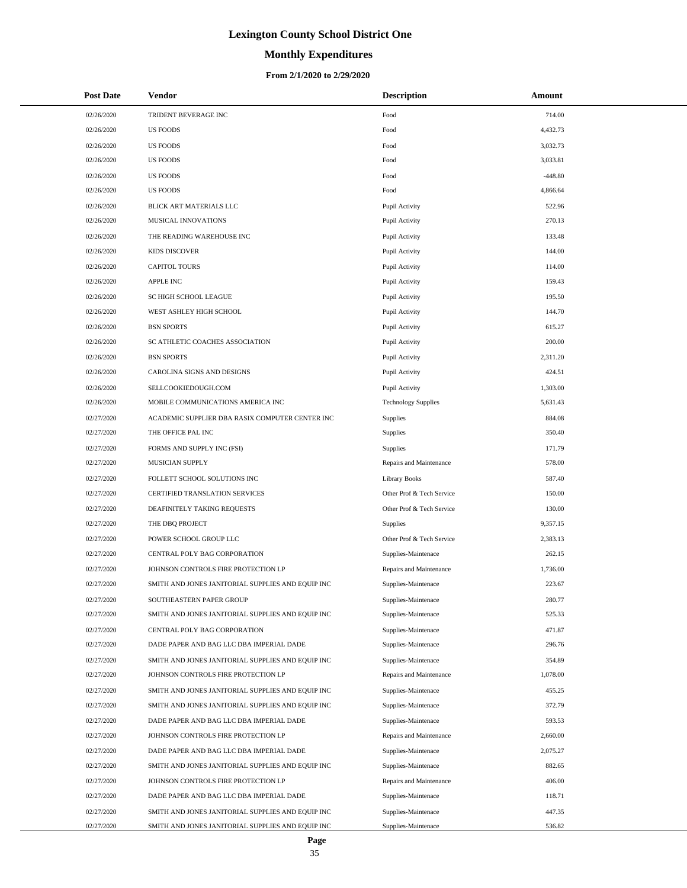# **Monthly Expenditures**

| <b>Post Date</b> | <b>Vendor</b>                                     | <b>Description</b>         | Amount   |  |
|------------------|---------------------------------------------------|----------------------------|----------|--|
| 02/26/2020       | TRIDENT BEVERAGE INC                              | Food                       | 714.00   |  |
| 02/26/2020       | <b>US FOODS</b>                                   | Food                       | 4,432.73 |  |
| 02/26/2020       | <b>US FOODS</b>                                   | Food                       | 3,032.73 |  |
| 02/26/2020       | <b>US FOODS</b>                                   | Food                       | 3,033.81 |  |
| 02/26/2020       | <b>US FOODS</b>                                   | Food                       | -448.80  |  |
| 02/26/2020       | <b>US FOODS</b>                                   | Food                       | 4,866.64 |  |
| 02/26/2020       | BLICK ART MATERIALS LLC                           | Pupil Activity             | 522.96   |  |
| 02/26/2020       | MUSICAL INNOVATIONS                               | Pupil Activity             | 270.13   |  |
| 02/26/2020       | THE READING WAREHOUSE INC                         | Pupil Activity             | 133.48   |  |
| 02/26/2020       | <b>KIDS DISCOVER</b>                              | Pupil Activity             | 144.00   |  |
| 02/26/2020       | <b>CAPITOL TOURS</b>                              | Pupil Activity             | 114.00   |  |
| 02/26/2020       | <b>APPLE INC</b>                                  | Pupil Activity             | 159.43   |  |
| 02/26/2020       | SC HIGH SCHOOL LEAGUE                             | Pupil Activity             | 195.50   |  |
| 02/26/2020       | WEST ASHLEY HIGH SCHOOL                           | Pupil Activity             | 144.70   |  |
| 02/26/2020       | <b>BSN SPORTS</b>                                 | Pupil Activity             | 615.27   |  |
| 02/26/2020       | SC ATHLETIC COACHES ASSOCIATION                   | Pupil Activity             | 200.00   |  |
| 02/26/2020       | <b>BSN SPORTS</b>                                 | Pupil Activity             | 2.311.20 |  |
| 02/26/2020       | CAROLINA SIGNS AND DESIGNS                        | Pupil Activity             | 424.51   |  |
| 02/26/2020       | SELLCOOKIEDOUGH.COM                               | Pupil Activity             | 1,303.00 |  |
| 02/26/2020       | MOBILE COMMUNICATIONS AMERICA INC                 | <b>Technology Supplies</b> | 5,631.43 |  |
| 02/27/2020       | ACADEMIC SUPPLIER DBA RASIX COMPUTER CENTER INC   | Supplies                   | 884.08   |  |
| 02/27/2020       | THE OFFICE PAL INC                                | Supplies                   | 350.40   |  |
| 02/27/2020       | FORMS AND SUPPLY INC (FSI)                        | Supplies                   | 171.79   |  |
| 02/27/2020       | MUSICIAN SUPPLY                                   | Repairs and Maintenance    | 578.00   |  |
| 02/27/2020       | FOLLETT SCHOOL SOLUTIONS INC                      | <b>Library Books</b>       | 587.40   |  |
| 02/27/2020       | CERTIFIED TRANSLATION SERVICES                    | Other Prof & Tech Service  | 150.00   |  |
| 02/27/2020       | DEAFINITELY TAKING REQUESTS                       | Other Prof & Tech Service  | 130.00   |  |
| 02/27/2020       | THE DBQ PROJECT                                   | Supplies                   | 9,357.15 |  |
| 02/27/2020       | POWER SCHOOL GROUP LLC                            | Other Prof & Tech Service  | 2,383.13 |  |
| 02/27/2020       | CENTRAL POLY BAG CORPORATION                      | Supplies-Maintenace        | 262.15   |  |
| 02/27/2020       | JOHNSON CONTROLS FIRE PROTECTION LP               | Repairs and Maintenance    | 1,736.00 |  |
| 02/27/2020       | SMITH AND JONES JANITORIAL SUPPLIES AND EQUIP INC | Supplies-Maintenace        | 223.67   |  |
| 02/27/2020       | SOUTHEASTERN PAPER GROUP                          | Supplies-Maintenace        | 280.77   |  |
| 02/27/2020       | SMITH AND JONES JANITORIAL SUPPLIES AND EQUIP INC | Supplies-Maintenace        | 525.33   |  |
| 02/27/2020       | CENTRAL POLY BAG CORPORATION                      | Supplies-Maintenace        | 471.87   |  |
| 02/27/2020       | DADE PAPER AND BAG LLC DBA IMPERIAL DADE          | Supplies-Maintenace        | 296.76   |  |
| 02/27/2020       | SMITH AND JONES JANITORIAL SUPPLIES AND EQUIP INC | Supplies-Maintenace        | 354.89   |  |
| 02/27/2020       | JOHNSON CONTROLS FIRE PROTECTION LP               | Repairs and Maintenance    | 1,078.00 |  |
| 02/27/2020       | SMITH AND JONES JANITORIAL SUPPLIES AND EQUIP INC | Supplies-Maintenace        | 455.25   |  |
| 02/27/2020       | SMITH AND JONES JANITORIAL SUPPLIES AND EQUIP INC | Supplies-Maintenace        | 372.79   |  |
| 02/27/2020       | DADE PAPER AND BAG LLC DBA IMPERIAL DADE          | Supplies-Maintenace        | 593.53   |  |
| 02/27/2020       | JOHNSON CONTROLS FIRE PROTECTION LP               | Repairs and Maintenance    | 2,660.00 |  |
| 02/27/2020       | DADE PAPER AND BAG LLC DBA IMPERIAL DADE          | Supplies-Maintenace        | 2,075.27 |  |
| 02/27/2020       | SMITH AND JONES JANITORIAL SUPPLIES AND EQUIP INC | Supplies-Maintenace        | 882.65   |  |
| 02/27/2020       | JOHNSON CONTROLS FIRE PROTECTION LP               | Repairs and Maintenance    | 406.00   |  |
| 02/27/2020       | DADE PAPER AND BAG LLC DBA IMPERIAL DADE          | Supplies-Maintenace        | 118.71   |  |
| 02/27/2020       | SMITH AND JONES JANITORIAL SUPPLIES AND EQUIP INC | Supplies-Maintenace        | 447.35   |  |
| 02/27/2020       | SMITH AND JONES JANITORIAL SUPPLIES AND EQUIP INC | Supplies-Maintenace        | 536.82   |  |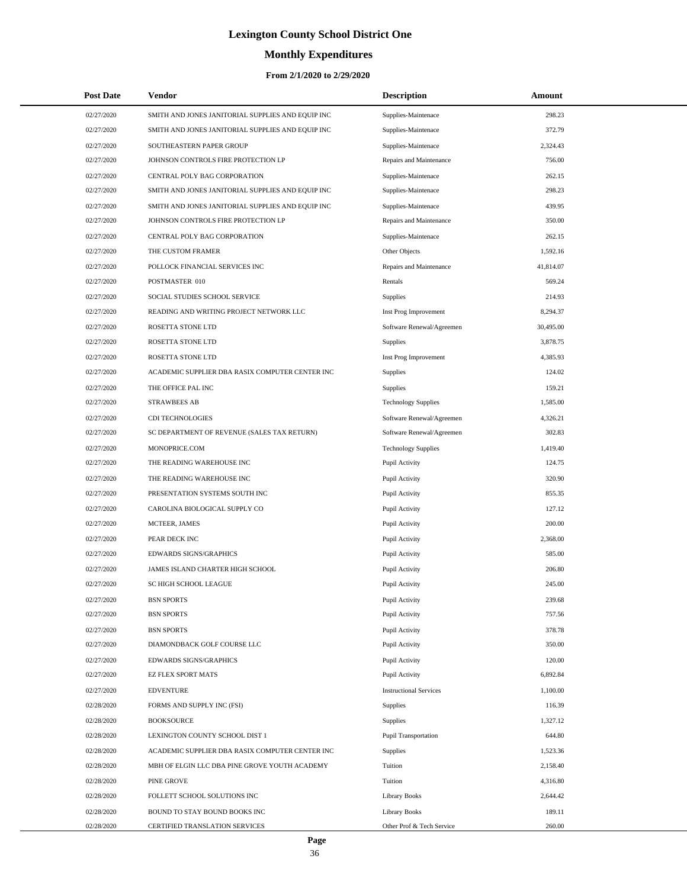# **Monthly Expenditures**

#### **From 2/1/2020 to 2/29/2020**

| <b>Post Date</b> | Vendor                                            | <b>Description</b>            | <b>Amount</b> |  |
|------------------|---------------------------------------------------|-------------------------------|---------------|--|
| 02/27/2020       | SMITH AND JONES JANITORIAL SUPPLIES AND EQUIP INC | Supplies-Maintenace           | 298.23        |  |
| 02/27/2020       | SMITH AND JONES JANITORIAL SUPPLIES AND EQUIP INC | Supplies-Maintenace           | 372.79        |  |
| 02/27/2020       | SOUTHEASTERN PAPER GROUP                          | Supplies-Maintenace           | 2,324.43      |  |
| 02/27/2020       | JOHNSON CONTROLS FIRE PROTECTION LP               | Repairs and Maintenance       | 756.00        |  |
| 02/27/2020       | CENTRAL POLY BAG CORPORATION                      | Supplies-Maintenace           | 262.15        |  |
| 02/27/2020       | SMITH AND JONES JANITORIAL SUPPLIES AND EQUIP INC | Supplies-Maintenace           | 298.23        |  |
| 02/27/2020       | SMITH AND JONES JANITORIAL SUPPLIES AND EQUIP INC | Supplies-Maintenace           | 439.95        |  |
| 02/27/2020       | JOHNSON CONTROLS FIRE PROTECTION LP               | Repairs and Maintenance       | 350.00        |  |
| 02/27/2020       | CENTRAL POLY BAG CORPORATION                      | Supplies-Maintenace           | 262.15        |  |
| 02/27/2020       | THE CUSTOM FRAMER                                 | Other Objects                 | 1,592.16      |  |
| 02/27/2020       | POLLOCK FINANCIAL SERVICES INC                    | Repairs and Maintenance       | 41,814.07     |  |
| 02/27/2020       | POSTMASTER 010                                    | Rentals                       | 569.24        |  |
| 02/27/2020       | SOCIAL STUDIES SCHOOL SERVICE                     | Supplies                      | 214.93        |  |
| 02/27/2020       | READING AND WRITING PROJECT NETWORK LLC           | Inst Prog Improvement         | 8,294.37      |  |
| 02/27/2020       | ROSETTA STONE LTD                                 | Software Renewal/Agreemen     | 30,495.00     |  |
| 02/27/2020       | ROSETTA STONE LTD                                 | <b>Supplies</b>               | 3,878.75      |  |
| 02/27/2020       | ROSETTA STONE LTD                                 | Inst Prog Improvement         | 4,385.93      |  |
| 02/27/2020       | ACADEMIC SUPPLIER DBA RASIX COMPUTER CENTER INC   | <b>Supplies</b>               | 124.02        |  |
| 02/27/2020       | THE OFFICE PAL INC                                | Supplies                      | 159.21        |  |
| 02/27/2020       | <b>STRAWBEES AB</b>                               | <b>Technology Supplies</b>    | 1,585.00      |  |
| 02/27/2020       | <b>CDI TECHNOLOGIES</b>                           | Software Renewal/Agreemen     | 4,326.21      |  |
| 02/27/2020       | SC DEPARTMENT OF REVENUE (SALES TAX RETURN)       | Software Renewal/Agreemen     | 302.83        |  |
| 02/27/2020       | MONOPRICE.COM                                     | <b>Technology Supplies</b>    | 1,419.40      |  |
| 02/27/2020       | THE READING WAREHOUSE INC                         | Pupil Activity                | 124.75        |  |
| 02/27/2020       | THE READING WAREHOUSE INC                         | Pupil Activity                | 320.90        |  |
| 02/27/2020       | PRESENTATION SYSTEMS SOUTH INC                    | Pupil Activity                | 855.35        |  |
| 02/27/2020       | CAROLINA BIOLOGICAL SUPPLY CO                     | Pupil Activity                | 127.12        |  |
| 02/27/2020       | MCTEER, JAMES                                     | Pupil Activity                | 200.00        |  |
| 02/27/2020       | PEAR DECK INC                                     | Pupil Activity                | 2,368.00      |  |
| 02/27/2020       | <b>EDWARDS SIGNS/GRAPHICS</b>                     | Pupil Activity                | 585.00        |  |
| 02/27/2020       | JAMES ISLAND CHARTER HIGH SCHOOL                  | Pupil Activity                | 206.80        |  |
| 02/27/2020       | <b>SC HIGH SCHOOL LEAGUE</b>                      | Pupil Activity                | 245.00        |  |
| 02/27/2020       | <b>BSN SPORTS</b>                                 | Pupil Activity                | 239.68        |  |
| 02/27/2020       | <b>BSN SPORTS</b>                                 | Pupil Activity                | 757.56        |  |
| 02/27/2020       | <b>BSN SPORTS</b>                                 | Pupil Activity                | 378.78        |  |
| 02/27/2020       | DIAMONDBACK GOLF COURSE LLC                       | Pupil Activity                | 350.00        |  |
| 02/27/2020       | EDWARDS SIGNS/GRAPHICS                            | Pupil Activity                | 120.00        |  |
| 02/27/2020       | EZ FLEX SPORT MATS                                | Pupil Activity                | 6,892.84      |  |
| 02/27/2020       | <b>EDVENTURE</b>                                  | <b>Instructional Services</b> | 1,100.00      |  |
| 02/28/2020       | FORMS AND SUPPLY INC (FSI)                        | <b>Supplies</b>               | 116.39        |  |
| 02/28/2020       | <b>BOOKSOURCE</b>                                 | Supplies                      | 1,327.12      |  |
| 02/28/2020       | LEXINGTON COUNTY SCHOOL DIST 1                    | <b>Pupil Transportation</b>   | 644.80        |  |
| 02/28/2020       | ACADEMIC SUPPLIER DBA RASIX COMPUTER CENTER INC   | Supplies                      | 1,523.36      |  |
| 02/28/2020       | MBH OF ELGIN LLC DBA PINE GROVE YOUTH ACADEMY     | Tuition                       | 2,158.40      |  |
| 02/28/2020       | PINE GROVE                                        | Tuition                       | 4,316.80      |  |
| 02/28/2020       | FOLLETT SCHOOL SOLUTIONS INC                      | <b>Library Books</b>          | 2,644.42      |  |
| 02/28/2020       | BOUND TO STAY BOUND BOOKS INC                     | <b>Library Books</b>          | 189.11        |  |
| 02/28/2020       | CERTIFIED TRANSLATION SERVICES                    | Other Prof & Tech Service     | 260.00        |  |